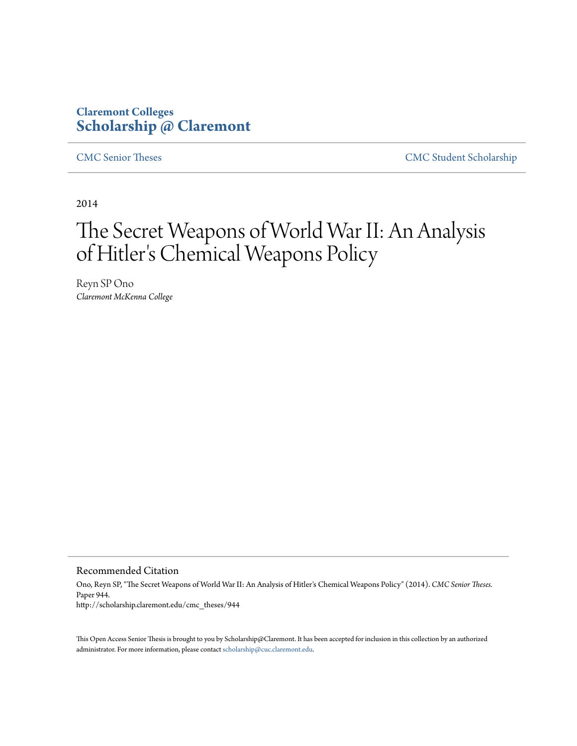# **Claremont Colleges [Scholarship @ Claremont](http://scholarship.claremont.edu)**

[CMC Senior Theses](http://scholarship.claremont.edu/cmc_theses) [CMC Student Scholarship](http://scholarship.claremont.edu/cmc_student)

2014

# The Secret Weapons of World War II: An Analysis of Hitler 's Chemical Weapons Policy

Reyn SP Ono *Claremont McKenna College*

Recommended Citation

Ono, Reyn SP, "The Secret Weapons of World War II: An Analysis of Hitler's Chemical Weapons Policy" (2014). *CMC Senior Theses.* Paper 944. http://scholarship.claremont.edu/cmc\_theses/944

This Open Access Senior Thesis is brought to you by Scholarship@Claremont. It has been accepted for inclusion in this collection by an authorized administrator. For more information, please contact [scholarship@cuc.claremont.edu.](mailto:scholarship@cuc.claremont.edu)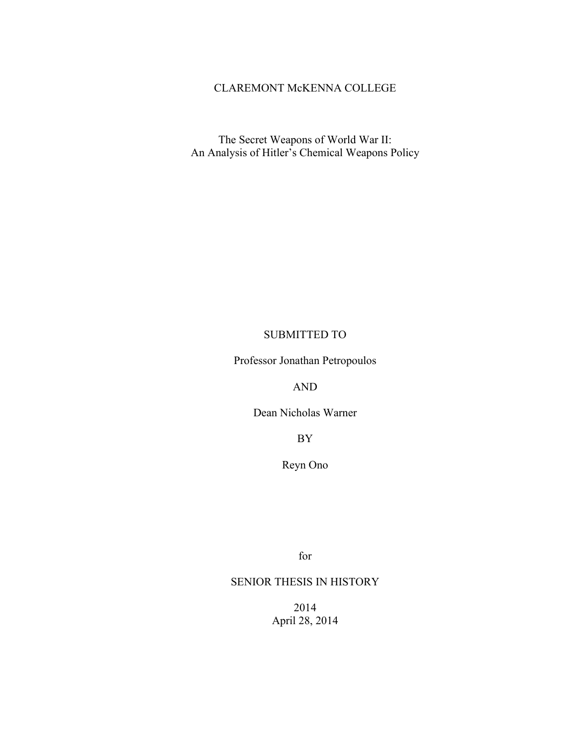#### CLAREMONT McKENNA COLLEGE

The Secret Weapons of World War II: An Analysis of Hitler's Chemical Weapons Policy

#### SUBMITTED TO

Professor Jonathan Petropoulos

AND

Dean Nicholas Warner

BY

Reyn Ono

for

# SENIOR THESIS IN HISTORY

2014 April 28, 2014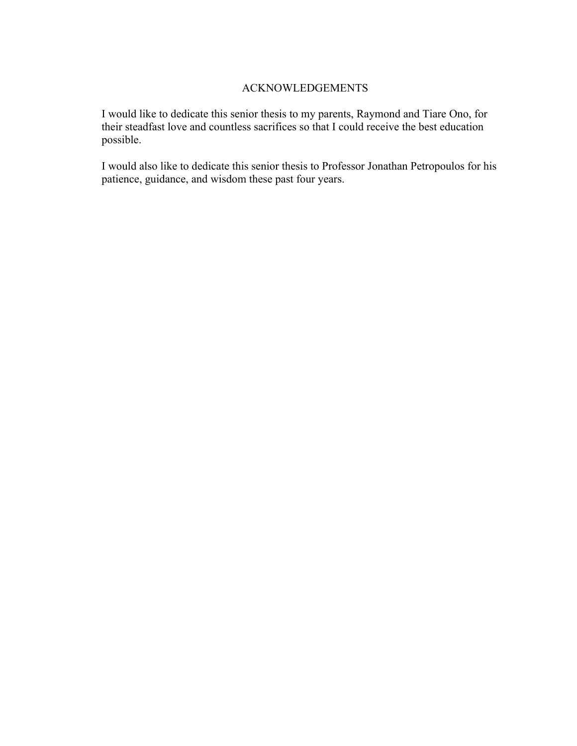## ACKNOWLEDGEMENTS

I would like to dedicate this senior thesis to my parents, Raymond and Tiare Ono, for their steadfast love and countless sacrifices so that I could receive the best education possible.

I would also like to dedicate this senior thesis to Professor Jonathan Petropoulos for his patience, guidance, and wisdom these past four years.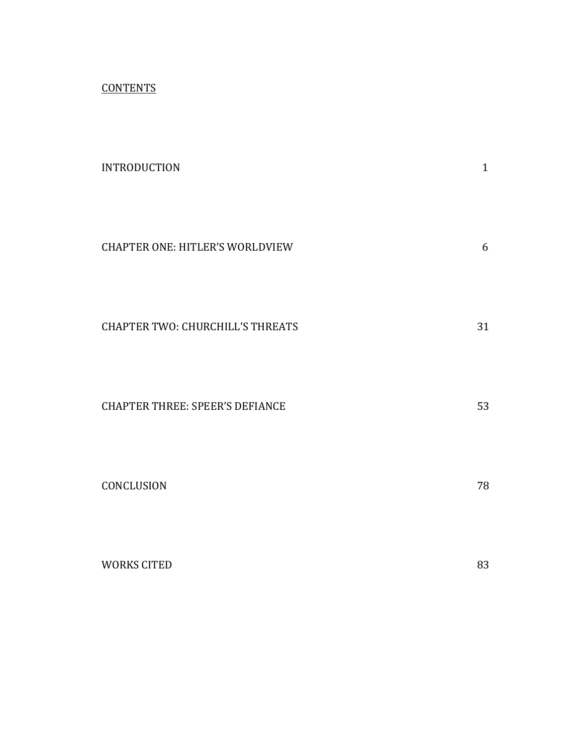**CONTENTS** 

| <b>INTRODUCTION</b>                     | $\mathbf{1}$ |
|-----------------------------------------|--------------|
| <b>CHAPTER ONE: HITLER'S WORLDVIEW</b>  | 6            |
| <b>CHAPTER TWO: CHURCHILL'S THREATS</b> | 31           |
| <b>CHAPTER THREE: SPEER'S DEFIANCE</b>  | 53           |
| CONCLUSION                              | 78           |
| <b>WORKS CITED</b>                      | 83           |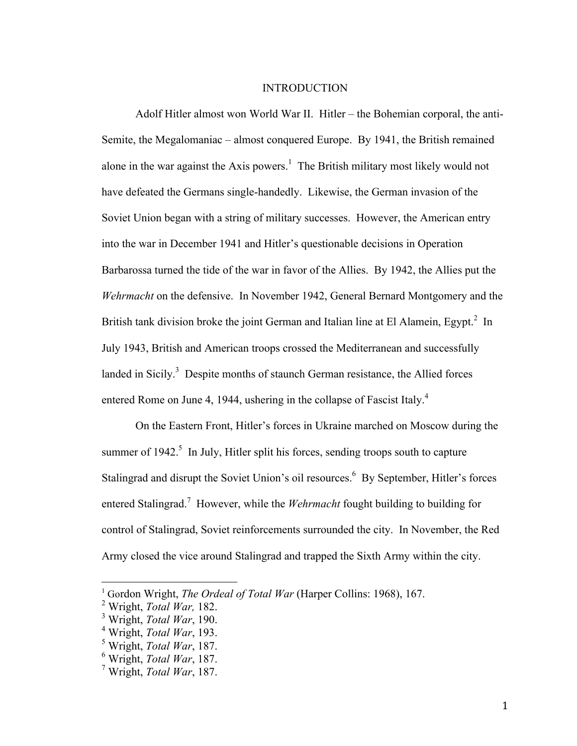#### **INTRODUCTION**

Adolf Hitler almost won World War II. Hitler – the Bohemian corporal, the anti-Semite, the Megalomaniac – almost conquered Europe. By 1941, the British remained alone in the war against the Axis powers.<sup>1</sup> The British military most likely would not have defeated the Germans single-handedly. Likewise, the German invasion of the Soviet Union began with a string of military successes. However, the American entry into the war in December 1941 and Hitler's questionable decisions in Operation Barbarossa turned the tide of the war in favor of the Allies. By 1942, the Allies put the *Wehrmacht* on the defensive. In November 1942, General Bernard Montgomery and the British tank division broke the joint German and Italian line at El Alamein, Egypt.<sup>2</sup> In July 1943, British and American troops crossed the Mediterranean and successfully landed in Sicily. $3$  Despite months of staunch German resistance, the Allied forces entered Rome on June 4, 1944, ushering in the collapse of Fascist Italy.<sup>4</sup>

On the Eastern Front, Hitler's forces in Ukraine marched on Moscow during the summer of  $1942$ <sup>5</sup>. In July, Hitler split his forces, sending troops south to capture Stalingrad and disrupt the Soviet Union's oil resources.<sup>6</sup> By September, Hitler's forces entered Stalingrad.<sup>7</sup> However, while the *Wehrmacht* fought building to building for control of Stalingrad, Soviet reinforcements surrounded the city. In November, the Red Army closed the vice around Stalingrad and trapped the Sixth Army within the city.

 

<sup>&</sup>lt;sup>1</sup> Gordon Wright, *The Ordeal of Total War* (Harper Collins: 1968), 167.

<sup>2</sup> Wright, *Total War,* 182.

<sup>3</sup> Wright, *Total War*, 190.

<sup>4</sup> Wright, *Total War*, 193.

<sup>5</sup> Wright, *Total War*, 187.

<sup>6</sup> Wright, *Total War*, 187.

<sup>7</sup> Wright, *Total War*, 187.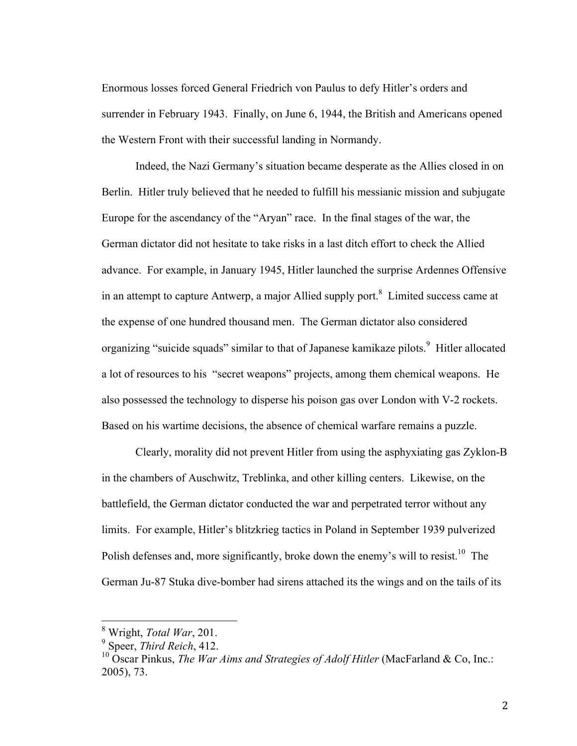Enormous losses forced General Friedrich von Paulus to defy Hitler's orders and surrender in February 1943. Finally, on June 6, 1944, the British and Americans opened the Western Front with their successful landing in Normandy.

Indeed, the Nazi Germany's situation became desperate as the Allies closed in on Berlin. Hitler truly believed that he needed to fulfill his messianic mission and subjugate Europe for the ascendancy of the "Aryan" race. In the final stages of the war, the German dictator did not hesitate to take risks in a last ditch effort to check the Allied advance. For example, in January 1945, Hitler launched the surprise Ardennes Offensive in an attempt to capture Antwerp, a major Allied supply port. $8$  Limited success came at the expense of one hundred thousand men. The German dictator also considered organizing "suicide squads" similar to that of Japanese kamikaze pilots.<sup>9</sup> Hitler allocated a lot of resources to his "secret weapons" projects, among them chemical weapons. He also possessed the technology to disperse his poison gas over London with V-2 rockets. Based on his wartime decisions, the absence of chemical warfare remains a puzzle.

Clearly, morality did not prevent Hitler from using the asphyxiating gas Zyklon-B in the chambers of Auschwitz, Treblinka, and other killing centers. Likewise, on the battlefield, the German dictator conducted the war and perpetrated terror without any limits. For example, Hitler's blitzkrieg tactics in Poland in September 1939 pulverized Polish defenses and, more significantly, broke down the enemy's will to resist.<sup>10</sup> The German Ju-87 Stuka dive-bomber had sirens attached its the wings and on the tails of its

 <sup>8</sup> Wright, *Total War*, 201.

<sup>9</sup> Speer, *Third Reich*, 412.

<sup>&</sup>lt;sup>10</sup> Oscar Pinkus, *The War Aims and Strategies of Adolf Hitler* (MacFarland & Co, Inc.: 2005), 73.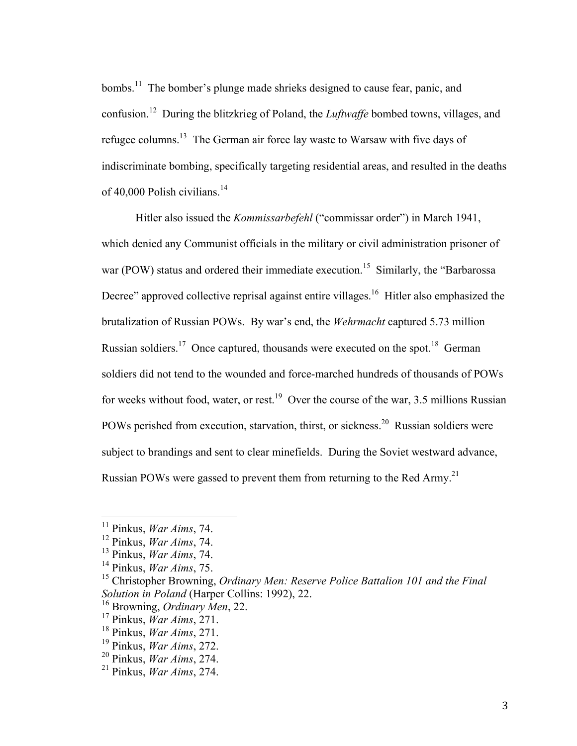bombs.<sup>11</sup> The bomber's plunge made shrieks designed to cause fear, panic, and confusion.12 During the blitzkrieg of Poland, the *Luftwaffe* bombed towns, villages, and refugee columns.13 The German air force lay waste to Warsaw with five days of indiscriminate bombing, specifically targeting residential areas, and resulted in the deaths of 40,000 Polish civilians.<sup>14</sup>

Hitler also issued the *Kommissarbefehl* ("commissar order") in March 1941, which denied any Communist officials in the military or civil administration prisoner of war (POW) status and ordered their immediate execution.<sup>15</sup> Similarly, the "Barbarossa" Decree" approved collective reprisal against entire villages.<sup>16</sup> Hitler also emphasized the brutalization of Russian POWs. By war's end, the *Wehrmacht* captured 5.73 million Russian soldiers.<sup>17</sup> Once captured, thousands were executed on the spot.<sup>18</sup> German soldiers did not tend to the wounded and force-marched hundreds of thousands of POWs for weeks without food, water, or rest.<sup>19</sup> Over the course of the war, 3.5 millions Russian POWs perished from execution, starvation, thirst, or sickness.<sup>20</sup> Russian soldiers were subject to brandings and sent to clear minefields. During the Soviet westward advance, Russian POWs were gassed to prevent them from returning to the Red Army.<sup>21</sup>

 <sup>11</sup> Pinkus, *War Aims*, 74.

<sup>12</sup> Pinkus, *War Aims*, 74.

<sup>13</sup> Pinkus, *War Aims*, 74.

<sup>14</sup> Pinkus, *War Aims*, 75.

<sup>15</sup> Christopher Browning, *Ordinary Men: Reserve Police Battalion 101 and the Final Solution in Poland* (Harper Collins: 1992), 22.

<sup>16</sup> Browning, *Ordinary Men*, 22.

<sup>17</sup> Pinkus, *War Aims*, 271.

<sup>18</sup> Pinkus, *War Aims*, 271.

<sup>19</sup> Pinkus, *War Aims*, 272.

<sup>20</sup> Pinkus, *War Aims*, 274.

<sup>21</sup> Pinkus, *War Aims*, 274.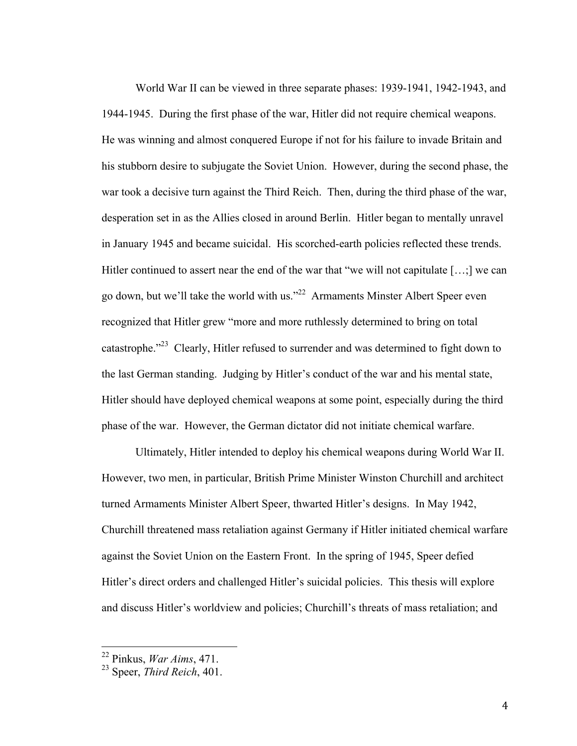World War II can be viewed in three separate phases: 1939-1941, 1942-1943, and 1944-1945. During the first phase of the war, Hitler did not require chemical weapons. He was winning and almost conquered Europe if not for his failure to invade Britain and his stubborn desire to subjugate the Soviet Union. However, during the second phase, the war took a decisive turn against the Third Reich. Then, during the third phase of the war, desperation set in as the Allies closed in around Berlin. Hitler began to mentally unravel in January 1945 and became suicidal. His scorched-earth policies reflected these trends. Hitler continued to assert near the end of the war that "we will not capitulate [...;] we can go down, but we'll take the world with us."22 Armaments Minster Albert Speer even recognized that Hitler grew "more and more ruthlessly determined to bring on total catastrophe."23 Clearly, Hitler refused to surrender and was determined to fight down to the last German standing. Judging by Hitler's conduct of the war and his mental state, Hitler should have deployed chemical weapons at some point, especially during the third phase of the war. However, the German dictator did not initiate chemical warfare.

Ultimately, Hitler intended to deploy his chemical weapons during World War II. However, two men, in particular, British Prime Minister Winston Churchill and architect turned Armaments Minister Albert Speer, thwarted Hitler's designs. In May 1942, Churchill threatened mass retaliation against Germany if Hitler initiated chemical warfare against the Soviet Union on the Eastern Front. In the spring of 1945, Speer defied Hitler's direct orders and challenged Hitler's suicidal policies. This thesis will explore and discuss Hitler's worldview and policies; Churchill's threats of mass retaliation; and

 <sup>22</sup> Pinkus, *War Aims*, 471.

<sup>23</sup> Speer, *Third Reich*, 401.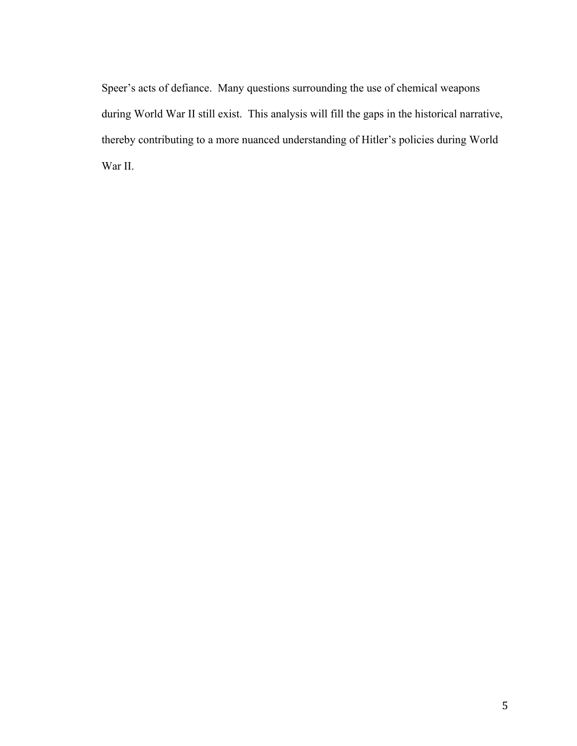Speer's acts of defiance. Many questions surrounding the use of chemical weapons during World War II still exist. This analysis will fill the gaps in the historical narrative, thereby contributing to a more nuanced understanding of Hitler's policies during World War II.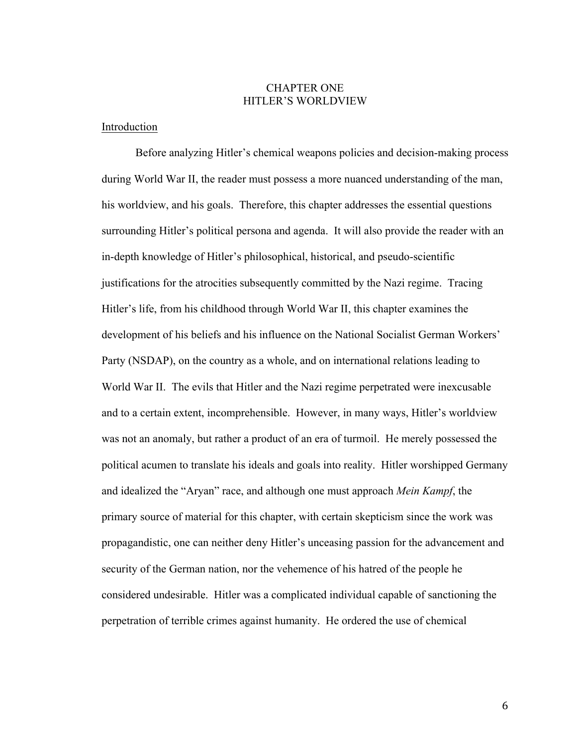## CHAPTER ONE HITLER'S WORLDVIEW

#### Introduction

Before analyzing Hitler's chemical weapons policies and decision-making process during World War II, the reader must possess a more nuanced understanding of the man, his worldview, and his goals. Therefore, this chapter addresses the essential questions surrounding Hitler's political persona and agenda. It will also provide the reader with an in-depth knowledge of Hitler's philosophical, historical, and pseudo-scientific justifications for the atrocities subsequently committed by the Nazi regime. Tracing Hitler's life, from his childhood through World War II, this chapter examines the development of his beliefs and his influence on the National Socialist German Workers' Party (NSDAP), on the country as a whole, and on international relations leading to World War II. The evils that Hitler and the Nazi regime perpetrated were inexcusable and to a certain extent, incomprehensible. However, in many ways, Hitler's worldview was not an anomaly, but rather a product of an era of turmoil. He merely possessed the political acumen to translate his ideals and goals into reality. Hitler worshipped Germany and idealized the "Aryan" race, and although one must approach *Mein Kampf*, the primary source of material for this chapter, with certain skepticism since the work was propagandistic, one can neither deny Hitler's unceasing passion for the advancement and security of the German nation, nor the vehemence of his hatred of the people he considered undesirable. Hitler was a complicated individual capable of sanctioning the perpetration of terrible crimes against humanity. He ordered the use of chemical

6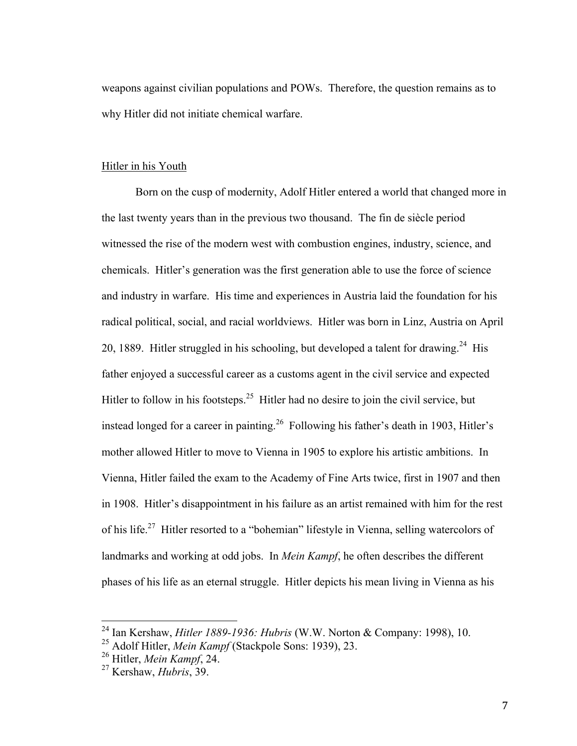weapons against civilian populations and POWs. Therefore, the question remains as to why Hitler did not initiate chemical warfare.

# Hitler in his Youth

Born on the cusp of modernity, Adolf Hitler entered a world that changed more in the last twenty years than in the previous two thousand. The fin de siècle period witnessed the rise of the modern west with combustion engines, industry, science, and chemicals. Hitler's generation was the first generation able to use the force of science and industry in warfare. His time and experiences in Austria laid the foundation for his radical political, social, and racial worldviews. Hitler was born in Linz, Austria on April 20, 1889. Hitler struggled in his schooling, but developed a talent for drawing.<sup>24</sup> His father enjoyed a successful career as a customs agent in the civil service and expected Hitler to follow in his footsteps.<sup>25</sup> Hitler had no desire to join the civil service, but instead longed for a career in painting.<sup>26</sup> Following his father's death in 1903, Hitler's mother allowed Hitler to move to Vienna in 1905 to explore his artistic ambitions. In Vienna, Hitler failed the exam to the Academy of Fine Arts twice, first in 1907 and then in 1908. Hitler's disappointment in his failure as an artist remained with him for the rest of his life.27 Hitler resorted to a "bohemian" lifestyle in Vienna, selling watercolors of landmarks and working at odd jobs. In *Mein Kampf*, he often describes the different phases of his life as an eternal struggle. Hitler depicts his mean living in Vienna as his

 <sup>24</sup> Ian Kershaw, *Hitler 1889-1936: Hubris* (W.W. Norton & Company: 1998), 10.

<sup>25</sup> Adolf Hitler, *Mein Kampf* (Stackpole Sons: 1939), 23.

<sup>26</sup> Hitler, *Mein Kampf*, 24.

<sup>27</sup> Kershaw, *Hubris*, 39.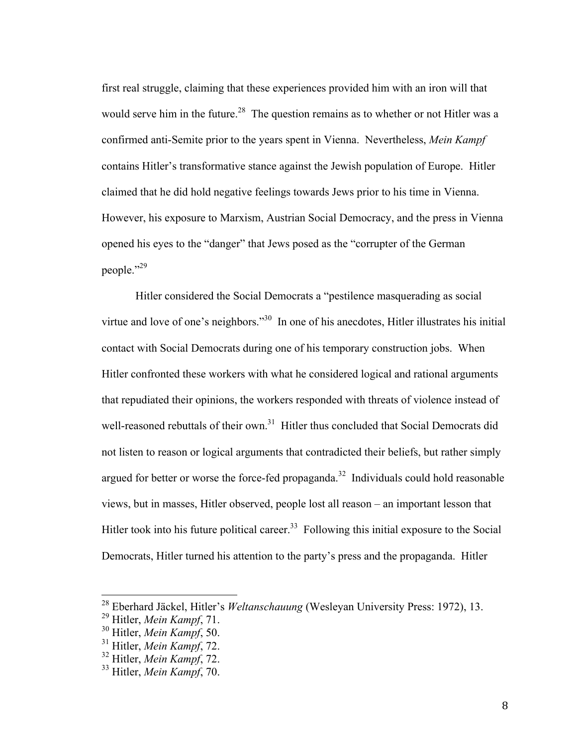first real struggle, claiming that these experiences provided him with an iron will that would serve him in the future.<sup>28</sup> The question remains as to whether or not Hitler was a confirmed anti-Semite prior to the years spent in Vienna. Nevertheless, *Mein Kampf* contains Hitler's transformative stance against the Jewish population of Europe. Hitler claimed that he did hold negative feelings towards Jews prior to his time in Vienna. However, his exposure to Marxism, Austrian Social Democracy, and the press in Vienna opened his eyes to the "danger" that Jews posed as the "corrupter of the German people."<sup>29</sup>

Hitler considered the Social Democrats a "pestilence masquerading as social virtue and love of one's neighbors."<sup>30</sup> In one of his anecdotes, Hitler illustrates his initial contact with Social Democrats during one of his temporary construction jobs. When Hitler confronted these workers with what he considered logical and rational arguments that repudiated their opinions, the workers responded with threats of violence instead of well-reasoned rebuttals of their own.<sup>31</sup> Hitler thus concluded that Social Democrats did not listen to reason or logical arguments that contradicted their beliefs, but rather simply argued for better or worse the force-fed propaganda.<sup>32</sup> Individuals could hold reasonable views, but in masses, Hitler observed, people lost all reason – an important lesson that Hitler took into his future political career.<sup>33</sup> Following this initial exposure to the Social Democrats, Hitler turned his attention to the party's press and the propaganda. Hitler

 <sup>28</sup> Eberhard Jäckel, Hitler's *Weltanschauung* (Wesleyan University Press: 1972), 13.

<sup>29</sup> Hitler, *Mein Kampf*, 71.

<sup>30</sup> Hitler, *Mein Kampf*, 50.

<sup>31</sup> Hitler, *Mein Kampf*, 72.

<sup>32</sup> Hitler, *Mein Kampf*, 72.

<sup>33</sup> Hitler, *Mein Kampf*, 70.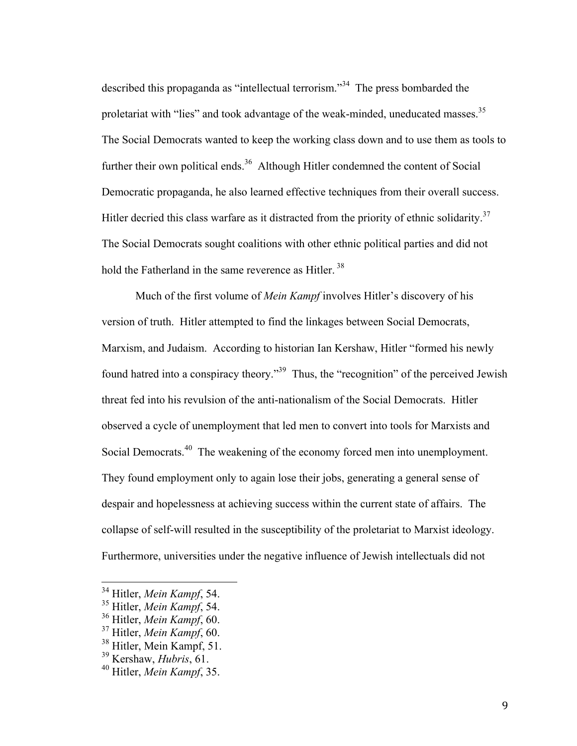described this propaganda as "intellectual terrorism."34 The press bombarded the proletariat with "lies" and took advantage of the weak-minded, uneducated masses.<sup>35</sup> The Social Democrats wanted to keep the working class down and to use them as tools to further their own political ends.<sup>36</sup> Although Hitler condemned the content of Social Democratic propaganda, he also learned effective techniques from their overall success. Hitler decried this class warfare as it distracted from the priority of ethnic solidarity.<sup>37</sup> The Social Democrats sought coalitions with other ethnic political parties and did not hold the Fatherland in the same reverence as Hitler.<sup>38</sup>

Much of the first volume of *Mein Kampf* involves Hitler's discovery of his version of truth. Hitler attempted to find the linkages between Social Democrats, Marxism, and Judaism. According to historian Ian Kershaw, Hitler "formed his newly found hatred into a conspiracy theory."39 Thus, the "recognition" of the perceived Jewish threat fed into his revulsion of the anti-nationalism of the Social Democrats. Hitler observed a cycle of unemployment that led men to convert into tools for Marxists and Social Democrats.<sup>40</sup> The weakening of the economy forced men into unemployment. They found employment only to again lose their jobs, generating a general sense of despair and hopelessness at achieving success within the current state of affairs. The collapse of self-will resulted in the susceptibility of the proletariat to Marxist ideology. Furthermore, universities under the negative influence of Jewish intellectuals did not

 <sup>34</sup> Hitler, *Mein Kampf*, 54.

<sup>35</sup> Hitler, *Mein Kampf*, 54.

<sup>36</sup> Hitler, *Mein Kampf*, 60.

<sup>37</sup> Hitler, *Mein Kampf*, 60.

 $38$  Hitler, Mein Kampf, 51.

<sup>39</sup> Kershaw, *Hubris*, 61.

<sup>40</sup> Hitler, *Mein Kampf*, 35.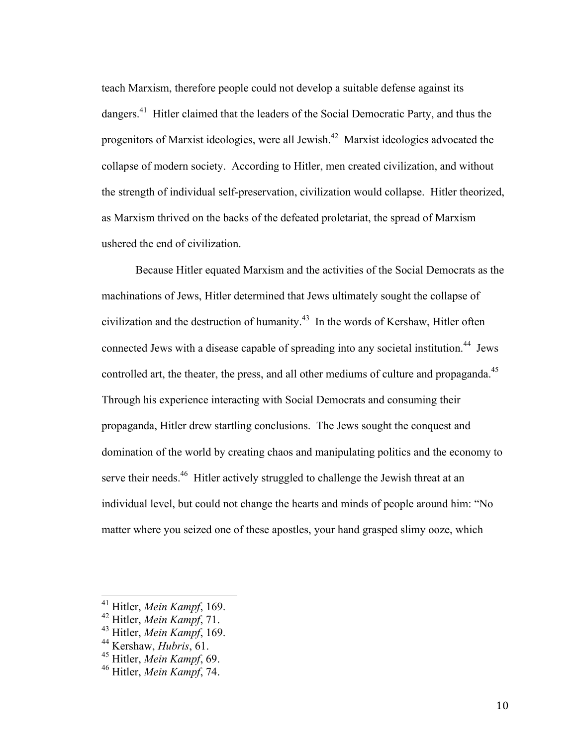teach Marxism, therefore people could not develop a suitable defense against its dangers.<sup>41</sup> Hitler claimed that the leaders of the Social Democratic Party, and thus the progenitors of Marxist ideologies, were all Jewish.<sup>42</sup> Marxist ideologies advocated the collapse of modern society. According to Hitler, men created civilization, and without the strength of individual self-preservation, civilization would collapse. Hitler theorized, as Marxism thrived on the backs of the defeated proletariat, the spread of Marxism ushered the end of civilization.

Because Hitler equated Marxism and the activities of the Social Democrats as the machinations of Jews, Hitler determined that Jews ultimately sought the collapse of civilization and the destruction of humanity.<sup> $43$ </sup> In the words of Kershaw, Hitler often connected Jews with a disease capable of spreading into any societal institution.<sup>44</sup> Jews controlled art, the theater, the press, and all other mediums of culture and propaganda.<sup>45</sup> Through his experience interacting with Social Democrats and consuming their propaganda, Hitler drew startling conclusions. The Jews sought the conquest and domination of the world by creating chaos and manipulating politics and the economy to serve their needs.<sup>46</sup> Hitler actively struggled to challenge the Jewish threat at an individual level, but could not change the hearts and minds of people around him: "No matter where you seized one of these apostles, your hand grasped slimy ooze, which

 <sup>41</sup> Hitler, *Mein Kampf*, 169.

<sup>42</sup> Hitler, *Mein Kampf*, 71.

<sup>43</sup> Hitler, *Mein Kampf*, 169.

<sup>44</sup> Kershaw, *Hubris*, 61.

<sup>45</sup> Hitler, *Mein Kampf*, 69.

<sup>46</sup> Hitler, *Mein Kampf*, 74.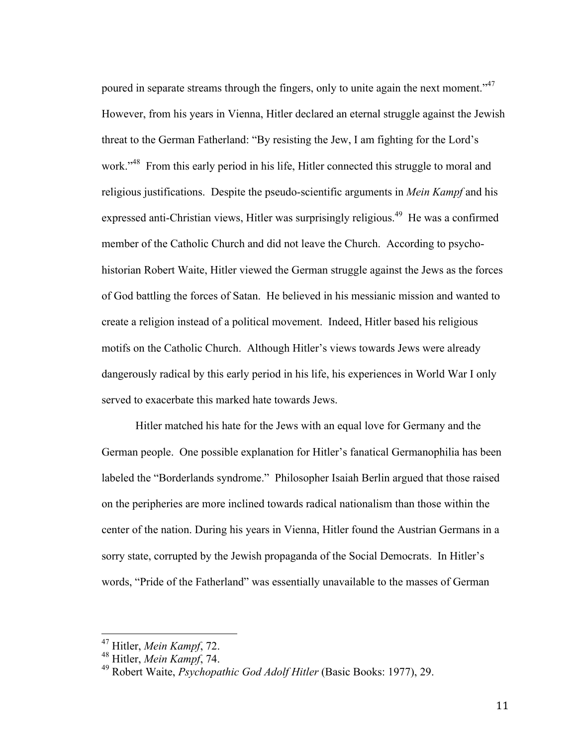poured in separate streams through the fingers, only to unite again the next moment."<sup>47</sup> However, from his years in Vienna, Hitler declared an eternal struggle against the Jewish threat to the German Fatherland: "By resisting the Jew, I am fighting for the Lord's work."<sup>48</sup> From this early period in his life, Hitler connected this struggle to moral and religious justifications. Despite the pseudo-scientific arguments in *Mein Kampf* and his expressed anti-Christian views, Hitler was surprisingly religious.<sup>49</sup> He was a confirmed member of the Catholic Church and did not leave the Church. According to psychohistorian Robert Waite, Hitler viewed the German struggle against the Jews as the forces of God battling the forces of Satan. He believed in his messianic mission and wanted to create a religion instead of a political movement. Indeed, Hitler based his religious motifs on the Catholic Church. Although Hitler's views towards Jews were already dangerously radical by this early period in his life, his experiences in World War I only served to exacerbate this marked hate towards Jews.

Hitler matched his hate for the Jews with an equal love for Germany and the German people. One possible explanation for Hitler's fanatical Germanophilia has been labeled the "Borderlands syndrome." Philosopher Isaiah Berlin argued that those raised on the peripheries are more inclined towards radical nationalism than those within the center of the nation. During his years in Vienna, Hitler found the Austrian Germans in a sorry state, corrupted by the Jewish propaganda of the Social Democrats. In Hitler's words, "Pride of the Fatherland" was essentially unavailable to the masses of German

 <sup>47</sup> Hitler, *Mein Kampf*, 72.

<sup>48</sup> Hitler, *Mein Kampf*, 74.

<sup>49</sup> Robert Waite, *Psychopathic God Adolf Hitler* (Basic Books: 1977), 29.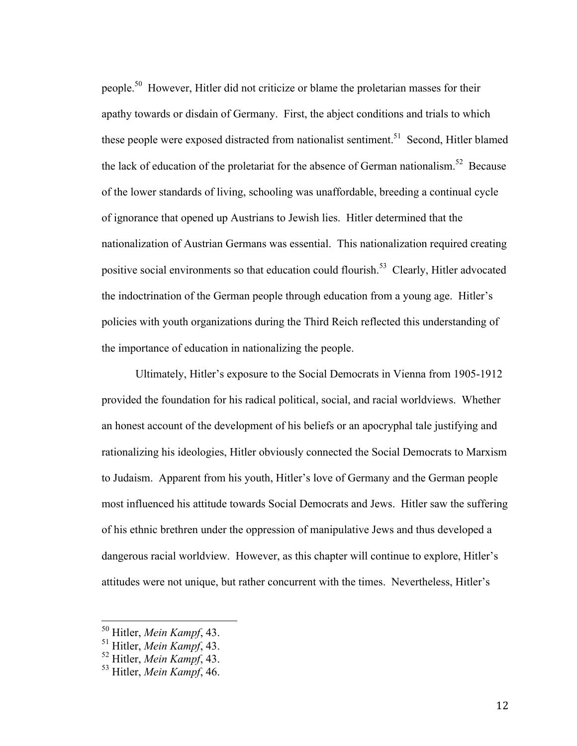people.<sup>50</sup> However, Hitler did not criticize or blame the proletarian masses for their apathy towards or disdain of Germany. First, the abject conditions and trials to which these people were exposed distracted from nationalist sentiment.<sup>51</sup> Second, Hitler blamed the lack of education of the proletariat for the absence of German nationalism.<sup>52</sup> Because of the lower standards of living, schooling was unaffordable, breeding a continual cycle of ignorance that opened up Austrians to Jewish lies. Hitler determined that the nationalization of Austrian Germans was essential. This nationalization required creating positive social environments so that education could flourish.<sup>53</sup> Clearly, Hitler advocated the indoctrination of the German people through education from a young age. Hitler's policies with youth organizations during the Third Reich reflected this understanding of the importance of education in nationalizing the people.

Ultimately, Hitler's exposure to the Social Democrats in Vienna from 1905-1912 provided the foundation for his radical political, social, and racial worldviews. Whether an honest account of the development of his beliefs or an apocryphal tale justifying and rationalizing his ideologies, Hitler obviously connected the Social Democrats to Marxism to Judaism. Apparent from his youth, Hitler's love of Germany and the German people most influenced his attitude towards Social Democrats and Jews. Hitler saw the suffering of his ethnic brethren under the oppression of manipulative Jews and thus developed a dangerous racial worldview. However, as this chapter will continue to explore, Hitler's attitudes were not unique, but rather concurrent with the times. Nevertheless, Hitler's

 <sup>50</sup> Hitler, *Mein Kampf*, 43.

<sup>51</sup> Hitler, *Mein Kampf*, 43.

<sup>52</sup> Hitler, *Mein Kampf*, 43.

<sup>53</sup> Hitler, *Mein Kampf*, 46.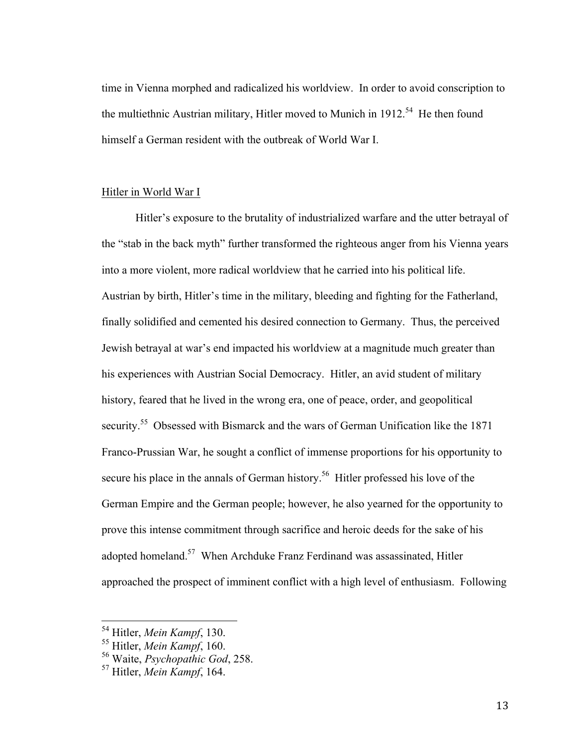time in Vienna morphed and radicalized his worldview. In order to avoid conscription to the multiethnic Austrian military, Hitler moved to Munich in  $1912<sup>54</sup>$  He then found himself a German resident with the outbreak of World War I.

#### Hitler in World War I

Hitler's exposure to the brutality of industrialized warfare and the utter betrayal of the "stab in the back myth" further transformed the righteous anger from his Vienna years into a more violent, more radical worldview that he carried into his political life. Austrian by birth, Hitler's time in the military, bleeding and fighting for the Fatherland, finally solidified and cemented his desired connection to Germany. Thus, the perceived Jewish betrayal at war's end impacted his worldview at a magnitude much greater than his experiences with Austrian Social Democracy. Hitler, an avid student of military history, feared that he lived in the wrong era, one of peace, order, and geopolitical security.<sup>55</sup> Obsessed with Bismarck and the wars of German Unification like the 1871 Franco-Prussian War, he sought a conflict of immense proportions for his opportunity to secure his place in the annals of German history.<sup>56</sup> Hitler professed his love of the German Empire and the German people; however, he also yearned for the opportunity to prove this intense commitment through sacrifice and heroic deeds for the sake of his adopted homeland.<sup>57</sup> When Archduke Franz Ferdinand was assassinated, Hitler approached the prospect of imminent conflict with a high level of enthusiasm. Following

 <sup>54</sup> Hitler, *Mein Kampf*, 130.

<sup>55</sup> Hitler, *Mein Kampf*, 160.

<sup>56</sup> Waite, *Psychopathic God*, 258.

<sup>57</sup> Hitler, *Mein Kampf*, 164.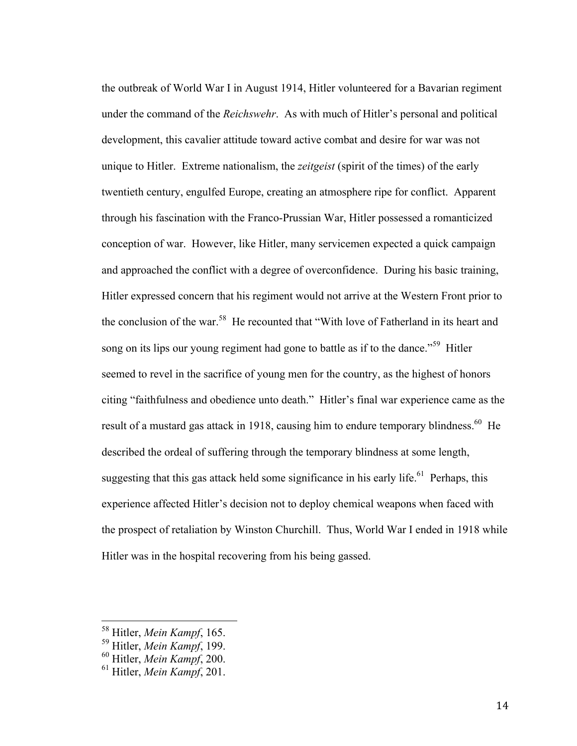the outbreak of World War I in August 1914, Hitler volunteered for a Bavarian regiment under the command of the *Reichswehr*. As with much of Hitler's personal and political development, this cavalier attitude toward active combat and desire for war was not unique to Hitler. Extreme nationalism, the *zeitgeist* (spirit of the times) of the early twentieth century, engulfed Europe, creating an atmosphere ripe for conflict. Apparent through his fascination with the Franco-Prussian War, Hitler possessed a romanticized conception of war. However, like Hitler, many servicemen expected a quick campaign and approached the conflict with a degree of overconfidence. During his basic training, Hitler expressed concern that his regiment would not arrive at the Western Front prior to the conclusion of the war.<sup>58</sup> He recounted that "With love of Fatherland in its heart and song on its lips our young regiment had gone to battle as if to the dance.<sup>559</sup> Hitler seemed to revel in the sacrifice of young men for the country, as the highest of honors citing "faithfulness and obedience unto death." Hitler's final war experience came as the result of a mustard gas attack in 1918, causing him to endure temporary blindness.<sup>60</sup> He described the ordeal of suffering through the temporary blindness at some length, suggesting that this gas attack held some significance in his early life.<sup>61</sup> Perhaps, this experience affected Hitler's decision not to deploy chemical weapons when faced with the prospect of retaliation by Winston Churchill. Thus, World War I ended in 1918 while Hitler was in the hospital recovering from his being gassed.

 <sup>58</sup> Hitler, *Mein Kampf*, 165.

<sup>59</sup> Hitler, *Mein Kampf*, 199.

<sup>60</sup> Hitler, *Mein Kampf*, 200.

<sup>61</sup> Hitler, *Mein Kampf*, 201.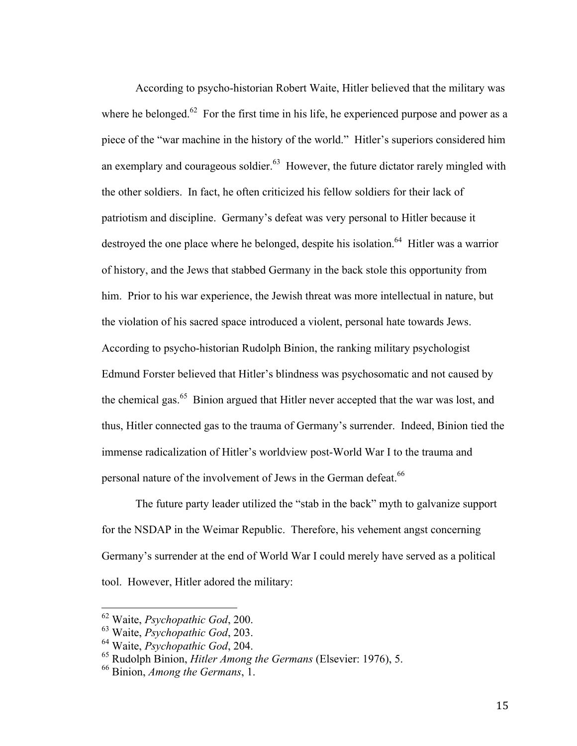According to psycho-historian Robert Waite, Hitler believed that the military was where he belonged.<sup>62</sup> For the first time in his life, he experienced purpose and power as a piece of the "war machine in the history of the world." Hitler's superiors considered him an exemplary and courageous soldier.<sup>63</sup> However, the future dictator rarely mingled with the other soldiers. In fact, he often criticized his fellow soldiers for their lack of patriotism and discipline. Germany's defeat was very personal to Hitler because it destroyed the one place where he belonged, despite his isolation.<sup>64</sup> Hitler was a warrior of history, and the Jews that stabbed Germany in the back stole this opportunity from him. Prior to his war experience, the Jewish threat was more intellectual in nature, but the violation of his sacred space introduced a violent, personal hate towards Jews. According to psycho-historian Rudolph Binion, the ranking military psychologist Edmund Forster believed that Hitler's blindness was psychosomatic and not caused by the chemical gas.<sup>65</sup> Binion argued that Hitler never accepted that the war was lost, and thus, Hitler connected gas to the trauma of Germany's surrender. Indeed, Binion tied the immense radicalization of Hitler's worldview post-World War I to the trauma and personal nature of the involvement of Jews in the German defeat.<sup>66</sup>

The future party leader utilized the "stab in the back" myth to galvanize support for the NSDAP in the Weimar Republic. Therefore, his vehement angst concerning Germany's surrender at the end of World War I could merely have served as a political tool. However, Hitler adored the military:

 <sup>62</sup> Waite, *Psychopathic God*, 200.

<sup>63</sup> Waite, *Psychopathic God*, 203.

<sup>64</sup> Waite, *Psychopathic God*, 204.

<sup>65</sup> Rudolph Binion, *Hitler Among the Germans* (Elsevier: 1976), 5.

<sup>66</sup> Binion, *Among the Germans*, 1.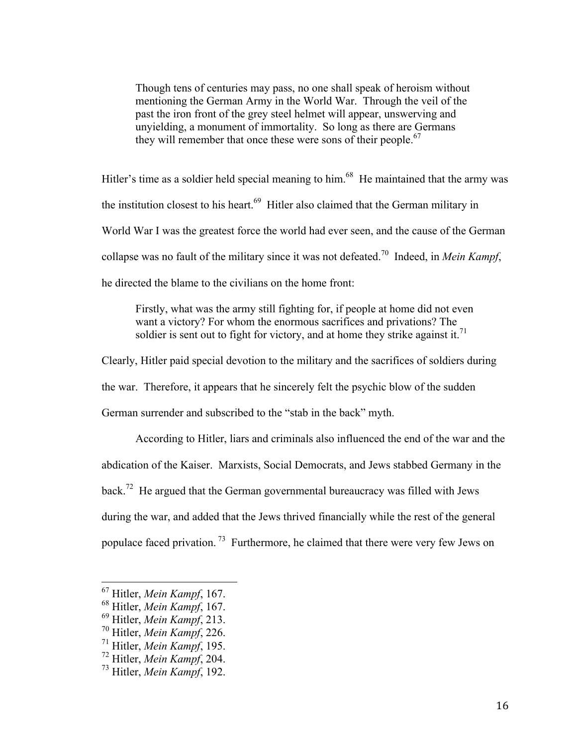Though tens of centuries may pass, no one shall speak of heroism without mentioning the German Army in the World War. Through the veil of the past the iron front of the grey steel helmet will appear, unswerving and unyielding, a monument of immortality. So long as there are Germans they will remember that once these were sons of their people.<sup>67</sup>

Hitler's time as a soldier held special meaning to him.<sup>68</sup> He maintained that the army was the institution closest to his heart. $69$  Hitler also claimed that the German military in World War I was the greatest force the world had ever seen, and the cause of the German collapse was no fault of the military since it was not defeated.70 Indeed, in *Mein Kampf*, he directed the blame to the civilians on the home front:

Firstly, what was the army still fighting for, if people at home did not even want a victory? For whom the enormous sacrifices and privations? The soldier is sent out to fight for victory, and at home they strike against it.<sup>71</sup>

Clearly, Hitler paid special devotion to the military and the sacrifices of soldiers during

the war. Therefore, it appears that he sincerely felt the psychic blow of the sudden

German surrender and subscribed to the "stab in the back" myth.

According to Hitler, liars and criminals also influenced the end of the war and the abdication of the Kaiser. Marxists, Social Democrats, and Jews stabbed Germany in the back.<sup>72</sup> He argued that the German governmental bureaucracy was filled with Jews during the war, and added that the Jews thrived financially while the rest of the general populace faced privation. 73 Furthermore, he claimed that there were very few Jews on

 <sup>67</sup> Hitler, *Mein Kampf*, 167.

<sup>68</sup> Hitler, *Mein Kampf*, 167.

<sup>69</sup> Hitler, *Mein Kampf*, 213.

<sup>70</sup> Hitler, *Mein Kampf*, 226.

<sup>71</sup> Hitler, *Mein Kampf*, 195.

<sup>72</sup> Hitler, *Mein Kampf*, 204.

<sup>73</sup> Hitler, *Mein Kampf*, 192.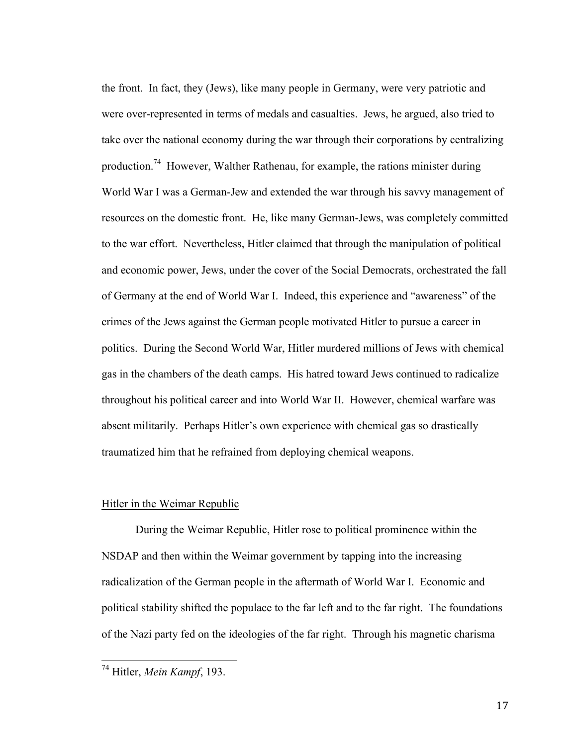the front. In fact, they (Jews), like many people in Germany, were very patriotic and were over-represented in terms of medals and casualties. Jews, he argued, also tried to take over the national economy during the war through their corporations by centralizing production.74 However, Walther Rathenau, for example, the rations minister during World War I was a German-Jew and extended the war through his savvy management of resources on the domestic front. He, like many German-Jews, was completely committed to the war effort. Nevertheless, Hitler claimed that through the manipulation of political and economic power, Jews, under the cover of the Social Democrats, orchestrated the fall of Germany at the end of World War I. Indeed, this experience and "awareness" of the crimes of the Jews against the German people motivated Hitler to pursue a career in politics. During the Second World War, Hitler murdered millions of Jews with chemical gas in the chambers of the death camps. His hatred toward Jews continued to radicalize throughout his political career and into World War II. However, chemical warfare was absent militarily. Perhaps Hitler's own experience with chemical gas so drastically traumatized him that he refrained from deploying chemical weapons.

# Hitler in the Weimar Republic

During the Weimar Republic, Hitler rose to political prominence within the NSDAP and then within the Weimar government by tapping into the increasing radicalization of the German people in the aftermath of World War I. Economic and political stability shifted the populace to the far left and to the far right. The foundations of the Nazi party fed on the ideologies of the far right. Through his magnetic charisma

 <sup>74</sup> Hitler, *Mein Kampf*, 193.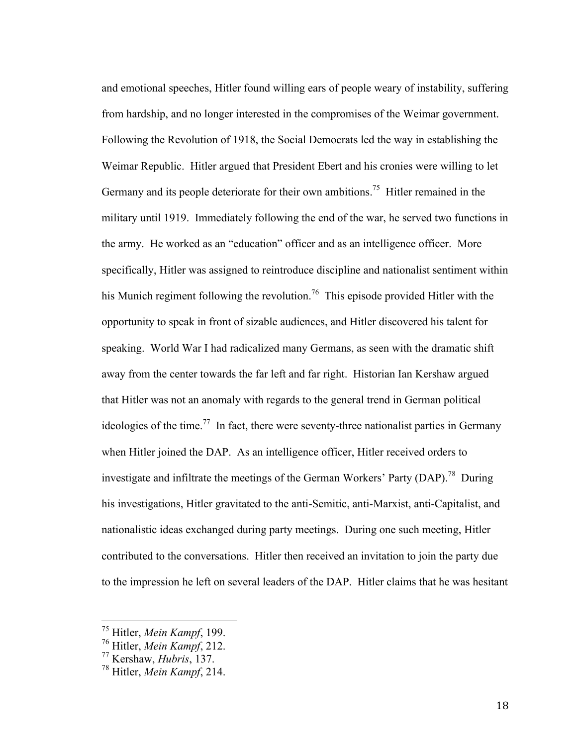and emotional speeches, Hitler found willing ears of people weary of instability, suffering from hardship, and no longer interested in the compromises of the Weimar government. Following the Revolution of 1918, the Social Democrats led the way in establishing the Weimar Republic. Hitler argued that President Ebert and his cronies were willing to let Germany and its people deteriorate for their own ambitions.<sup>75</sup> Hitler remained in the military until 1919. Immediately following the end of the war, he served two functions in the army. He worked as an "education" officer and as an intelligence officer. More specifically, Hitler was assigned to reintroduce discipline and nationalist sentiment within his Munich regiment following the revolution.<sup>76</sup> This episode provided Hitler with the opportunity to speak in front of sizable audiences, and Hitler discovered his talent for speaking. World War I had radicalized many Germans, as seen with the dramatic shift away from the center towards the far left and far right. Historian Ian Kershaw argued that Hitler was not an anomaly with regards to the general trend in German political ideologies of the time.<sup>77</sup> In fact, there were seventy-three nationalist parties in Germany when Hitler joined the DAP. As an intelligence officer, Hitler received orders to investigate and infiltrate the meetings of the German Workers' Party (DAP).<sup>78</sup> During his investigations, Hitler gravitated to the anti-Semitic, anti-Marxist, anti-Capitalist, and nationalistic ideas exchanged during party meetings. During one such meeting, Hitler contributed to the conversations. Hitler then received an invitation to join the party due to the impression he left on several leaders of the DAP. Hitler claims that he was hesitant

 <sup>75</sup> Hitler, *Mein Kampf*, 199.

<sup>76</sup> Hitler, *Mein Kampf*, 212.

<sup>77</sup> Kershaw, *Hubris*, 137.

<sup>78</sup> Hitler, *Mein Kampf*, 214.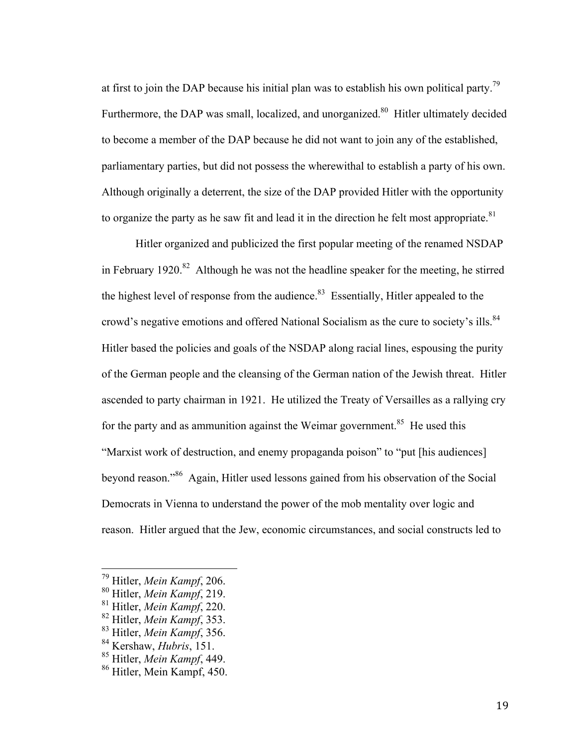at first to join the DAP because his initial plan was to establish his own political party.<sup>79</sup> Furthermore, the DAP was small, localized, and unorganized.<sup>80</sup> Hitler ultimately decided to become a member of the DAP because he did not want to join any of the established, parliamentary parties, but did not possess the wherewithal to establish a party of his own. Although originally a deterrent, the size of the DAP provided Hitler with the opportunity to organize the party as he saw fit and lead it in the direction he felt most appropriate. $81$ 

Hitler organized and publicized the first popular meeting of the renamed NSDAP in February 1920.<sup>82</sup> Although he was not the headline speaker for the meeting, he stirred the highest level of response from the audience. $83$  Essentially, Hitler appealed to the crowd's negative emotions and offered National Socialism as the cure to society's ills.<sup>84</sup> Hitler based the policies and goals of the NSDAP along racial lines, espousing the purity of the German people and the cleansing of the German nation of the Jewish threat. Hitler ascended to party chairman in 1921. He utilized the Treaty of Versailles as a rallying cry for the party and as ammunition against the Weimar government.<sup>85</sup> He used this "Marxist work of destruction, and enemy propaganda poison" to "put [his audiences] beyond reason."86 Again, Hitler used lessons gained from his observation of the Social Democrats in Vienna to understand the power of the mob mentality over logic and reason. Hitler argued that the Jew, economic circumstances, and social constructs led to

 <sup>79</sup> Hitler, *Mein Kampf*, 206.

<sup>80</sup> Hitler, *Mein Kampf*, 219.

<sup>81</sup> Hitler, *Mein Kampf*, 220.

<sup>82</sup> Hitler, *Mein Kampf*, 353.

<sup>83</sup> Hitler, *Mein Kampf*, 356.

<sup>84</sup> Kershaw, *Hubris*, 151.

<sup>85</sup> Hitler, *Mein Kampf*, 449.

<sup>86</sup> Hitler, Mein Kampf, 450.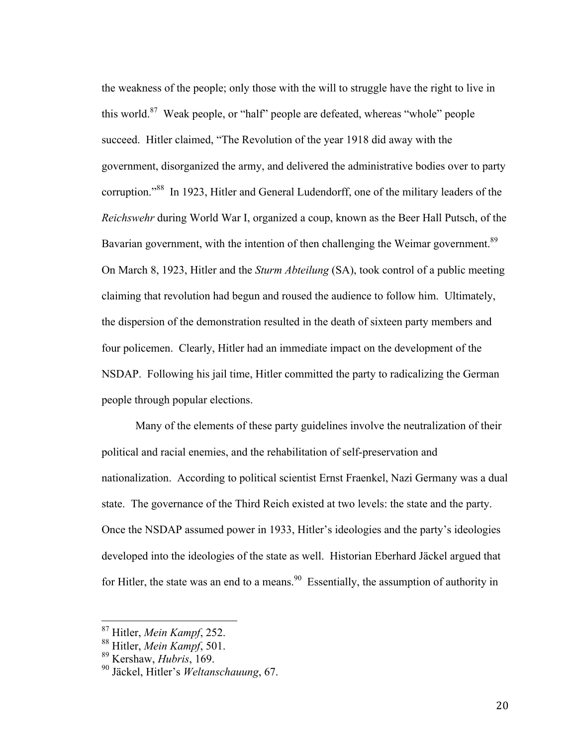the weakness of the people; only those with the will to struggle have the right to live in this world. $87$  Weak people, or "half" people are defeated, whereas "whole" people succeed. Hitler claimed, "The Revolution of the year 1918 did away with the government, disorganized the army, and delivered the administrative bodies over to party corruption."88 In 1923, Hitler and General Ludendorff, one of the military leaders of the *Reichswehr* during World War I, organized a coup, known as the Beer Hall Putsch, of the Bavarian government, with the intention of then challenging the Weimar government.<sup>89</sup> On March 8, 1923, Hitler and the *Sturm Abteilung* (SA), took control of a public meeting claiming that revolution had begun and roused the audience to follow him. Ultimately, the dispersion of the demonstration resulted in the death of sixteen party members and four policemen. Clearly, Hitler had an immediate impact on the development of the NSDAP. Following his jail time, Hitler committed the party to radicalizing the German people through popular elections.

Many of the elements of these party guidelines involve the neutralization of their political and racial enemies, and the rehabilitation of self-preservation and nationalization. According to political scientist Ernst Fraenkel, Nazi Germany was a dual state. The governance of the Third Reich existed at two levels: the state and the party. Once the NSDAP assumed power in 1933, Hitler's ideologies and the party's ideologies developed into the ideologies of the state as well. Historian Eberhard Jäckel argued that for Hitler, the state was an end to a means.<sup>90</sup> Essentially, the assumption of authority in

 <sup>87</sup> Hitler, *Mein Kampf*, 252.

<sup>88</sup> Hitler, *Mein Kampf*, 501.

<sup>89</sup> Kershaw, *Hubris*, 169.

<sup>90</sup> Jäckel, Hitler's *Weltanschauung*, 67.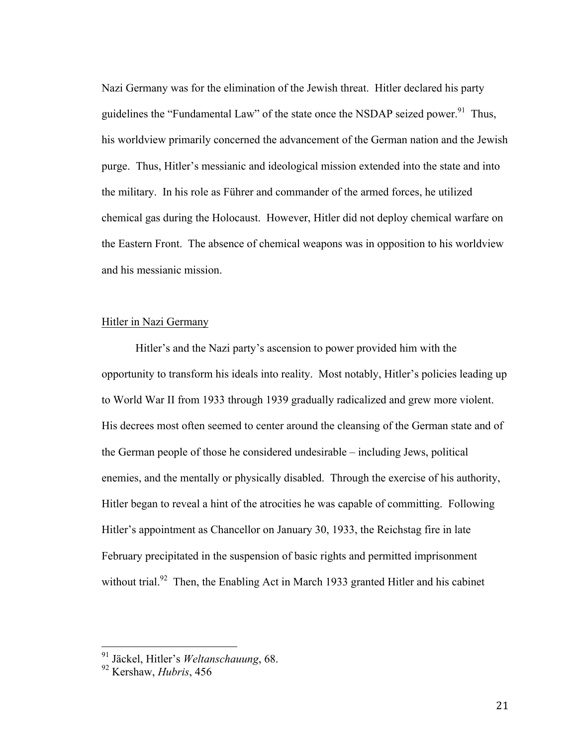Nazi Germany was for the elimination of the Jewish threat. Hitler declared his party guidelines the "Fundamental Law" of the state once the NSDAP seized power. $91$  Thus, his worldview primarily concerned the advancement of the German nation and the Jewish purge. Thus, Hitler's messianic and ideological mission extended into the state and into the military. In his role as Führer and commander of the armed forces, he utilized chemical gas during the Holocaust. However, Hitler did not deploy chemical warfare on the Eastern Front. The absence of chemical weapons was in opposition to his worldview and his messianic mission.

# Hitler in Nazi Germany

Hitler's and the Nazi party's ascension to power provided him with the opportunity to transform his ideals into reality. Most notably, Hitler's policies leading up to World War II from 1933 through 1939 gradually radicalized and grew more violent. His decrees most often seemed to center around the cleansing of the German state and of the German people of those he considered undesirable – including Jews, political enemies, and the mentally or physically disabled. Through the exercise of his authority, Hitler began to reveal a hint of the atrocities he was capable of committing. Following Hitler's appointment as Chancellor on January 30, 1933, the Reichstag fire in late February precipitated in the suspension of basic rights and permitted imprisonment without trial.<sup>92</sup> Then, the Enabling Act in March 1933 granted Hitler and his cabinet

 <sup>91</sup> Jäckel, Hitler's *Weltanschauung*, 68.

<sup>92</sup> Kershaw, *Hubris*, 456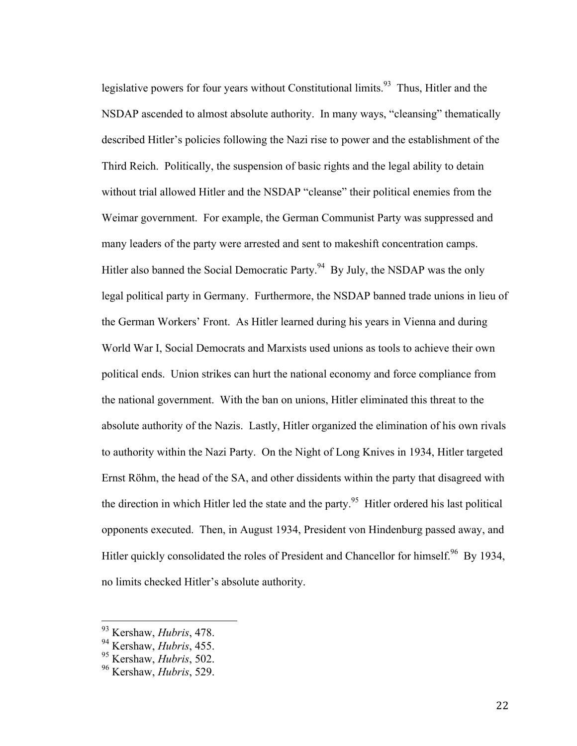legislative powers for four years without Constitutional limits.<sup>93</sup> Thus, Hitler and the NSDAP ascended to almost absolute authority. In many ways, "cleansing" thematically described Hitler's policies following the Nazi rise to power and the establishment of the Third Reich. Politically, the suspension of basic rights and the legal ability to detain without trial allowed Hitler and the NSDAP "cleanse" their political enemies from the Weimar government. For example, the German Communist Party was suppressed and many leaders of the party were arrested and sent to makeshift concentration camps. Hitler also banned the Social Democratic Party.<sup>94</sup> By July, the NSDAP was the only legal political party in Germany. Furthermore, the NSDAP banned trade unions in lieu of the German Workers' Front. As Hitler learned during his years in Vienna and during World War I, Social Democrats and Marxists used unions as tools to achieve their own political ends. Union strikes can hurt the national economy and force compliance from the national government. With the ban on unions, Hitler eliminated this threat to the absolute authority of the Nazis. Lastly, Hitler organized the elimination of his own rivals to authority within the Nazi Party. On the Night of Long Knives in 1934, Hitler targeted Ernst Röhm, the head of the SA, and other dissidents within the party that disagreed with the direction in which Hitler led the state and the party.<sup>95</sup> Hitler ordered his last political opponents executed. Then, in August 1934, President von Hindenburg passed away, and Hitler quickly consolidated the roles of President and Chancellor for himself.<sup>96</sup> By 1934, no limits checked Hitler's absolute authority.

 <sup>93</sup> Kershaw, *Hubris*, 478.

<sup>94</sup> Kershaw, *Hubris*, 455.

<sup>95</sup> Kershaw, *Hubris*, 502.

<sup>96</sup> Kershaw, *Hubris*, 529.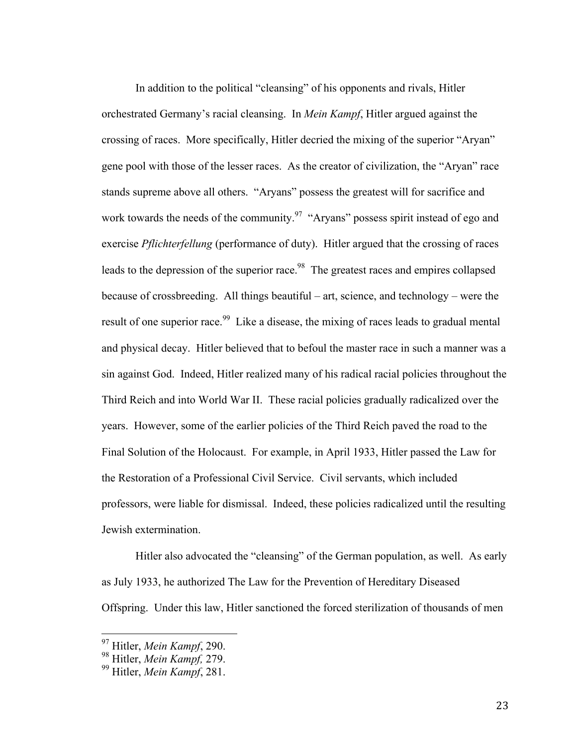In addition to the political "cleansing" of his opponents and rivals, Hitler orchestrated Germany's racial cleansing. In *Mein Kampf*, Hitler argued against the crossing of races. More specifically, Hitler decried the mixing of the superior "Aryan" gene pool with those of the lesser races. As the creator of civilization, the "Aryan" race stands supreme above all others. "Aryans" possess the greatest will for sacrifice and work towards the needs of the community.<sup>97</sup> "Aryans" possess spirit instead of ego and exercise *Pflichterfellung* (performance of duty). Hitler argued that the crossing of races leads to the depression of the superior race.<sup>98</sup> The greatest races and empires collapsed because of crossbreeding. All things beautiful – art, science, and technology – were the result of one superior race.<sup>99</sup> Like a disease, the mixing of races leads to gradual mental and physical decay. Hitler believed that to befoul the master race in such a manner was a sin against God. Indeed, Hitler realized many of his radical racial policies throughout the Third Reich and into World War II. These racial policies gradually radicalized over the years. However, some of the earlier policies of the Third Reich paved the road to the Final Solution of the Holocaust. For example, in April 1933, Hitler passed the Law for the Restoration of a Professional Civil Service. Civil servants, which included professors, were liable for dismissal. Indeed, these policies radicalized until the resulting Jewish extermination.

Hitler also advocated the "cleansing" of the German population, as well. As early as July 1933, he authorized The Law for the Prevention of Hereditary Diseased Offspring. Under this law, Hitler sanctioned the forced sterilization of thousands of men

 <sup>97</sup> Hitler, *Mein Kampf*, 290.

<sup>98</sup> Hitler, *Mein Kampf,* 279.

<sup>99</sup> Hitler, *Mein Kampf*, 281.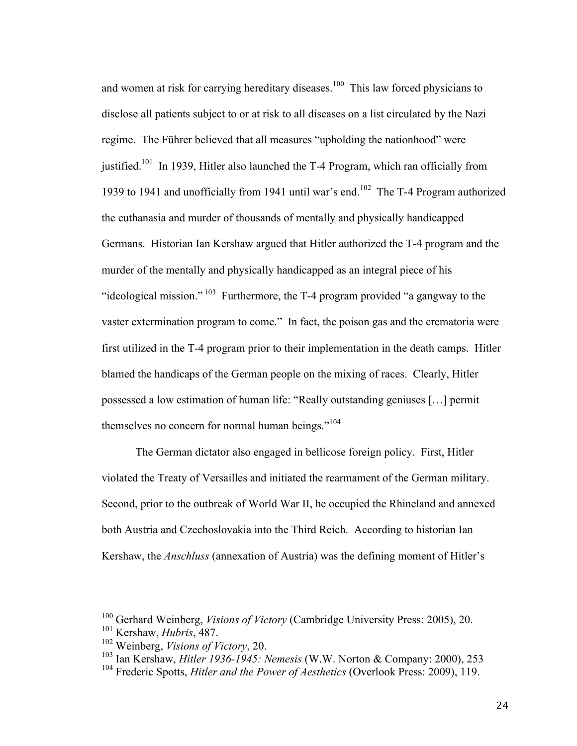and women at risk for carrying hereditary diseases.<sup>100</sup> This law forced physicians to disclose all patients subject to or at risk to all diseases on a list circulated by the Nazi regime. The Führer believed that all measures "upholding the nationhood" were justified.<sup>101</sup> In 1939, Hitler also launched the T-4 Program, which ran officially from 1939 to 1941 and unofficially from 1941 until war's end.<sup>102</sup> The T-4 Program authorized the euthanasia and murder of thousands of mentally and physically handicapped Germans. Historian Ian Kershaw argued that Hitler authorized the T-4 program and the murder of the mentally and physically handicapped as an integral piece of his "ideological mission."  $103$  Furthermore, the T-4 program provided "a gangway to the vaster extermination program to come." In fact, the poison gas and the crematoria were first utilized in the T-4 program prior to their implementation in the death camps. Hitler blamed the handicaps of the German people on the mixing of races. Clearly, Hitler possessed a low estimation of human life: "Really outstanding geniuses […] permit themselves no concern for normal human beings."<sup>104</sup>

The German dictator also engaged in bellicose foreign policy. First, Hitler violated the Treaty of Versailles and initiated the rearmament of the German military. Second, prior to the outbreak of World War II, he occupied the Rhineland and annexed both Austria and Czechoslovakia into the Third Reich. According to historian Ian Kershaw, the *Anschluss* (annexation of Austria) was the defining moment of Hitler's

 <sup>100</sup> Gerhard Weinberg, *Visions of Victory* (Cambridge University Press: 2005), 20.

<sup>101</sup> Kershaw, *Hubris*, 487.

<sup>102</sup> Weinberg, *Visions of Victory*, 20.

<sup>103</sup> Ian Kershaw, *Hitler 1936-1945: Nemesis* (W.W. Norton & Company: 2000), 253

<sup>&</sup>lt;sup>104</sup> Frederic Spotts, *Hitler and the Power of Aesthetics* (Overlook Press: 2009), 119.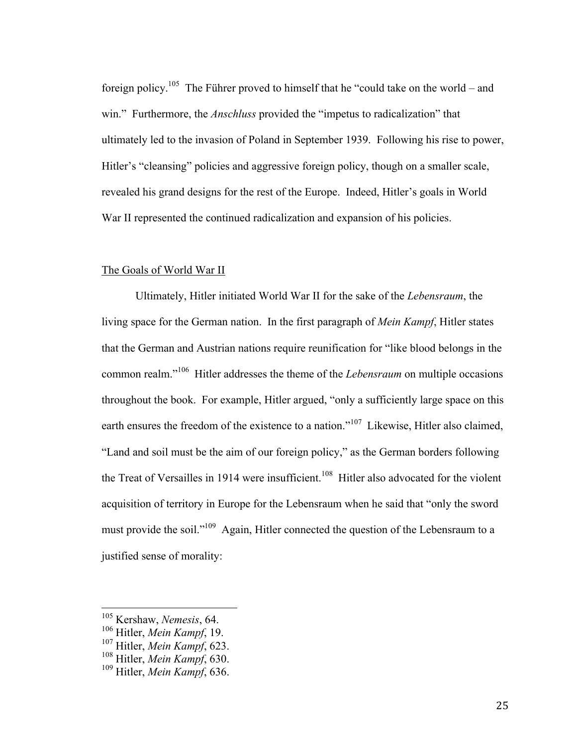foreign policy.<sup>105</sup> The Führer proved to himself that he "could take on the world – and win." Furthermore, the *Anschluss* provided the "impetus to radicalization" that ultimately led to the invasion of Poland in September 1939. Following his rise to power, Hitler's "cleansing" policies and aggressive foreign policy, though on a smaller scale, revealed his grand designs for the rest of the Europe. Indeed, Hitler's goals in World War II represented the continued radicalization and expansion of his policies.

#### The Goals of World War II

Ultimately, Hitler initiated World War II for the sake of the *Lebensraum*, the living space for the German nation. In the first paragraph of *Mein Kampf*, Hitler states that the German and Austrian nations require reunification for "like blood belongs in the common realm."106 Hitler addresses the theme of the *Lebensraum* on multiple occasions throughout the book. For example, Hitler argued, "only a sufficiently large space on this earth ensures the freedom of the existence to a nation."<sup>107</sup> Likewise, Hitler also claimed, "Land and soil must be the aim of our foreign policy," as the German borders following the Treat of Versailles in 1914 were insufficient.<sup>108</sup> Hitler also advocated for the violent acquisition of territory in Europe for the Lebensraum when he said that "only the sword must provide the soil."<sup>109</sup> Again, Hitler connected the question of the Lebensraum to a justified sense of morality:

 <sup>105</sup> Kershaw, *Nemesis*, 64. <sup>106</sup> Hitler, *Mein Kampf*, 19.

<sup>107</sup> Hitler, *Mein Kampf*, 623.

<sup>108</sup> Hitler, *Mein Kampf*, 630.

<sup>109</sup> Hitler, *Mein Kampf*, 636.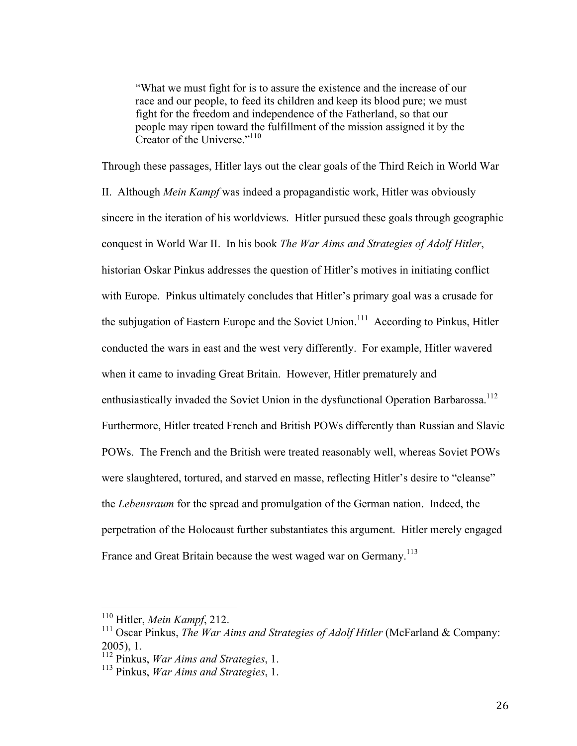"What we must fight for is to assure the existence and the increase of our race and our people, to feed its children and keep its blood pure; we must fight for the freedom and independence of the Fatherland, so that our people may ripen toward the fulfillment of the mission assigned it by the Creator of the Universe."<sup>110</sup>

Through these passages, Hitler lays out the clear goals of the Third Reich in World War II. Although *Mein Kampf* was indeed a propagandistic work, Hitler was obviously sincere in the iteration of his worldviews. Hitler pursued these goals through geographic conquest in World War II. In his book *The War Aims and Strategies of Adolf Hitler*, historian Oskar Pinkus addresses the question of Hitler's motives in initiating conflict with Europe. Pinkus ultimately concludes that Hitler's primary goal was a crusade for the subjugation of Eastern Europe and the Soviet Union.<sup>111</sup> According to Pinkus, Hitler conducted the wars in east and the west very differently. For example, Hitler wavered when it came to invading Great Britain. However, Hitler prematurely and enthusiastically invaded the Soviet Union in the dysfunctional Operation Barbarossa.<sup>112</sup> Furthermore, Hitler treated French and British POWs differently than Russian and Slavic POWs. The French and the British were treated reasonably well, whereas Soviet POWs were slaughtered, tortured, and starved en masse, reflecting Hitler's desire to "cleanse" the *Lebensraum* for the spread and promulgation of the German nation. Indeed, the perpetration of the Holocaust further substantiates this argument. Hitler merely engaged France and Great Britain because the west waged war on Germany.<sup>113</sup>

 <sup>110</sup> Hitler, *Mein Kampf*, 212.

<sup>&</sup>lt;sup>111</sup> Oscar Pinkus, *The War Aims and Strategies of Adolf Hitler* (McFarland & Company: 2005), 1.

<sup>112</sup> Pinkus, *War Aims and Strategies*, 1.

<sup>113</sup> Pinkus, *War Aims and Strategies*, 1.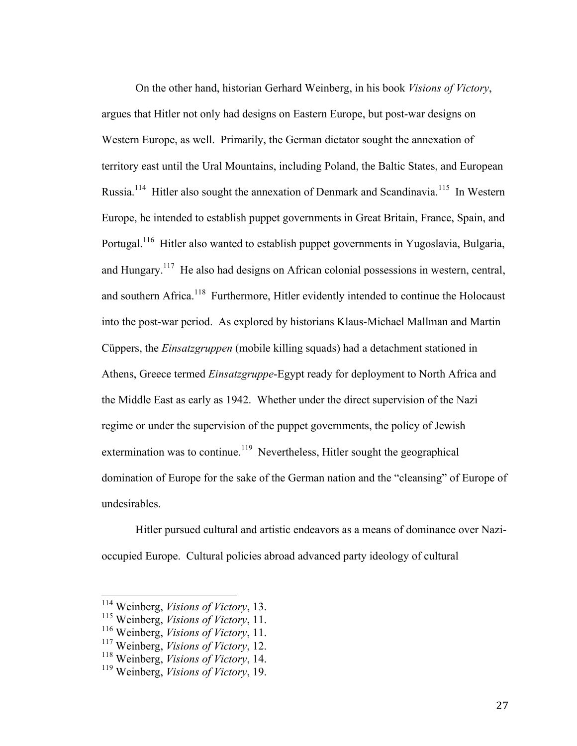On the other hand, historian Gerhard Weinberg, in his book *Visions of Victory*, argues that Hitler not only had designs on Eastern Europe, but post-war designs on Western Europe, as well. Primarily, the German dictator sought the annexation of territory east until the Ural Mountains, including Poland, the Baltic States, and European Russia.<sup>114</sup> Hitler also sought the annexation of Denmark and Scandinavia.<sup>115</sup> In Western Europe, he intended to establish puppet governments in Great Britain, France, Spain, and Portugal.<sup>116</sup> Hitler also wanted to establish puppet governments in Yugoslavia, Bulgaria, and Hungary.<sup>117</sup> He also had designs on African colonial possessions in western, central, and southern Africa.<sup>118</sup> Furthermore, Hitler evidently intended to continue the Holocaust into the post-war period. As explored by historians Klaus-Michael Mallman and Martin Cüppers, the *Einsatzgruppen* (mobile killing squads) had a detachment stationed in Athens, Greece termed *Einsatzgruppe*-Egypt ready for deployment to North Africa and the Middle East as early as 1942. Whether under the direct supervision of the Nazi regime or under the supervision of the puppet governments, the policy of Jewish extermination was to continue.<sup>119</sup> Nevertheless, Hitler sought the geographical domination of Europe for the sake of the German nation and the "cleansing" of Europe of undesirables.

Hitler pursued cultural and artistic endeavors as a means of dominance over Nazioccupied Europe. Cultural policies abroad advanced party ideology of cultural

 <sup>114</sup> Weinberg, *Visions of Victory*, 13.

<sup>115</sup> Weinberg, *Visions of Victory*, 11.

<sup>116</sup> Weinberg, *Visions of Victory*, 11.

<sup>117</sup> Weinberg, *Visions of Victory*, 12.

<sup>118</sup> Weinberg, *Visions of Victory*, 14.

<sup>119</sup> Weinberg, *Visions of Victory*, 19.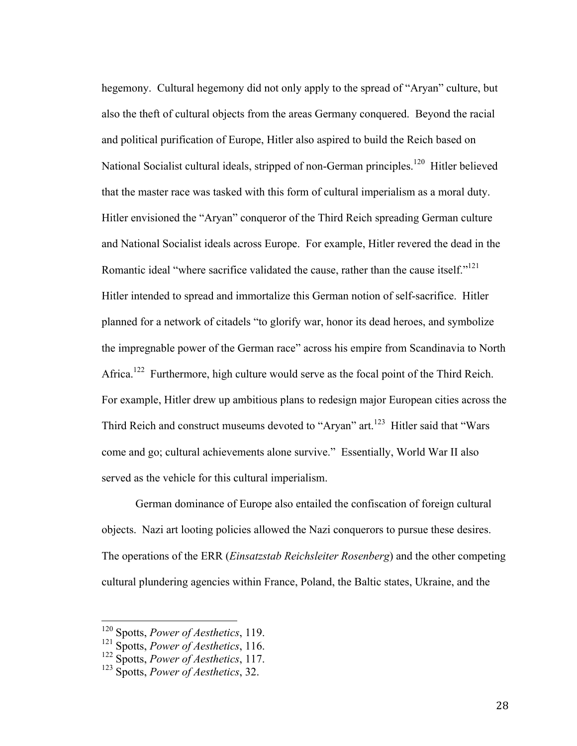hegemony. Cultural hegemony did not only apply to the spread of "Aryan" culture, but also the theft of cultural objects from the areas Germany conquered. Beyond the racial and political purification of Europe, Hitler also aspired to build the Reich based on National Socialist cultural ideals, stripped of non-German principles.<sup>120</sup> Hitler believed that the master race was tasked with this form of cultural imperialism as a moral duty. Hitler envisioned the "Aryan" conqueror of the Third Reich spreading German culture and National Socialist ideals across Europe. For example, Hitler revered the dead in the Romantic ideal "where sacrifice validated the cause, rather than the cause itself."<sup>121</sup> Hitler intended to spread and immortalize this German notion of self-sacrifice. Hitler planned for a network of citadels "to glorify war, honor its dead heroes, and symbolize the impregnable power of the German race" across his empire from Scandinavia to North Africa.<sup>122</sup> Furthermore, high culture would serve as the focal point of the Third Reich. For example, Hitler drew up ambitious plans to redesign major European cities across the Third Reich and construct museums devoted to "Aryan" art.<sup>123</sup> Hitler said that "Wars" come and go; cultural achievements alone survive." Essentially, World War II also served as the vehicle for this cultural imperialism.

German dominance of Europe also entailed the confiscation of foreign cultural objects. Nazi art looting policies allowed the Nazi conquerors to pursue these desires. The operations of the ERR (*Einsatzstab Reichsleiter Rosenberg*) and the other competing cultural plundering agencies within France, Poland, the Baltic states, Ukraine, and the

 <sup>120</sup> Spotts, *Power of Aesthetics*, 119.

<sup>121</sup> Spotts, *Power of Aesthetics*, 116.

<sup>122</sup> Spotts, *Power of Aesthetics*, 117.

<sup>123</sup> Spotts, *Power of Aesthetics*, 32.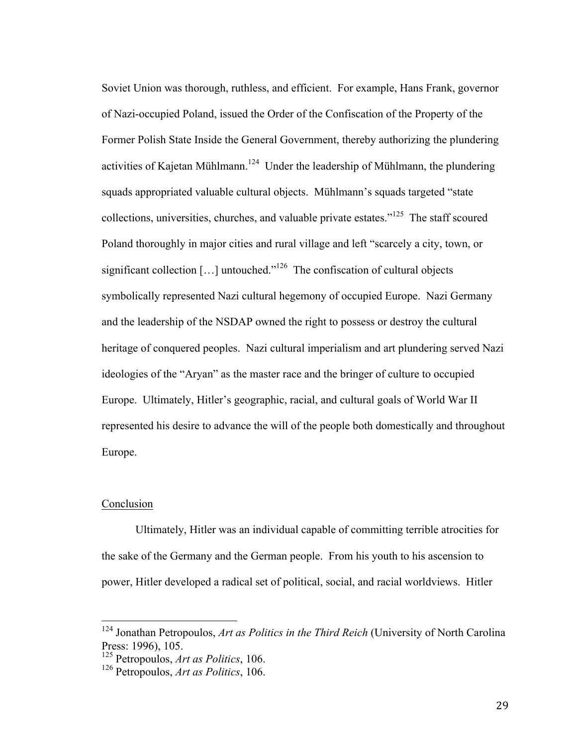Soviet Union was thorough, ruthless, and efficient. For example, Hans Frank, governor of Nazi-occupied Poland, issued the Order of the Confiscation of the Property of the Former Polish State Inside the General Government, thereby authorizing the plundering activities of Kajetan Mühlmann.<sup>124</sup> Under the leadership of Mühlmann, the plundering squads appropriated valuable cultural objects. Mühlmann's squads targeted "state collections, universities, churches, and valuable private estates."125 The staff scoured Poland thoroughly in major cities and rural village and left "scarcely a city, town, or significant collection  $[\dots]$  untouched."<sup>126</sup> The confiscation of cultural objects symbolically represented Nazi cultural hegemony of occupied Europe. Nazi Germany and the leadership of the NSDAP owned the right to possess or destroy the cultural heritage of conquered peoples. Nazi cultural imperialism and art plundering served Nazi ideologies of the "Aryan" as the master race and the bringer of culture to occupied Europe. Ultimately, Hitler's geographic, racial, and cultural goals of World War II represented his desire to advance the will of the people both domestically and throughout Europe.

# Conclusion

Ultimately, Hitler was an individual capable of committing terrible atrocities for the sake of the Germany and the German people. From his youth to his ascension to power, Hitler developed a radical set of political, social, and racial worldviews. Hitler

<sup>&</sup>lt;sup>124</sup> Jonathan Petropoulos, *Art as Politics in the Third Reich* (University of North Carolina Press: 1996), 105.

<sup>125</sup> Petropoulos, *Art as Politics*, 106.

<sup>126</sup> Petropoulos, *Art as Politics*, 106.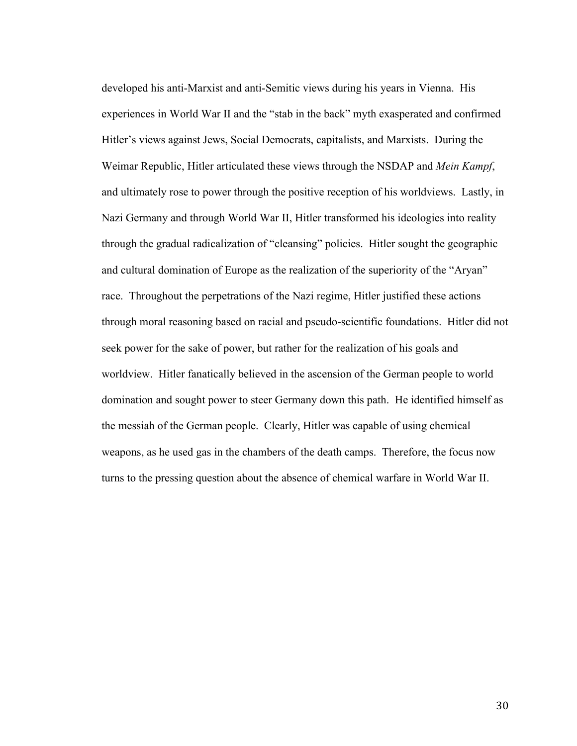developed his anti-Marxist and anti-Semitic views during his years in Vienna. His experiences in World War II and the "stab in the back" myth exasperated and confirmed Hitler's views against Jews, Social Democrats, capitalists, and Marxists. During the Weimar Republic, Hitler articulated these views through the NSDAP and *Mein Kampf*, and ultimately rose to power through the positive reception of his worldviews. Lastly, in Nazi Germany and through World War II, Hitler transformed his ideologies into reality through the gradual radicalization of "cleansing" policies. Hitler sought the geographic and cultural domination of Europe as the realization of the superiority of the "Aryan" race. Throughout the perpetrations of the Nazi regime, Hitler justified these actions through moral reasoning based on racial and pseudo-scientific foundations. Hitler did not seek power for the sake of power, but rather for the realization of his goals and worldview. Hitler fanatically believed in the ascension of the German people to world domination and sought power to steer Germany down this path. He identified himself as the messiah of the German people. Clearly, Hitler was capable of using chemical weapons, as he used gas in the chambers of the death camps. Therefore, the focus now turns to the pressing question about the absence of chemical warfare in World War II.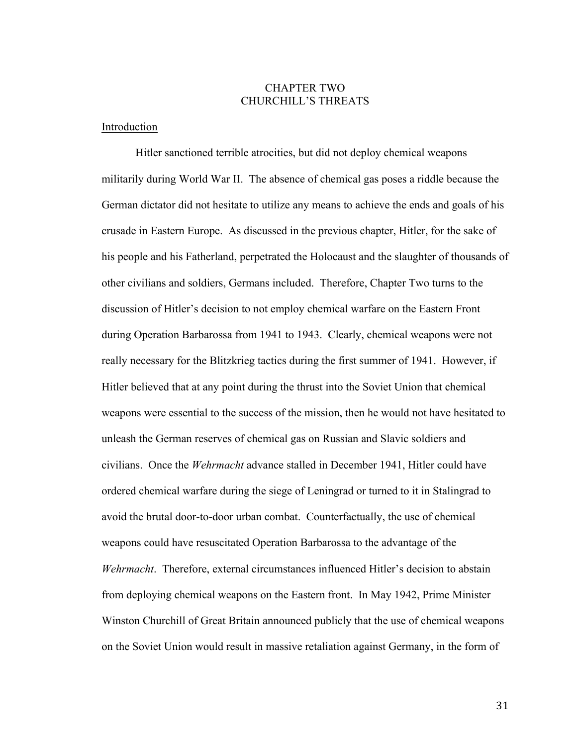# CHAPTER TWO CHURCHILL'S THREATS

#### Introduction

Hitler sanctioned terrible atrocities, but did not deploy chemical weapons militarily during World War II. The absence of chemical gas poses a riddle because the German dictator did not hesitate to utilize any means to achieve the ends and goals of his crusade in Eastern Europe. As discussed in the previous chapter, Hitler, for the sake of his people and his Fatherland, perpetrated the Holocaust and the slaughter of thousands of other civilians and soldiers, Germans included. Therefore, Chapter Two turns to the discussion of Hitler's decision to not employ chemical warfare on the Eastern Front during Operation Barbarossa from 1941 to 1943. Clearly, chemical weapons were not really necessary for the Blitzkrieg tactics during the first summer of 1941. However, if Hitler believed that at any point during the thrust into the Soviet Union that chemical weapons were essential to the success of the mission, then he would not have hesitated to unleash the German reserves of chemical gas on Russian and Slavic soldiers and civilians. Once the *Wehrmacht* advance stalled in December 1941, Hitler could have ordered chemical warfare during the siege of Leningrad or turned to it in Stalingrad to avoid the brutal door-to-door urban combat. Counterfactually, the use of chemical weapons could have resuscitated Operation Barbarossa to the advantage of the *Wehrmacht*. Therefore, external circumstances influenced Hitler's decision to abstain from deploying chemical weapons on the Eastern front. In May 1942, Prime Minister Winston Churchill of Great Britain announced publicly that the use of chemical weapons on the Soviet Union would result in massive retaliation against Germany, in the form of

31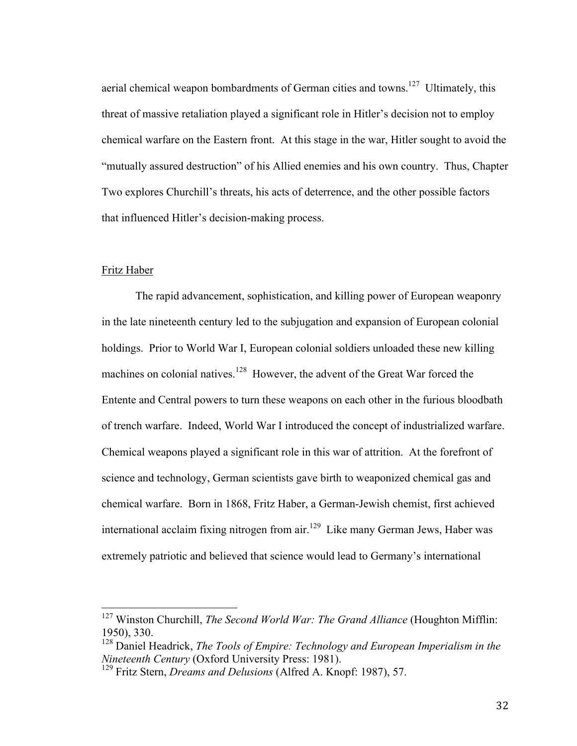aerial chemical weapon bombardments of German cities and towns.<sup>127</sup> Ultimately, this threat of massive retaliation played a significant role in Hitler's decision not to employ chemical warfare on the Eastern front. At this stage in the war, Hitler sought to avoid the "mutually assured destruction" of his Allied enemies and his own country. Thus, Chapter Two explores Churchill's threats, his acts of deterrence, and the other possible factors that influenced Hitler's decision-making process.

#### Fritz Haber

The rapid advancement, sophistication, and killing power of European weaponry in the late nineteenth century led to the subjugation and expansion of European colonial holdings. Prior to World War I, European colonial soldiers unloaded these new killing machines on colonial natives.<sup>128</sup> However, the advent of the Great War forced the Entente and Central powers to turn these weapons on each other in the furious bloodbath of trench warfare. Indeed, World War I introduced the concept of industrialized warfare. Chemical weapons played a significant role in this war of attrition. At the forefront of science and technology, German scientists gave birth to weaponized chemical gas and chemical warfare. Born in 1868, Fritz Haber, a German-Jewish chemist, first achieved international acclaim fixing nitrogen from air.<sup>129</sup> Like many German Jews, Haber was extremely patriotic and believed that science would lead to Germany's international

 <sup>127</sup> Winston Churchill, *The Second World War: The Grand Alliance* (Houghton Mifflin: 1950), 330.

<sup>&</sup>lt;sup>128</sup> Daniel Headrick, *The Tools of Empire: Technology and European Imperialism in the Nineteenth Century* (Oxford University Press: 1981). <sup>129</sup> Fritz Stern, *Dreams and Delusions* (Alfred A. Knopf: 1987), 57.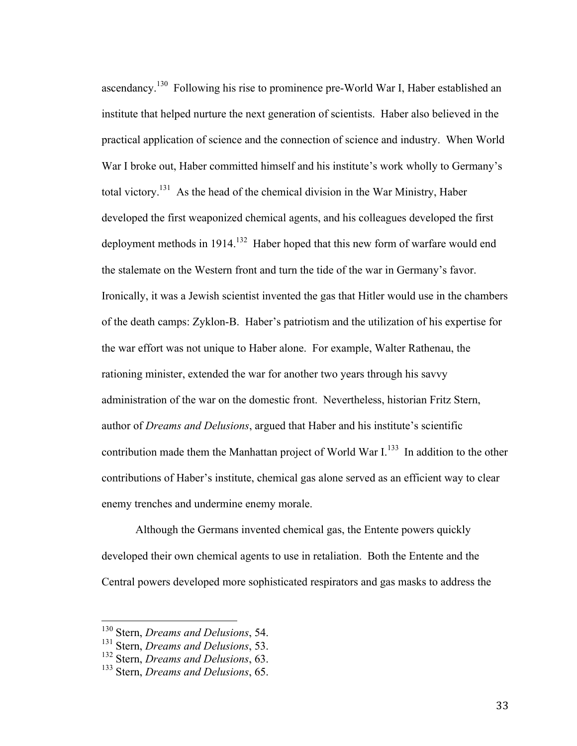ascendancy.130 Following his rise to prominence pre-World War I, Haber established an institute that helped nurture the next generation of scientists. Haber also believed in the practical application of science and the connection of science and industry. When World War I broke out, Haber committed himself and his institute's work wholly to Germany's total victory.<sup>131</sup> As the head of the chemical division in the War Ministry, Haber developed the first weaponized chemical agents, and his colleagues developed the first deployment methods in 1914.<sup>132</sup> Haber hoped that this new form of warfare would end the stalemate on the Western front and turn the tide of the war in Germany's favor. Ironically, it was a Jewish scientist invented the gas that Hitler would use in the chambers of the death camps: Zyklon-B. Haber's patriotism and the utilization of his expertise for the war effort was not unique to Haber alone. For example, Walter Rathenau, the rationing minister, extended the war for another two years through his savvy administration of the war on the domestic front. Nevertheless, historian Fritz Stern, author of *Dreams and Delusions*, argued that Haber and his institute's scientific contribution made them the Manhattan project of World War  $I<sup>133</sup>$  In addition to the other contributions of Haber's institute, chemical gas alone served as an efficient way to clear enemy trenches and undermine enemy morale.

Although the Germans invented chemical gas, the Entente powers quickly developed their own chemical agents to use in retaliation. Both the Entente and the Central powers developed more sophisticated respirators and gas masks to address the

 <sup>130</sup> Stern, *Dreams and Delusions*, 54.

<sup>131</sup> Stern, *Dreams and Delusions*, 53.

<sup>132</sup> Stern, *Dreams and Delusions*, 63.

<sup>133</sup> Stern, *Dreams and Delusions*, 65.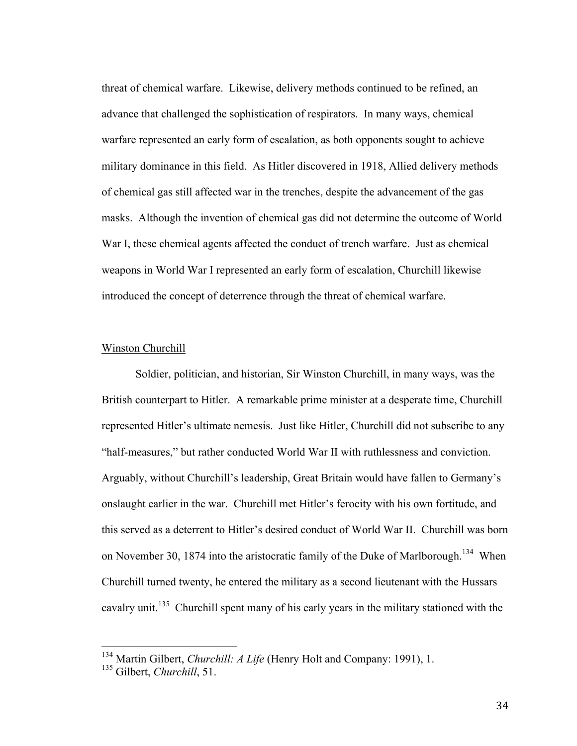threat of chemical warfare. Likewise, delivery methods continued to be refined, an advance that challenged the sophistication of respirators. In many ways, chemical warfare represented an early form of escalation, as both opponents sought to achieve military dominance in this field. As Hitler discovered in 1918, Allied delivery methods of chemical gas still affected war in the trenches, despite the advancement of the gas masks. Although the invention of chemical gas did not determine the outcome of World War I, these chemical agents affected the conduct of trench warfare. Just as chemical weapons in World War I represented an early form of escalation, Churchill likewise introduced the concept of deterrence through the threat of chemical warfare.

## Winston Churchill

Soldier, politician, and historian, Sir Winston Churchill, in many ways, was the British counterpart to Hitler. A remarkable prime minister at a desperate time, Churchill represented Hitler's ultimate nemesis. Just like Hitler, Churchill did not subscribe to any "half-measures," but rather conducted World War II with ruthlessness and conviction. Arguably, without Churchill's leadership, Great Britain would have fallen to Germany's onslaught earlier in the war. Churchill met Hitler's ferocity with his own fortitude, and this served as a deterrent to Hitler's desired conduct of World War II. Churchill was born on November 30, 1874 into the aristocratic family of the Duke of Marlborough.<sup>134</sup> When Churchill turned twenty, he entered the military as a second lieutenant with the Hussars cavalry unit.<sup>135</sup> Churchill spent many of his early years in the military stationed with the

 <sup>134</sup> Martin Gilbert, *Churchill: A Life* (Henry Holt and Company: 1991), 1.

<sup>135</sup> Gilbert, *Churchill*, 51.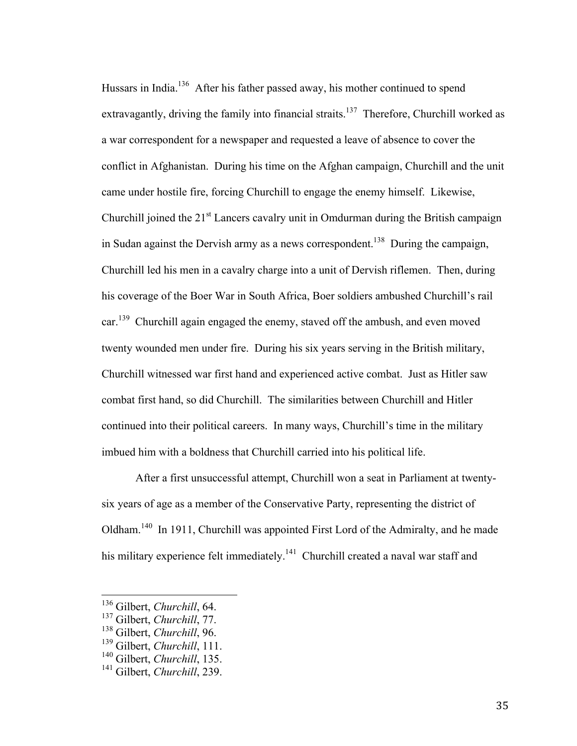Hussars in India.<sup>136</sup> After his father passed away, his mother continued to spend extravagantly, driving the family into financial straits.<sup>137</sup> Therefore, Churchill worked as a war correspondent for a newspaper and requested a leave of absence to cover the conflict in Afghanistan. During his time on the Afghan campaign, Churchill and the unit came under hostile fire, forcing Churchill to engage the enemy himself. Likewise, Churchill joined the 21<sup>st</sup> Lancers cavalry unit in Omdurman during the British campaign in Sudan against the Dervish army as a news correspondent.<sup>138</sup> During the campaign, Churchill led his men in a cavalry charge into a unit of Dervish riflemen. Then, during his coverage of the Boer War in South Africa, Boer soldiers ambushed Churchill's rail car.<sup>139</sup> Churchill again engaged the enemy, staved off the ambush, and even moved twenty wounded men under fire. During his six years serving in the British military, Churchill witnessed war first hand and experienced active combat. Just as Hitler saw combat first hand, so did Churchill. The similarities between Churchill and Hitler continued into their political careers. In many ways, Churchill's time in the military imbued him with a boldness that Churchill carried into his political life.

After a first unsuccessful attempt, Churchill won a seat in Parliament at twentysix years of age as a member of the Conservative Party, representing the district of Oldham.140 In 1911, Churchill was appointed First Lord of the Admiralty, and he made his military experience felt immediately.<sup>141</sup> Churchill created a naval war staff and

 <sup>136</sup> Gilbert, *Churchill*, 64.

<sup>137</sup> Gilbert, *Churchill*, 77.

<sup>138</sup> Gilbert, *Churchill*, 96.

<sup>139</sup> Gilbert, *Churchill*, 111.

<sup>140</sup> Gilbert, *Churchill*, 135.

<sup>141</sup> Gilbert, *Churchill*, 239.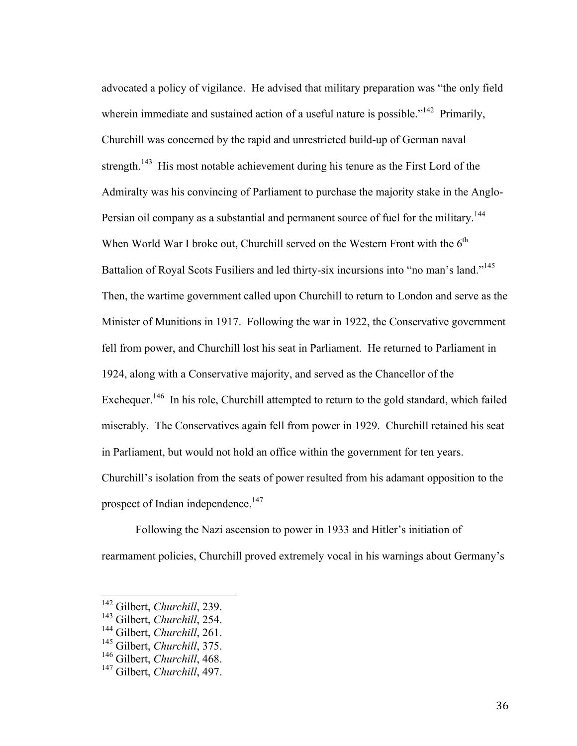advocated a policy of vigilance. He advised that military preparation was "the only field wherein immediate and sustained action of a useful nature is possible."<sup>142</sup> Primarily, Churchill was concerned by the rapid and unrestricted build-up of German naval strength.<sup>143</sup> His most notable achievement during his tenure as the First Lord of the Admiralty was his convincing of Parliament to purchase the majority stake in the Anglo-Persian oil company as a substantial and permanent source of fuel for the military.<sup>144</sup> When World War I broke out, Churchill served on the Western Front with the  $6<sup>th</sup>$ Battalion of Royal Scots Fusiliers and led thirty-six incursions into "no man's land."<sup>145</sup> Then, the wartime government called upon Churchill to return to London and serve as the Minister of Munitions in 1917. Following the war in 1922, the Conservative government fell from power, and Churchill lost his seat in Parliament. He returned to Parliament in 1924, along with a Conservative majority, and served as the Chancellor of the Exchequer.<sup>146</sup> In his role, Churchill attempted to return to the gold standard, which failed miserably. The Conservatives again fell from power in 1929. Churchill retained his seat in Parliament, but would not hold an office within the government for ten years. Churchill's isolation from the seats of power resulted from his adamant opposition to the prospect of Indian independence.<sup>147</sup>

Following the Nazi ascension to power in 1933 and Hitler's initiation of rearmament policies, Churchill proved extremely vocal in his warnings about Germany's

 <sup>142</sup> Gilbert, *Churchill*, 239.

<sup>143</sup> Gilbert, *Churchill*, 254.

<sup>144</sup> Gilbert, *Churchill*, 261.

<sup>145</sup> Gilbert, *Churchill*, 375.

<sup>146</sup> Gilbert, *Churchill*, 468.

<sup>147</sup> Gilbert, *Churchill*, 497.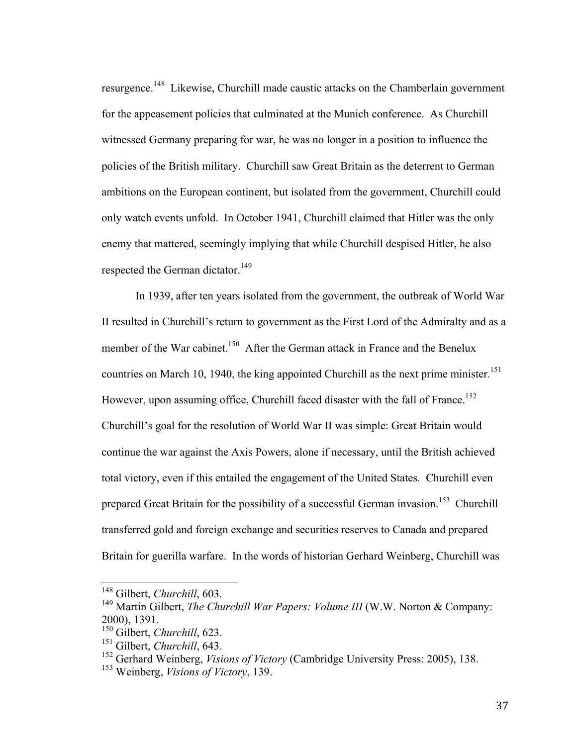resurgence.148 Likewise, Churchill made caustic attacks on the Chamberlain government for the appeasement policies that culminated at the Munich conference. As Churchill witnessed Germany preparing for war, he was no longer in a position to influence the policies of the British military. Churchill saw Great Britain as the deterrent to German ambitions on the European continent, but isolated from the government, Churchill could only watch events unfold. In October 1941, Churchill claimed that Hitler was the only enemy that mattered, seemingly implying that while Churchill despised Hitler, he also respected the German dictator.<sup>149</sup>

In 1939, after ten years isolated from the government, the outbreak of World War II resulted in Churchill's return to government as the First Lord of the Admiralty and as a member of the War cabinet.<sup>150</sup> After the German attack in France and the Benelux countries on March 10, 1940, the king appointed Churchill as the next prime minister.<sup>151</sup> However, upon assuming office, Churchill faced disaster with the fall of France.<sup>152</sup> Churchill's goal for the resolution of World War II was simple: Great Britain would continue the war against the Axis Powers, alone if necessary, until the British achieved total victory, even if this entailed the engagement of the United States. Churchill even prepared Great Britain for the possibility of a successful German invasion.<sup>153</sup> Churchill transferred gold and foreign exchange and securities reserves to Canada and prepared Britain for guerilla warfare. In the words of historian Gerhard Weinberg, Churchill was

 <sup>148</sup> Gilbert, *Churchill*, 603.

<sup>149</sup> Martin Gilbert, *The Churchill War Papers: Volume III* (W.W. Norton & Company: 2000), 1391.

<sup>150</sup> Gilbert, *Churchill*, 623.

<sup>151</sup> Gilbert, *Churchill*, 643.

<sup>152</sup> Gerhard Weinberg, *Visions of Victory* (Cambridge University Press: 2005), 138.

<sup>153</sup> Weinberg, *Visions of Victory*, 139.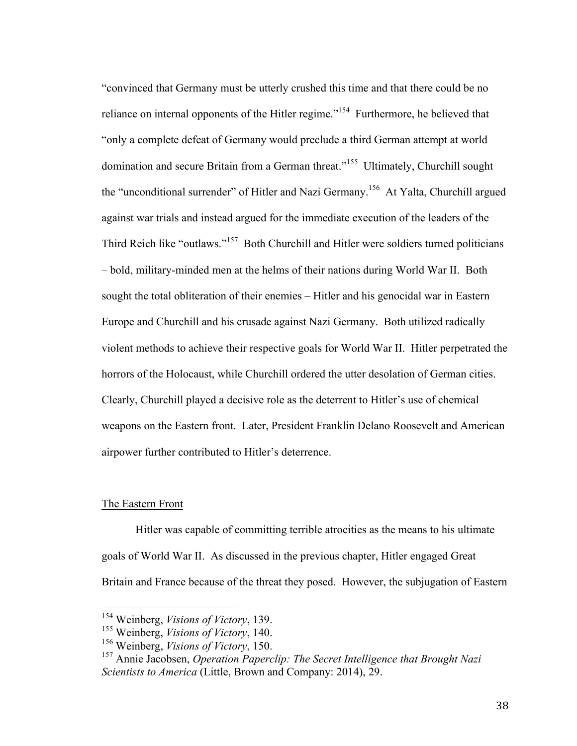"convinced that Germany must be utterly crushed this time and that there could be no reliance on internal opponents of the Hitler regime."<sup>154</sup> Furthermore, he believed that "only a complete defeat of Germany would preclude a third German attempt at world domination and secure Britain from a German threat."155 Ultimately, Churchill sought the "unconditional surrender" of Hitler and Nazi Germany.<sup>156</sup> At Yalta, Churchill argued against war trials and instead argued for the immediate execution of the leaders of the Third Reich like "outlaws."157 Both Churchill and Hitler were soldiers turned politicians – bold, military-minded men at the helms of their nations during World War II. Both sought the total obliteration of their enemies – Hitler and his genocidal war in Eastern Europe and Churchill and his crusade against Nazi Germany. Both utilized radically violent methods to achieve their respective goals for World War II. Hitler perpetrated the horrors of the Holocaust, while Churchill ordered the utter desolation of German cities. Clearly, Churchill played a decisive role as the deterrent to Hitler's use of chemical weapons on the Eastern front. Later, President Franklin Delano Roosevelt and American airpower further contributed to Hitler's deterrence.

## The Eastern Front

Hitler was capable of committing terrible atrocities as the means to his ultimate goals of World War II. As discussed in the previous chapter, Hitler engaged Great Britain and France because of the threat they posed. However, the subjugation of Eastern

 <sup>154</sup> Weinberg, *Visions of Victory*, 139.

<sup>155</sup> Weinberg, *Visions of Victory*, 140.

<sup>156</sup> Weinberg, *Visions of Victory*, 150.

<sup>157</sup> Annie Jacobsen, *Operation Paperclip: The Secret Intelligence that Brought Nazi Scientists to America* (Little, Brown and Company: 2014), 29.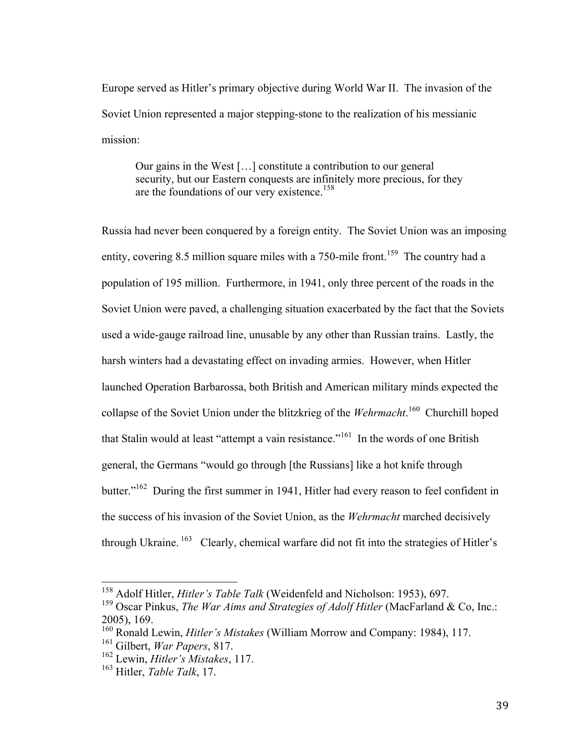Europe served as Hitler's primary objective during World War II. The invasion of the Soviet Union represented a major stepping-stone to the realization of his messianic mission:

Our gains in the West […] constitute a contribution to our general security, but our Eastern conquests are infinitely more precious, for they are the foundations of our very existence.<sup>158</sup>

Russia had never been conquered by a foreign entity. The Soviet Union was an imposing entity, covering 8.5 million square miles with a 750-mile front.<sup>159</sup> The country had a population of 195 million. Furthermore, in 1941, only three percent of the roads in the Soviet Union were paved, a challenging situation exacerbated by the fact that the Soviets used a wide-gauge railroad line, unusable by any other than Russian trains. Lastly, the harsh winters had a devastating effect on invading armies. However, when Hitler launched Operation Barbarossa, both British and American military minds expected the collapse of the Soviet Union under the blitzkrieg of the *Wehrmacht*.<sup>160</sup> Churchill hoped that Stalin would at least "attempt a vain resistance."<sup>161</sup> In the words of one British general, the Germans "would go through [the Russians] like a hot knife through butter."<sup>162</sup> During the first summer in 1941, Hitler had every reason to feel confident in the success of his invasion of the Soviet Union, as the *Wehrmacht* marched decisively through Ukraine.  $^{163}$  Clearly, chemical warfare did not fit into the strategies of Hitler's

 <sup>158</sup> Adolf Hitler, *Hitler's Table Talk* (Weidenfeld and Nicholson: 1953), 697.

<sup>159</sup> Oscar Pinkus, *The War Aims and Strategies of Adolf Hitler* (MacFarland & Co, Inc.: 2005), 169.

<sup>160</sup> Ronald Lewin, *Hitler's Mistakes* (William Morrow and Company: 1984), 117.

<sup>161</sup> Gilbert, *War Papers*, 817.

<sup>162</sup> Lewin, *Hitler's Mistakes*, 117.

<sup>163</sup> Hitler, *Table Talk*, 17.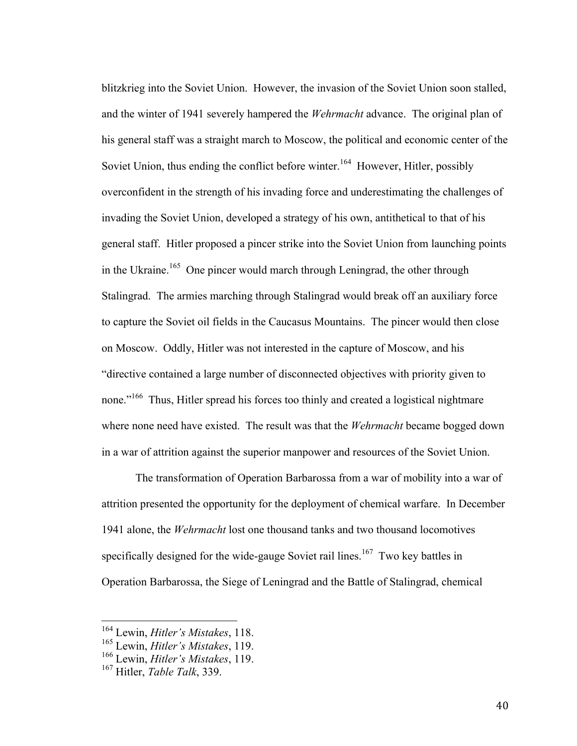blitzkrieg into the Soviet Union. However, the invasion of the Soviet Union soon stalled, and the winter of 1941 severely hampered the *Wehrmacht* advance. The original plan of his general staff was a straight march to Moscow, the political and economic center of the Soviet Union, thus ending the conflict before winter.<sup>164</sup> However, Hitler, possibly overconfident in the strength of his invading force and underestimating the challenges of invading the Soviet Union, developed a strategy of his own, antithetical to that of his general staff. Hitler proposed a pincer strike into the Soviet Union from launching points in the Ukraine.<sup>165</sup> One pincer would march through Leningrad, the other through Stalingrad. The armies marching through Stalingrad would break off an auxiliary force to capture the Soviet oil fields in the Caucasus Mountains. The pincer would then close on Moscow. Oddly, Hitler was not interested in the capture of Moscow, and his "directive contained a large number of disconnected objectives with priority given to none."<sup>166</sup> Thus, Hitler spread his forces too thinly and created a logistical nightmare where none need have existed. The result was that the *Wehrmacht* became bogged down in a war of attrition against the superior manpower and resources of the Soviet Union.

The transformation of Operation Barbarossa from a war of mobility into a war of attrition presented the opportunity for the deployment of chemical warfare. In December 1941 alone, the *Wehrmacht* lost one thousand tanks and two thousand locomotives specifically designed for the wide-gauge Soviet rail lines.<sup>167</sup> Two key battles in Operation Barbarossa, the Siege of Leningrad and the Battle of Stalingrad, chemical

 <sup>164</sup> Lewin, *Hitler's Mistakes*, 118.

<sup>165</sup> Lewin, *Hitler's Mistakes*, 119.

<sup>166</sup> Lewin, *Hitler's Mistakes*, 119.

<sup>167</sup> Hitler, *Table Talk*, 339.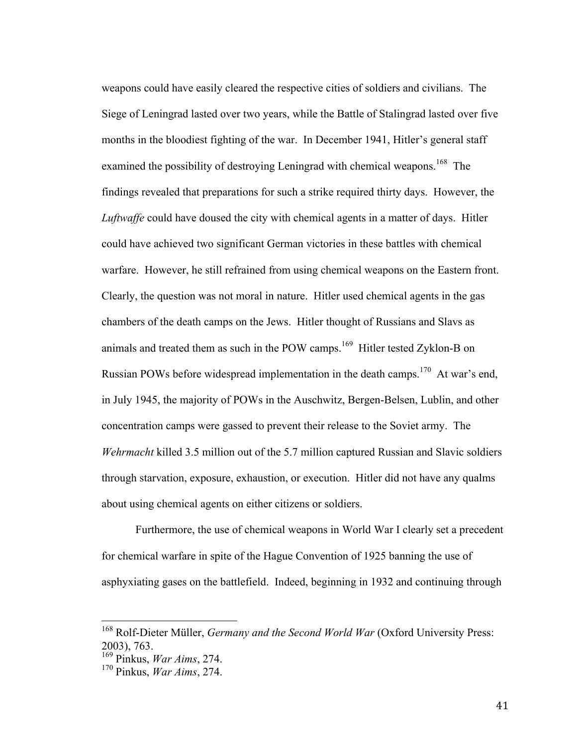weapons could have easily cleared the respective cities of soldiers and civilians. The Siege of Leningrad lasted over two years, while the Battle of Stalingrad lasted over five months in the bloodiest fighting of the war. In December 1941, Hitler's general staff examined the possibility of destroying Leningrad with chemical weapons.<sup>168</sup> The findings revealed that preparations for such a strike required thirty days. However, the *Luftwaffe* could have doused the city with chemical agents in a matter of days. Hitler could have achieved two significant German victories in these battles with chemical warfare. However, he still refrained from using chemical weapons on the Eastern front. Clearly, the question was not moral in nature. Hitler used chemical agents in the gas chambers of the death camps on the Jews. Hitler thought of Russians and Slavs as animals and treated them as such in the POW camps.<sup>169</sup> Hitler tested Zyklon-B on Russian POWs before widespread implementation in the death camps.<sup>170</sup> At war's end, in July 1945, the majority of POWs in the Auschwitz, Bergen-Belsen, Lublin, and other concentration camps were gassed to prevent their release to the Soviet army. The *Wehrmacht* killed 3.5 million out of the 5.7 million captured Russian and Slavic soldiers through starvation, exposure, exhaustion, or execution. Hitler did not have any qualms about using chemical agents on either citizens or soldiers.

Furthermore, the use of chemical weapons in World War I clearly set a precedent for chemical warfare in spite of the Hague Convention of 1925 banning the use of asphyxiating gases on the battlefield. Indeed, beginning in 1932 and continuing through

 <sup>168</sup> Rolf-Dieter Müller, *Germany and the Second World War* (Oxford University Press: 2003), 763.

<sup>169</sup> Pinkus, *War Aims*, 274.

<sup>170</sup> Pinkus, *War Aims*, 274.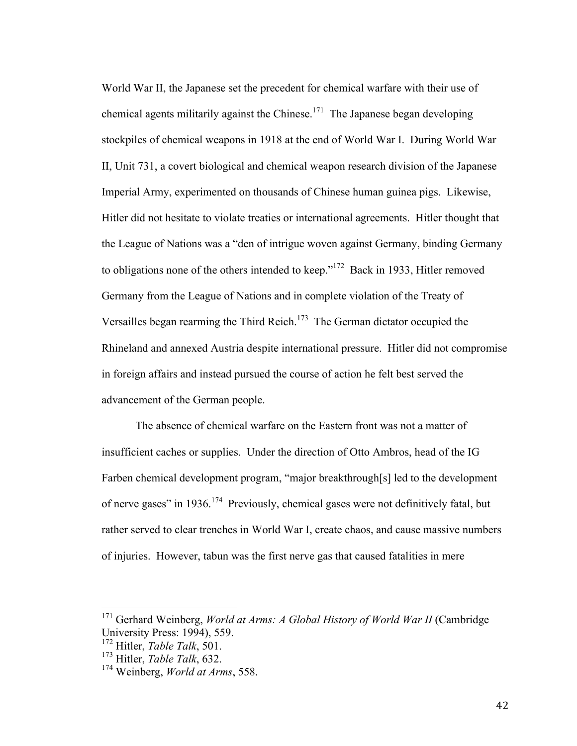World War II, the Japanese set the precedent for chemical warfare with their use of chemical agents militarily against the Chinese.<sup>171</sup> The Japanese began developing stockpiles of chemical weapons in 1918 at the end of World War I. During World War II, Unit 731, a covert biological and chemical weapon research division of the Japanese Imperial Army, experimented on thousands of Chinese human guinea pigs. Likewise, Hitler did not hesitate to violate treaties or international agreements. Hitler thought that the League of Nations was a "den of intrigue woven against Germany, binding Germany to obligations none of the others intended to keep."<sup>172</sup> Back in 1933, Hitler removed Germany from the League of Nations and in complete violation of the Treaty of Versailles began rearming the Third Reich.<sup>173</sup> The German dictator occupied the Rhineland and annexed Austria despite international pressure. Hitler did not compromise in foreign affairs and instead pursued the course of action he felt best served the advancement of the German people.

The absence of chemical warfare on the Eastern front was not a matter of insufficient caches or supplies. Under the direction of Otto Ambros, head of the IG Farben chemical development program, "major breakthrough[s] led to the development of nerve gases" in 1936.174 Previously, chemical gases were not definitively fatal, but rather served to clear trenches in World War I, create chaos, and cause massive numbers of injuries. However, tabun was the first nerve gas that caused fatalities in mere

<sup>&</sup>lt;sup>171</sup> Gerhard Weinberg, *World at Arms: A Global History of World War II* (Cambridge University Press: 1994), 559.

<sup>&</sup>lt;sup>172</sup> Hitler, *Table Talk*, 501.

<sup>173</sup> Hitler, *Table Talk*, 632.

<sup>174</sup> Weinberg, *World at Arms*, 558.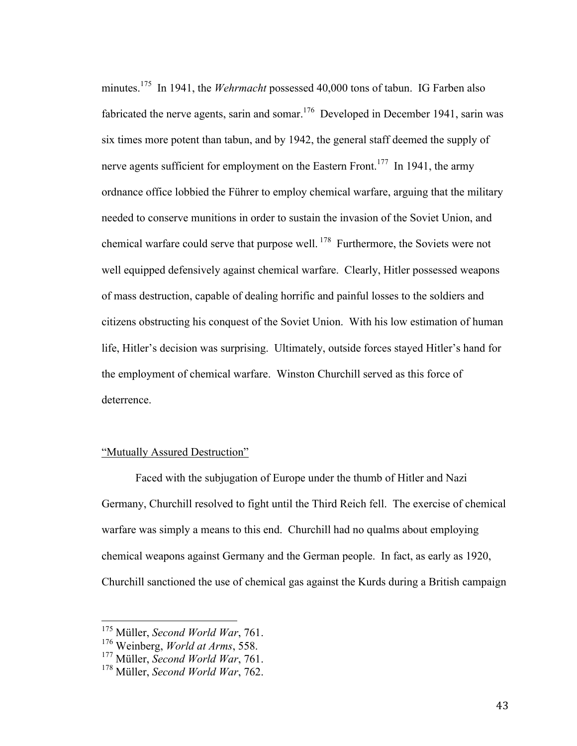minutes.<sup>175</sup> In 1941, the *Wehrmacht* possessed 40,000 tons of tabun. IG Farben also fabricated the nerve agents, sarin and somar.<sup>176</sup> Developed in December 1941, sarin was six times more potent than tabun, and by 1942, the general staff deemed the supply of nerve agents sufficient for employment on the Eastern Front.<sup>177</sup> In 1941, the army ordnance office lobbied the Führer to employ chemical warfare, arguing that the military needed to conserve munitions in order to sustain the invasion of the Soviet Union, and chemical warfare could serve that purpose well. 178 Furthermore, the Soviets were not well equipped defensively against chemical warfare. Clearly, Hitler possessed weapons of mass destruction, capable of dealing horrific and painful losses to the soldiers and citizens obstructing his conquest of the Soviet Union. With his low estimation of human life, Hitler's decision was surprising. Ultimately, outside forces stayed Hitler's hand for the employment of chemical warfare. Winston Churchill served as this force of deterrence.

# "Mutually Assured Destruction"

Faced with the subjugation of Europe under the thumb of Hitler and Nazi Germany, Churchill resolved to fight until the Third Reich fell. The exercise of chemical warfare was simply a means to this end. Churchill had no qualms about employing chemical weapons against Germany and the German people. In fact, as early as 1920, Churchill sanctioned the use of chemical gas against the Kurds during a British campaign

 <sup>175</sup> Müller, *Second World War*, 761.

<sup>176</sup> Weinberg, *World at Arms*, 558.

<sup>177</sup> Müller, *Second World War*, 761.

<sup>178</sup> Müller, *Second World War*, 762.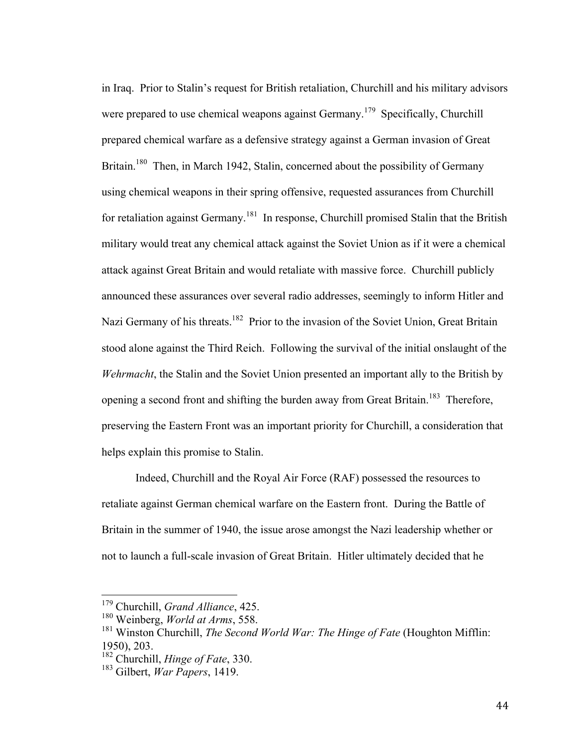in Iraq. Prior to Stalin's request for British retaliation, Churchill and his military advisors were prepared to use chemical weapons against Germany.<sup>179</sup> Specifically, Churchill prepared chemical warfare as a defensive strategy against a German invasion of Great Britain.<sup>180</sup> Then, in March 1942, Stalin, concerned about the possibility of Germany using chemical weapons in their spring offensive, requested assurances from Churchill for retaliation against Germany.<sup>181</sup> In response, Churchill promised Stalin that the British military would treat any chemical attack against the Soviet Union as if it were a chemical attack against Great Britain and would retaliate with massive force. Churchill publicly announced these assurances over several radio addresses, seemingly to inform Hitler and Nazi Germany of his threats.<sup>182</sup> Prior to the invasion of the Soviet Union, Great Britain stood alone against the Third Reich. Following the survival of the initial onslaught of the *Wehrmacht*, the Stalin and the Soviet Union presented an important ally to the British by opening a second front and shifting the burden away from Great Britain.<sup>183</sup> Therefore, preserving the Eastern Front was an important priority for Churchill, a consideration that helps explain this promise to Stalin.

Indeed, Churchill and the Royal Air Force (RAF) possessed the resources to retaliate against German chemical warfare on the Eastern front. During the Battle of Britain in the summer of 1940, the issue arose amongst the Nazi leadership whether or not to launch a full-scale invasion of Great Britain. Hitler ultimately decided that he

 <sup>179</sup> Churchill, *Grand Alliance*, 425.

<sup>180</sup> Weinberg, *World at Arms*, 558.

<sup>181</sup> Winston Churchill, *The Second World War: The Hinge of Fate* (Houghton Mifflin: 1950), 203.

<sup>182</sup> Churchill, *Hinge of Fate*, 330.

<sup>183</sup> Gilbert, *War Papers*, 1419.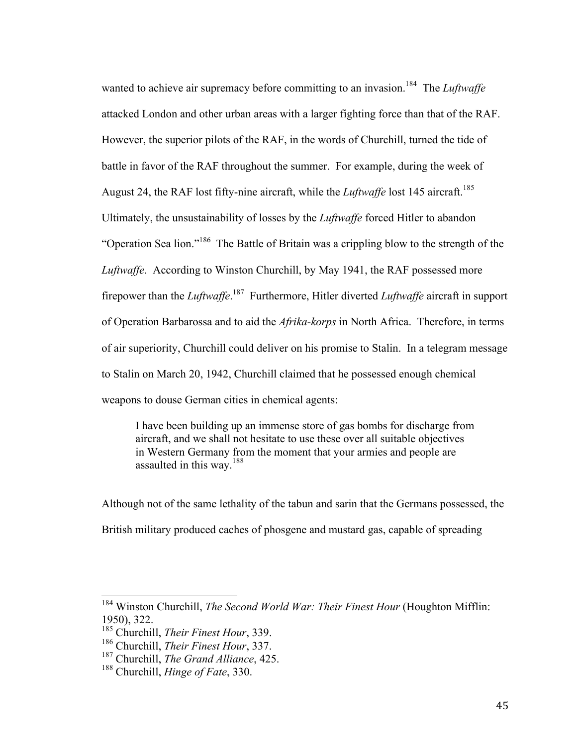wanted to achieve air supremacy before committing to an invasion.<sup>184</sup> The *Luftwaffe* attacked London and other urban areas with a larger fighting force than that of the RAF. However, the superior pilots of the RAF, in the words of Churchill, turned the tide of battle in favor of the RAF throughout the summer. For example, during the week of August 24, the RAF lost fifty-nine aircraft, while the *Luftwaffe* lost 145 aircraft.<sup>185</sup> Ultimately, the unsustainability of losses by the *Luftwaffe* forced Hitler to abandon "Operation Sea lion."186 The Battle of Britain was a crippling blow to the strength of the *Luftwaffe*. According to Winston Churchill, by May 1941, the RAF possessed more firepower than the *Luftwaffe*. 187 Furthermore, Hitler diverted *Luftwaffe* aircraft in support of Operation Barbarossa and to aid the *Afrika-korps* in North Africa. Therefore, in terms of air superiority, Churchill could deliver on his promise to Stalin. In a telegram message to Stalin on March 20, 1942, Churchill claimed that he possessed enough chemical weapons to douse German cities in chemical agents:

I have been building up an immense store of gas bombs for discharge from aircraft, and we shall not hesitate to use these over all suitable objectives in Western Germany from the moment that your armies and people are assaulted in this way.<sup>188</sup>

Although not of the same lethality of the tabun and sarin that the Germans possessed, the British military produced caches of phosgene and mustard gas, capable of spreading

 <sup>184</sup> Winston Churchill, *The Second World War: Their Finest Hour* (Houghton Mifflin: 1950), 322.

<sup>185</sup> Churchill, *Their Finest Hour*, 339.

<sup>186</sup> Churchill, *Their Finest Hour*, 337.

<sup>187</sup> Churchill, *The Grand Alliance*, 425.

<sup>188</sup> Churchill, *Hinge of Fate*, 330.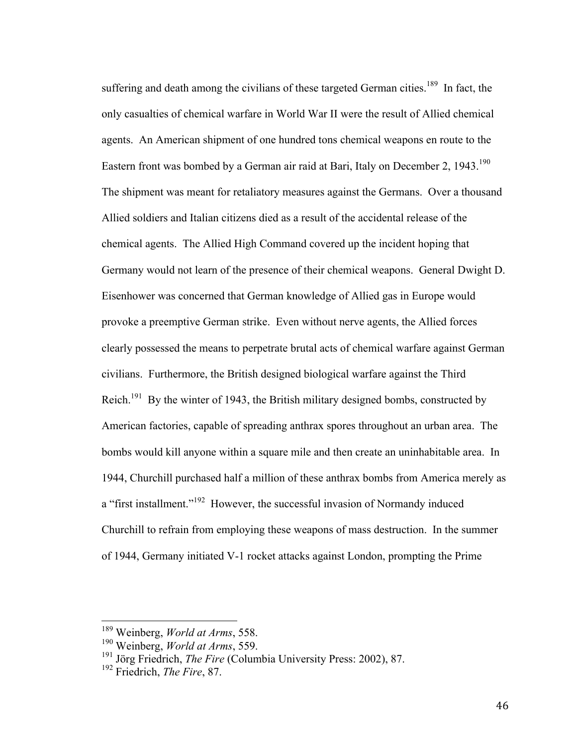suffering and death among the civilians of these targeted German cities.<sup>189</sup> In fact, the only casualties of chemical warfare in World War II were the result of Allied chemical agents. An American shipment of one hundred tons chemical weapons en route to the Eastern front was bombed by a German air raid at Bari, Italy on December 2,  $1943$ <sup>190</sup> The shipment was meant for retaliatory measures against the Germans. Over a thousand Allied soldiers and Italian citizens died as a result of the accidental release of the chemical agents. The Allied High Command covered up the incident hoping that Germany would not learn of the presence of their chemical weapons. General Dwight D. Eisenhower was concerned that German knowledge of Allied gas in Europe would provoke a preemptive German strike. Even without nerve agents, the Allied forces clearly possessed the means to perpetrate brutal acts of chemical warfare against German civilians. Furthermore, the British designed biological warfare against the Third Reich.<sup>191</sup> By the winter of 1943, the British military designed bombs, constructed by American factories, capable of spreading anthrax spores throughout an urban area. The bombs would kill anyone within a square mile and then create an uninhabitable area. In 1944, Churchill purchased half a million of these anthrax bombs from America merely as a "first installment."<sup>192</sup> However, the successful invasion of Normandy induced Churchill to refrain from employing these weapons of mass destruction. In the summer of 1944, Germany initiated V-1 rocket attacks against London, prompting the Prime

 <sup>189</sup> Weinberg, *World at Arms*, 558.

<sup>190</sup> Weinberg, *World at Arms*, 559.

<sup>191</sup> Jörg Friedrich, *The Fire* (Columbia University Press: 2002), 87.

<sup>192</sup> Friedrich, *The Fire*, 87.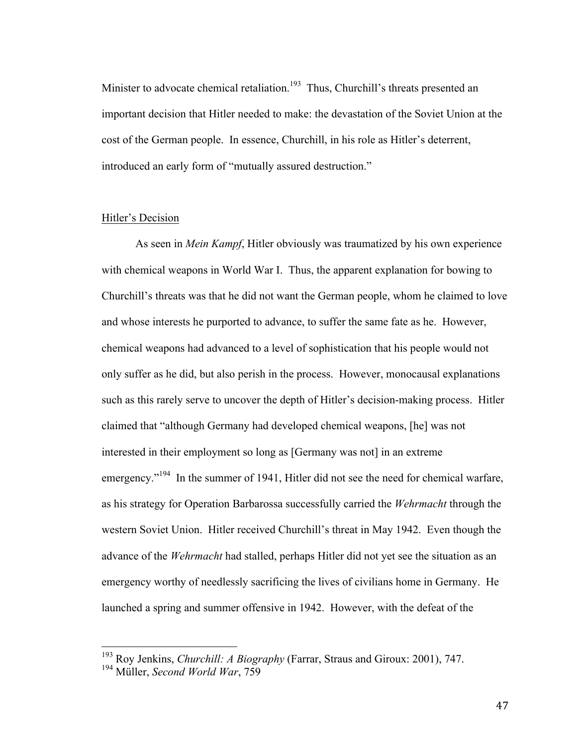Minister to advocate chemical retaliation.<sup>193</sup> Thus, Churchill's threats presented an important decision that Hitler needed to make: the devastation of the Soviet Union at the cost of the German people. In essence, Churchill, in his role as Hitler's deterrent, introduced an early form of "mutually assured destruction."

### Hitler's Decision

As seen in *Mein Kampf*, Hitler obviously was traumatized by his own experience with chemical weapons in World War I. Thus, the apparent explanation for bowing to Churchill's threats was that he did not want the German people, whom he claimed to love and whose interests he purported to advance, to suffer the same fate as he. However, chemical weapons had advanced to a level of sophistication that his people would not only suffer as he did, but also perish in the process. However, monocausal explanations such as this rarely serve to uncover the depth of Hitler's decision-making process. Hitler claimed that "although Germany had developed chemical weapons, [he] was not interested in their employment so long as [Germany was not] in an extreme emergency."<sup>194</sup> In the summer of 1941, Hitler did not see the need for chemical warfare, as his strategy for Operation Barbarossa successfully carried the *Wehrmacht* through the western Soviet Union. Hitler received Churchill's threat in May 1942. Even though the advance of the *Wehrmacht* had stalled, perhaps Hitler did not yet see the situation as an emergency worthy of needlessly sacrificing the lives of civilians home in Germany. He launched a spring and summer offensive in 1942. However, with the defeat of the

 <sup>193</sup> Roy Jenkins, *Churchill: A Biography* (Farrar, Straus and Giroux: 2001), 747.

<sup>194</sup> Müller, *Second World War*, 759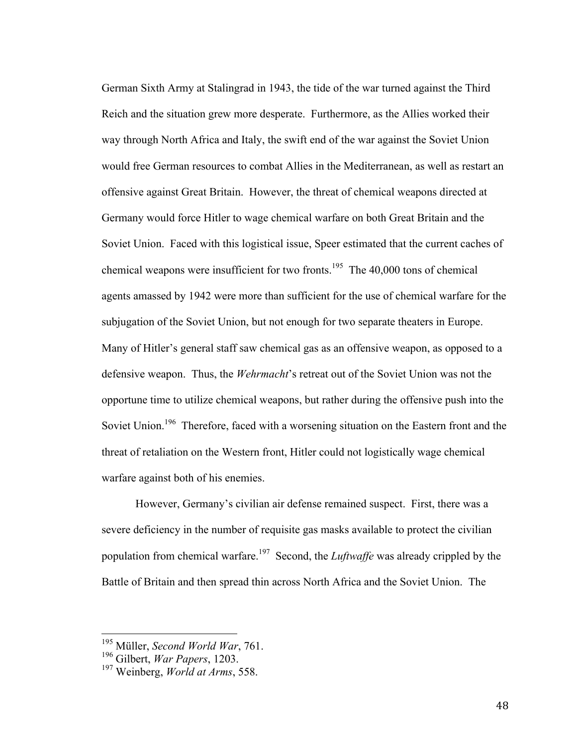German Sixth Army at Stalingrad in 1943, the tide of the war turned against the Third Reich and the situation grew more desperate. Furthermore, as the Allies worked their way through North Africa and Italy, the swift end of the war against the Soviet Union would free German resources to combat Allies in the Mediterranean, as well as restart an offensive against Great Britain. However, the threat of chemical weapons directed at Germany would force Hitler to wage chemical warfare on both Great Britain and the Soviet Union. Faced with this logistical issue, Speer estimated that the current caches of chemical weapons were insufficient for two fronts.<sup>195</sup> The 40,000 tons of chemical agents amassed by 1942 were more than sufficient for the use of chemical warfare for the subjugation of the Soviet Union, but not enough for two separate theaters in Europe. Many of Hitler's general staff saw chemical gas as an offensive weapon, as opposed to a defensive weapon. Thus, the *Wehrmacht*'s retreat out of the Soviet Union was not the opportune time to utilize chemical weapons, but rather during the offensive push into the Soviet Union.<sup>196</sup> Therefore, faced with a worsening situation on the Eastern front and the threat of retaliation on the Western front, Hitler could not logistically wage chemical warfare against both of his enemies.

However, Germany's civilian air defense remained suspect. First, there was a severe deficiency in the number of requisite gas masks available to protect the civilian population from chemical warfare.197 Second, the *Luftwaffe* was already crippled by the Battle of Britain and then spread thin across North Africa and the Soviet Union. The

 <sup>195</sup> Müller, *Second World War*, 761.

<sup>196</sup> Gilbert, *War Papers*, 1203.

<sup>197</sup> Weinberg, *World at Arms*, 558.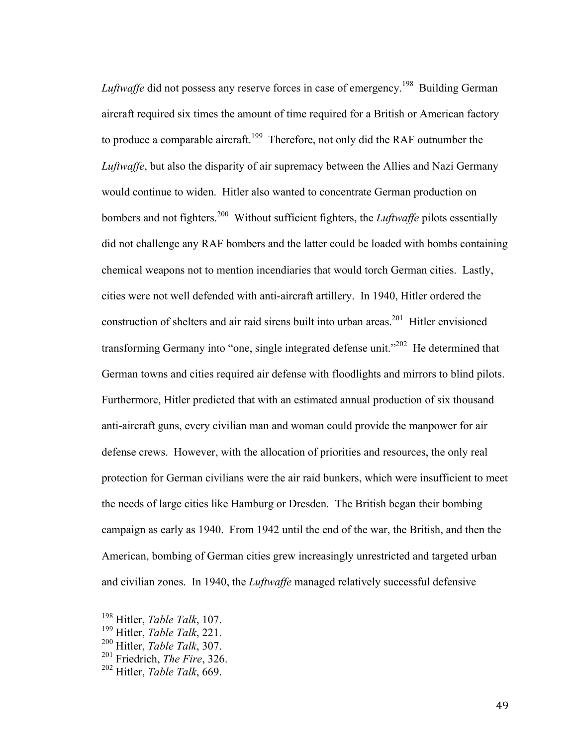*Luftwaffe* did not possess any reserve forces in case of emergency.<sup>198</sup> Building German aircraft required six times the amount of time required for a British or American factory to produce a comparable aircraft.<sup>199</sup> Therefore, not only did the RAF outnumber the *Luftwaffe*, but also the disparity of air supremacy between the Allies and Nazi Germany would continue to widen. Hitler also wanted to concentrate German production on bombers and not fighters.200 Without sufficient fighters, the *Luftwaffe* pilots essentially did not challenge any RAF bombers and the latter could be loaded with bombs containing chemical weapons not to mention incendiaries that would torch German cities. Lastly, cities were not well defended with anti-aircraft artillery. In 1940, Hitler ordered the construction of shelters and air raid sirens built into urban areas.<sup>201</sup> Hitler envisioned transforming Germany into "one, single integrated defense unit."<sup>202</sup> He determined that German towns and cities required air defense with floodlights and mirrors to blind pilots. Furthermore, Hitler predicted that with an estimated annual production of six thousand anti-aircraft guns, every civilian man and woman could provide the manpower for air defense crews. However, with the allocation of priorities and resources, the only real protection for German civilians were the air raid bunkers, which were insufficient to meet the needs of large cities like Hamburg or Dresden. The British began their bombing campaign as early as 1940. From 1942 until the end of the war, the British, and then the American, bombing of German cities grew increasingly unrestricted and targeted urban and civilian zones. In 1940, the *Luftwaffe* managed relatively successful defensive

49

 <sup>198</sup> Hitler, *Table Talk*, 107.

<sup>199</sup> Hitler, *Table Talk*, 221.

<sup>200</sup> Hitler, *Table Talk*, 307.

<sup>201</sup> Friedrich, *The Fire*, 326.

<sup>202</sup> Hitler, *Table Talk*, 669.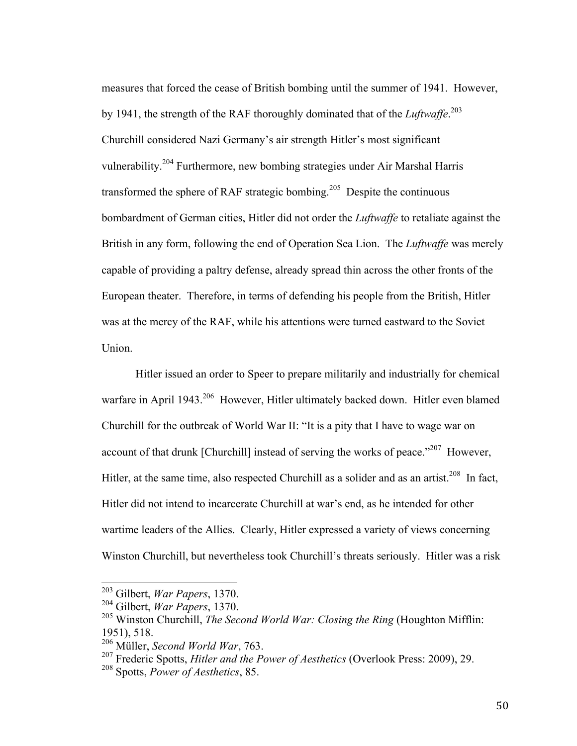measures that forced the cease of British bombing until the summer of 1941. However, by 1941, the strength of the RAF thoroughly dominated that of the *Luftwaffe*. 203 Churchill considered Nazi Germany's air strength Hitler's most significant vulnerability.<sup>204</sup> Furthermore, new bombing strategies under Air Marshal Harris transformed the sphere of RAF strategic bombing.<sup>205</sup> Despite the continuous bombardment of German cities, Hitler did not order the *Luftwaffe* to retaliate against the British in any form, following the end of Operation Sea Lion. The *Luftwaffe* was merely capable of providing a paltry defense, already spread thin across the other fronts of the European theater. Therefore, in terms of defending his people from the British, Hitler was at the mercy of the RAF, while his attentions were turned eastward to the Soviet Union.

Hitler issued an order to Speer to prepare militarily and industrially for chemical warfare in April 1943.<sup>206</sup> However, Hitler ultimately backed down. Hitler even blamed Churchill for the outbreak of World War II: "It is a pity that I have to wage war on account of that drunk [Churchill] instead of serving the works of peace."<sup>207</sup> However, Hitler, at the same time, also respected Churchill as a solider and as an artist.<sup>208</sup> In fact, Hitler did not intend to incarcerate Churchill at war's end, as he intended for other wartime leaders of the Allies. Clearly, Hitler expressed a variety of views concerning Winston Churchill, but nevertheless took Churchill's threats seriously. Hitler was a risk

 <sup>203</sup> Gilbert, *War Papers*, 1370.

<sup>204</sup> Gilbert, *War Papers*, 1370.

<sup>205</sup> Winston Churchill, *The Second World War: Closing the Ring* (Houghton Mifflin: 1951), 518.

<sup>206</sup> Müller, *Second World War*, 763.

<sup>207</sup> Frederic Spotts, *Hitler and the Power of Aesthetics* (Overlook Press: 2009), 29.

<sup>208</sup> Spotts, *Power of Aesthetics*, 85.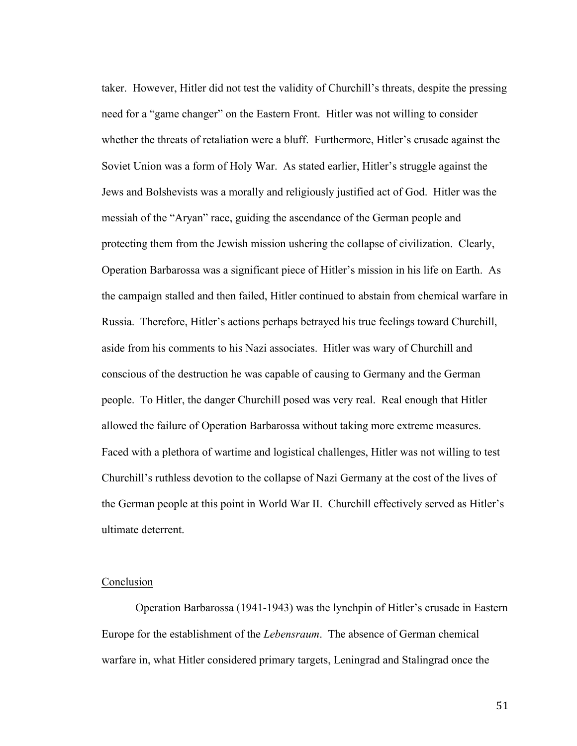taker. However, Hitler did not test the validity of Churchill's threats, despite the pressing need for a "game changer" on the Eastern Front. Hitler was not willing to consider whether the threats of retaliation were a bluff. Furthermore, Hitler's crusade against the Soviet Union was a form of Holy War. As stated earlier, Hitler's struggle against the Jews and Bolshevists was a morally and religiously justified act of God. Hitler was the messiah of the "Aryan" race, guiding the ascendance of the German people and protecting them from the Jewish mission ushering the collapse of civilization. Clearly, Operation Barbarossa was a significant piece of Hitler's mission in his life on Earth. As the campaign stalled and then failed, Hitler continued to abstain from chemical warfare in Russia. Therefore, Hitler's actions perhaps betrayed his true feelings toward Churchill, aside from his comments to his Nazi associates. Hitler was wary of Churchill and conscious of the destruction he was capable of causing to Germany and the German people. To Hitler, the danger Churchill posed was very real. Real enough that Hitler allowed the failure of Operation Barbarossa without taking more extreme measures. Faced with a plethora of wartime and logistical challenges, Hitler was not willing to test Churchill's ruthless devotion to the collapse of Nazi Germany at the cost of the lives of the German people at this point in World War II. Churchill effectively served as Hitler's ultimate deterrent.

### Conclusion

Operation Barbarossa (1941-1943) was the lynchpin of Hitler's crusade in Eastern Europe for the establishment of the *Lebensraum*. The absence of German chemical warfare in, what Hitler considered primary targets, Leningrad and Stalingrad once the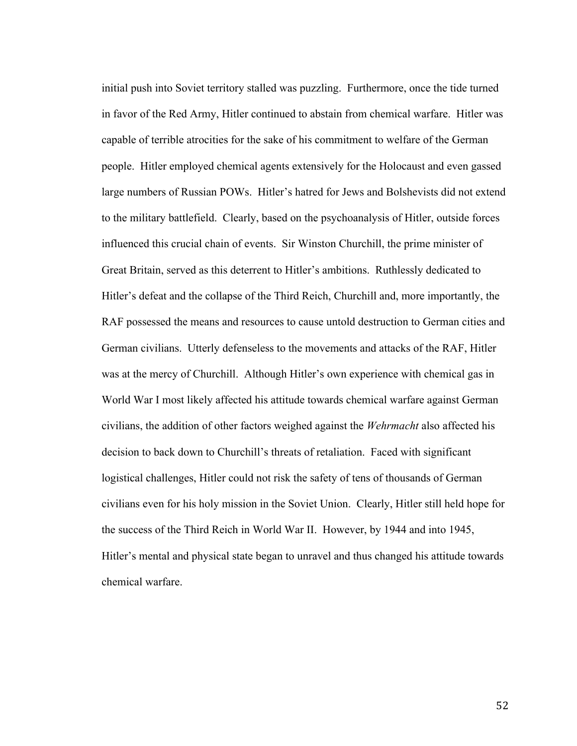initial push into Soviet territory stalled was puzzling. Furthermore, once the tide turned in favor of the Red Army, Hitler continued to abstain from chemical warfare. Hitler was capable of terrible atrocities for the sake of his commitment to welfare of the German people. Hitler employed chemical agents extensively for the Holocaust and even gassed large numbers of Russian POWs. Hitler's hatred for Jews and Bolshevists did not extend to the military battlefield. Clearly, based on the psychoanalysis of Hitler, outside forces influenced this crucial chain of events. Sir Winston Churchill, the prime minister of Great Britain, served as this deterrent to Hitler's ambitions. Ruthlessly dedicated to Hitler's defeat and the collapse of the Third Reich, Churchill and, more importantly, the RAF possessed the means and resources to cause untold destruction to German cities and German civilians. Utterly defenseless to the movements and attacks of the RAF, Hitler was at the mercy of Churchill. Although Hitler's own experience with chemical gas in World War I most likely affected his attitude towards chemical warfare against German civilians, the addition of other factors weighed against the *Wehrmacht* also affected his decision to back down to Churchill's threats of retaliation. Faced with significant logistical challenges, Hitler could not risk the safety of tens of thousands of German civilians even for his holy mission in the Soviet Union. Clearly, Hitler still held hope for the success of the Third Reich in World War II. However, by 1944 and into 1945, Hitler's mental and physical state began to unravel and thus changed his attitude towards chemical warfare.

52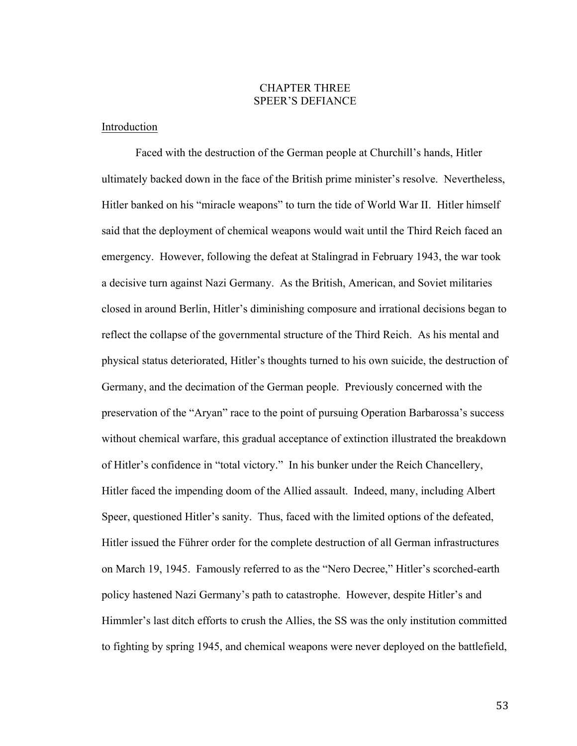# CHAPTER THREE SPEER'S DEFIANCE

### Introduction

Faced with the destruction of the German people at Churchill's hands, Hitler ultimately backed down in the face of the British prime minister's resolve. Nevertheless, Hitler banked on his "miracle weapons" to turn the tide of World War II. Hitler himself said that the deployment of chemical weapons would wait until the Third Reich faced an emergency. However, following the defeat at Stalingrad in February 1943, the war took a decisive turn against Nazi Germany. As the British, American, and Soviet militaries closed in around Berlin, Hitler's diminishing composure and irrational decisions began to reflect the collapse of the governmental structure of the Third Reich. As his mental and physical status deteriorated, Hitler's thoughts turned to his own suicide, the destruction of Germany, and the decimation of the German people. Previously concerned with the preservation of the "Aryan" race to the point of pursuing Operation Barbarossa's success without chemical warfare, this gradual acceptance of extinction illustrated the breakdown of Hitler's confidence in "total victory." In his bunker under the Reich Chancellery, Hitler faced the impending doom of the Allied assault. Indeed, many, including Albert Speer, questioned Hitler's sanity. Thus, faced with the limited options of the defeated, Hitler issued the Führer order for the complete destruction of all German infrastructures on March 19, 1945. Famously referred to as the "Nero Decree," Hitler's scorched-earth policy hastened Nazi Germany's path to catastrophe. However, despite Hitler's and Himmler's last ditch efforts to crush the Allies, the SS was the only institution committed to fighting by spring 1945, and chemical weapons were never deployed on the battlefield,

53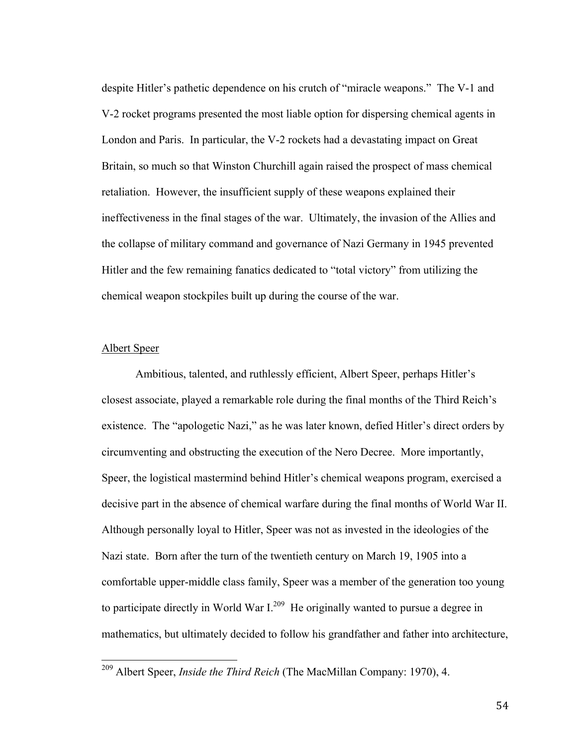despite Hitler's pathetic dependence on his crutch of "miracle weapons." The V-1 and V-2 rocket programs presented the most liable option for dispersing chemical agents in London and Paris. In particular, the V-2 rockets had a devastating impact on Great Britain, so much so that Winston Churchill again raised the prospect of mass chemical retaliation. However, the insufficient supply of these weapons explained their ineffectiveness in the final stages of the war. Ultimately, the invasion of the Allies and the collapse of military command and governance of Nazi Germany in 1945 prevented Hitler and the few remaining fanatics dedicated to "total victory" from utilizing the chemical weapon stockpiles built up during the course of the war.

## Albert Speer

Ambitious, talented, and ruthlessly efficient, Albert Speer, perhaps Hitler's closest associate, played a remarkable role during the final months of the Third Reich's existence. The "apologetic Nazi," as he was later known, defied Hitler's direct orders by circumventing and obstructing the execution of the Nero Decree. More importantly, Speer, the logistical mastermind behind Hitler's chemical weapons program, exercised a decisive part in the absence of chemical warfare during the final months of World War II. Although personally loyal to Hitler, Speer was not as invested in the ideologies of the Nazi state. Born after the turn of the twentieth century on March 19, 1905 into a comfortable upper-middle class family, Speer was a member of the generation too young to participate directly in World War  $I^{209}$  He originally wanted to pursue a degree in mathematics, but ultimately decided to follow his grandfather and father into architecture,

 <sup>209</sup> Albert Speer, *Inside the Third Reich* (The MacMillan Company: 1970), 4.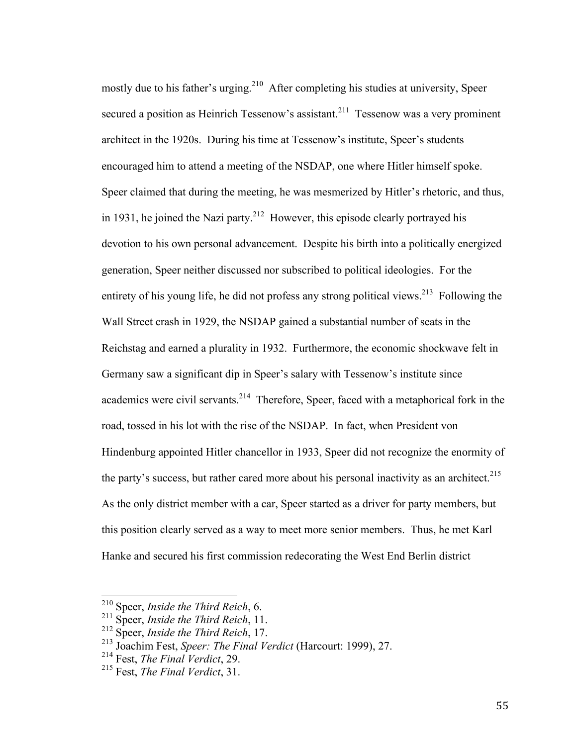mostly due to his father's urging.<sup>210</sup> After completing his studies at university, Speer secured a position as Heinrich Tessenow's assistant.<sup>211</sup> Tessenow was a very prominent architect in the 1920s. During his time at Tessenow's institute, Speer's students encouraged him to attend a meeting of the NSDAP, one where Hitler himself spoke. Speer claimed that during the meeting, he was mesmerized by Hitler's rhetoric, and thus, in 1931, he joined the Nazi party.<sup>212</sup> However, this episode clearly portrayed his devotion to his own personal advancement. Despite his birth into a politically energized generation, Speer neither discussed nor subscribed to political ideologies. For the entirety of his young life, he did not profess any strong political views.<sup>213</sup> Following the Wall Street crash in 1929, the NSDAP gained a substantial number of seats in the Reichstag and earned a plurality in 1932. Furthermore, the economic shockwave felt in Germany saw a significant dip in Speer's salary with Tessenow's institute since academics were civil servants.<sup>214</sup> Therefore, Speer, faced with a metaphorical fork in the road, tossed in his lot with the rise of the NSDAP. In fact, when President von Hindenburg appointed Hitler chancellor in 1933, Speer did not recognize the enormity of the party's success, but rather cared more about his personal inactivity as an architect.<sup>215</sup> As the only district member with a car, Speer started as a driver for party members, but this position clearly served as a way to meet more senior members. Thus, he met Karl Hanke and secured his first commission redecorating the West End Berlin district

 <sup>210</sup> Speer, *Inside the Third Reich*, 6.

<sup>211</sup> Speer, *Inside the Third Reich*, 11.

<sup>212</sup> Speer, *Inside the Third Reich*, 17.

<sup>213</sup> Joachim Fest, *Speer: The Final Verdict* (Harcourt: 1999), 27.

<sup>214</sup> Fest, *The Final Verdict*, 29.

<sup>215</sup> Fest, *The Final Verdict*, 31.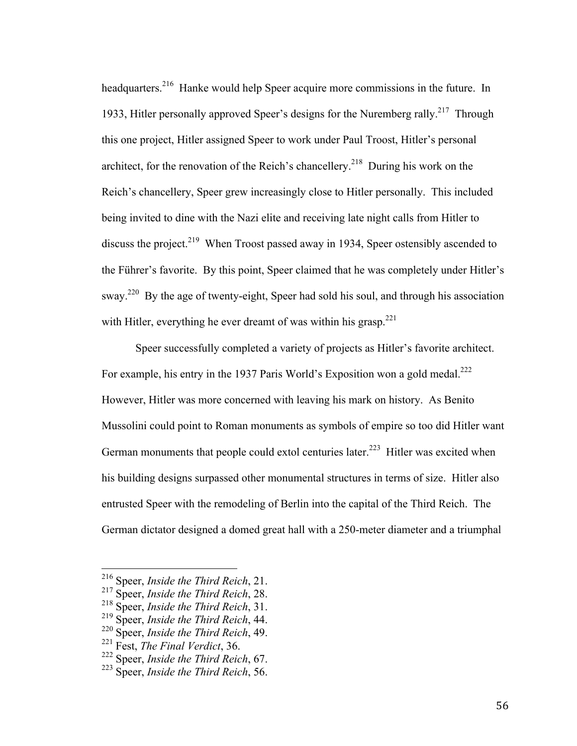headquarters.<sup>216</sup> Hanke would help Speer acquire more commissions in the future. In 1933, Hitler personally approved Speer's designs for the Nuremberg rally.<sup>217</sup> Through this one project, Hitler assigned Speer to work under Paul Troost, Hitler's personal architect, for the renovation of the Reich's chancellery.<sup>218</sup> During his work on the Reich's chancellery, Speer grew increasingly close to Hitler personally. This included being invited to dine with the Nazi elite and receiving late night calls from Hitler to discuss the project.<sup>219</sup> When Troost passed away in 1934, Speer ostensibly ascended to the Führer's favorite. By this point, Speer claimed that he was completely under Hitler's sway.<sup>220</sup> By the age of twenty-eight, Speer had sold his soul, and through his association with Hitler, everything he ever dreamt of was within his grasp. $221$ 

Speer successfully completed a variety of projects as Hitler's favorite architect. For example, his entry in the 1937 Paris World's Exposition won a gold medal.<sup>222</sup> However, Hitler was more concerned with leaving his mark on history. As Benito Mussolini could point to Roman monuments as symbols of empire so too did Hitler want German monuments that people could extol centuries later.<sup>223</sup> Hitler was excited when his building designs surpassed other monumental structures in terms of size. Hitler also entrusted Speer with the remodeling of Berlin into the capital of the Third Reich. The German dictator designed a domed great hall with a 250-meter diameter and a triumphal

 <sup>216</sup> Speer, *Inside the Third Reich*, 21.

<sup>217</sup> Speer, *Inside the Third Reich*, 28.

<sup>218</sup> Speer, *Inside the Third Reich*, 31.

<sup>219</sup> Speer, *Inside the Third Reich*, 44.

<sup>220</sup> Speer, *Inside the Third Reich*, 49.

<sup>221</sup> Fest, *The Final Verdict*, 36.

<sup>222</sup> Speer, *Inside the Third Reich*, 67.

<sup>223</sup> Speer, *Inside the Third Reich*, 56.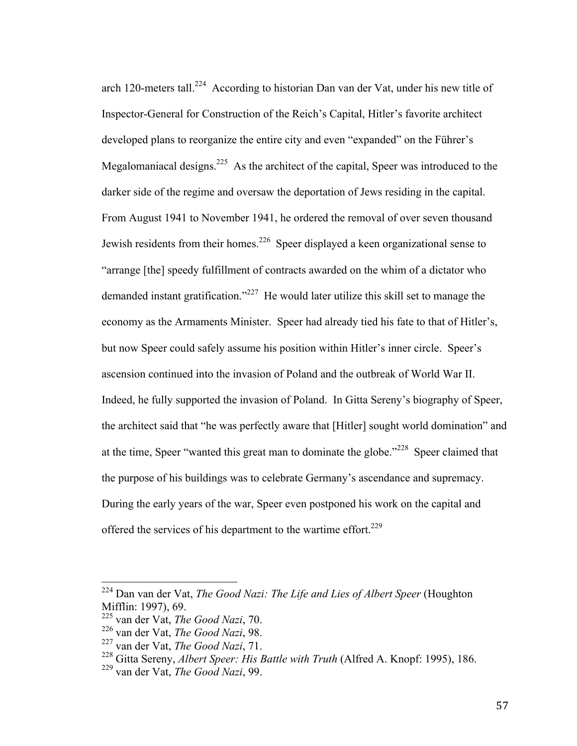arch 120-meters tall.<sup>224</sup> According to historian Dan van der Vat, under his new title of Inspector-General for Construction of the Reich's Capital, Hitler's favorite architect developed plans to reorganize the entire city and even "expanded" on the Führer's Megalomaniacal designs.<sup>225</sup> As the architect of the capital, Speer was introduced to the darker side of the regime and oversaw the deportation of Jews residing in the capital. From August 1941 to November 1941, he ordered the removal of over seven thousand Jewish residents from their homes.<sup>226</sup> Speer displayed a keen organizational sense to "arrange [the] speedy fulfillment of contracts awarded on the whim of a dictator who demanded instant gratification."<sup>227</sup> He would later utilize this skill set to manage the economy as the Armaments Minister. Speer had already tied his fate to that of Hitler's, but now Speer could safely assume his position within Hitler's inner circle. Speer's ascension continued into the invasion of Poland and the outbreak of World War II. Indeed, he fully supported the invasion of Poland. In Gitta Sereny's biography of Speer, the architect said that "he was perfectly aware that [Hitler] sought world domination" and at the time, Speer "wanted this great man to dominate the globe."<sup>228</sup> Speer claimed that the purpose of his buildings was to celebrate Germany's ascendance and supremacy. During the early years of the war, Speer even postponed his work on the capital and offered the services of his department to the wartime effort.<sup>229</sup>

 <sup>224</sup> Dan van der Vat, *The Good Nazi: The Life and Lies of Albert Speer* (Houghton Mifflin: 1997), 69.

<sup>225</sup> van der Vat, *The Good Nazi*, 70.

<sup>226</sup> van der Vat, *The Good Nazi*, 98.

<sup>227</sup> van der Vat, *The Good Nazi*, 71.

<sup>228</sup> Gitta Sereny, *Albert Speer: His Battle with Truth* (Alfred A. Knopf: 1995), 186.

<sup>229</sup> van der Vat, *The Good Nazi*, 99.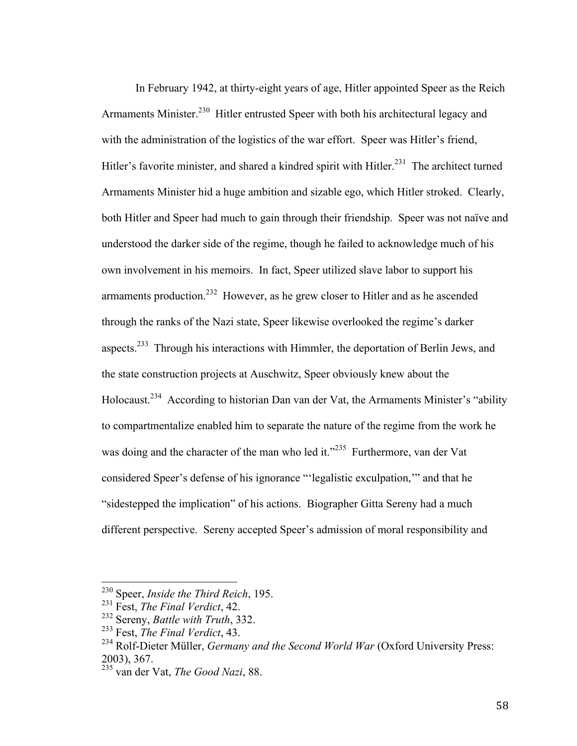In February 1942, at thirty-eight years of age, Hitler appointed Speer as the Reich Armaments Minister.<sup>230</sup> Hitler entrusted Speer with both his architectural legacy and with the administration of the logistics of the war effort. Speer was Hitler's friend, Hitler's favorite minister, and shared a kindred spirit with Hitler.<sup>231</sup> The architect turned Armaments Minister hid a huge ambition and sizable ego, which Hitler stroked. Clearly, both Hitler and Speer had much to gain through their friendship. Speer was not naïve and understood the darker side of the regime, though he failed to acknowledge much of his own involvement in his memoirs. In fact, Speer utilized slave labor to support his armaments production.<sup>232</sup> However, as he grew closer to Hitler and as he ascended through the ranks of the Nazi state, Speer likewise overlooked the regime's darker aspects.<sup>233</sup> Through his interactions with Himmler, the deportation of Berlin Jews, and the state construction projects at Auschwitz, Speer obviously knew about the Holocaust.234 According to historian Dan van der Vat, the Armaments Minister's "ability to compartmentalize enabled him to separate the nature of the regime from the work he was doing and the character of the man who led it."<sup>235</sup> Furthermore, van der Vat considered Speer's defense of his ignorance "'legalistic exculpation,'" and that he "sidestepped the implication" of his actions. Biographer Gitta Sereny had a much different perspective. Sereny accepted Speer's admission of moral responsibility and

 <sup>230</sup> Speer, *Inside the Third Reich*, 195.

<sup>231</sup> Fest, *The Final Verdict*, 42.

<sup>232</sup> Sereny, *Battle with Truth*, 332.

<sup>233</sup> Fest, *The Final Verdict*, 43.

<sup>234</sup> Rolf-Dieter Müller, *Germany and the Second World War* (Oxford University Press: 2003), 367.

<sup>235</sup> van der Vat, *The Good Nazi*, 88.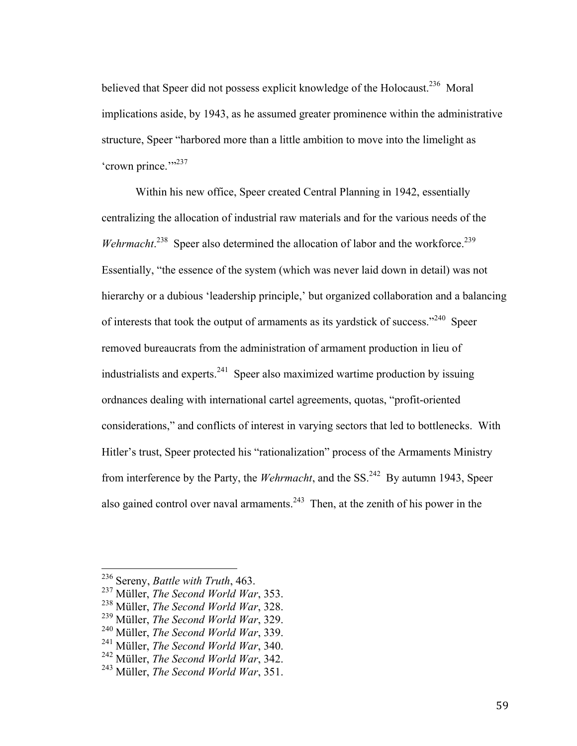believed that Speer did not possess explicit knowledge of the Holocaust.<sup>236</sup> Moral implications aside, by 1943, as he assumed greater prominence within the administrative structure, Speer "harbored more than a little ambition to move into the limelight as 'crown prince."<sup>237</sup>

Within his new office, Speer created Central Planning in 1942, essentially centralizing the allocation of industrial raw materials and for the various needs of the *Wehrmacht.*<sup>238</sup> Speer also determined the allocation of labor and the workforce.<sup>239</sup> Essentially, "the essence of the system (which was never laid down in detail) was not hierarchy or a dubious 'leadership principle,' but organized collaboration and a balancing of interests that took the output of armaments as its yardstick of success."<sup>240</sup> Speer removed bureaucrats from the administration of armament production in lieu of industrialists and experts.<sup>241</sup> Speer also maximized wartime production by issuing ordnances dealing with international cartel agreements, quotas, "profit-oriented considerations," and conflicts of interest in varying sectors that led to bottlenecks. With Hitler's trust, Speer protected his "rationalization" process of the Armaments Ministry from interference by the Party, the *Wehrmacht*, and the SS.242 By autumn 1943, Speer also gained control over naval armaments.<sup>243</sup> Then, at the zenith of his power in the

 <sup>236</sup> Sereny, *Battle with Truth*, 463.

<sup>237</sup> Müller, *The Second World War*, 353.

<sup>238</sup> Müller, *The Second World War*, 328.

<sup>239</sup> Müller, *The Second World War*, 329.

<sup>240</sup> Müller, *The Second World War*, 339.

<sup>241</sup> Müller, *The Second World War*, 340.

<sup>242</sup> Müller, *The Second World War*, 342.

<sup>243</sup> Müller, *The Second World War*, 351.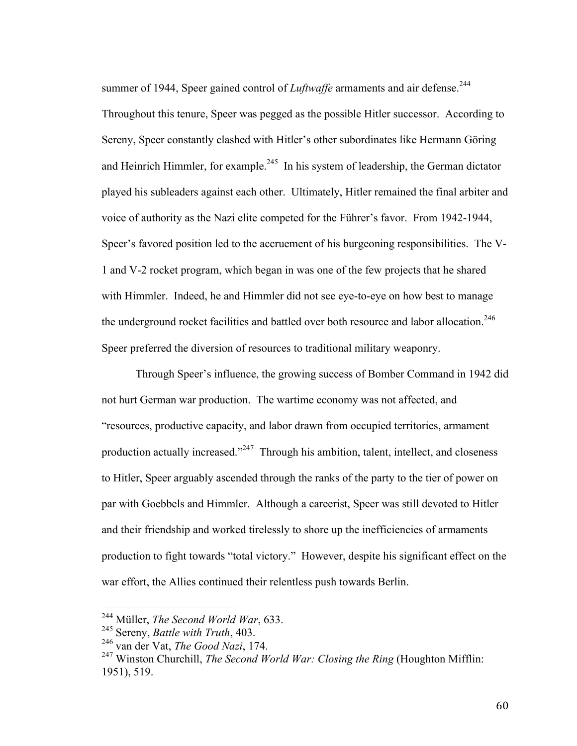summer of 1944, Speer gained control of *Luftwaffe* armaments and air defense.<sup>244</sup> Throughout this tenure, Speer was pegged as the possible Hitler successor. According to Sereny, Speer constantly clashed with Hitler's other subordinates like Hermann Göring and Heinrich Himmler, for example.<sup>245</sup> In his system of leadership, the German dictator played his subleaders against each other. Ultimately, Hitler remained the final arbiter and voice of authority as the Nazi elite competed for the Führer's favor. From 1942-1944, Speer's favored position led to the accruement of his burgeoning responsibilities. The V-1 and V-2 rocket program, which began in was one of the few projects that he shared with Himmler. Indeed, he and Himmler did not see eye-to-eye on how best to manage the underground rocket facilities and battled over both resource and labor allocation.<sup>246</sup> Speer preferred the diversion of resources to traditional military weaponry.

Through Speer's influence, the growing success of Bomber Command in 1942 did not hurt German war production. The wartime economy was not affected, and "resources, productive capacity, and labor drawn from occupied territories, armament production actually increased."<sup> $247$ </sup> Through his ambition, talent, intellect, and closeness to Hitler, Speer arguably ascended through the ranks of the party to the tier of power on par with Goebbels and Himmler. Although a careerist, Speer was still devoted to Hitler and their friendship and worked tirelessly to shore up the inefficiencies of armaments production to fight towards "total victory." However, despite his significant effect on the war effort, the Allies continued their relentless push towards Berlin.

 <sup>244</sup> Müller, *The Second World War*, 633.

<sup>245</sup> Sereny, *Battle with Truth*, 403.

<sup>246</sup> van der Vat, *The Good Nazi*, 174.

<sup>247</sup> Winston Churchill, *The Second World War: Closing the Ring* (Houghton Mifflin: 1951), 519.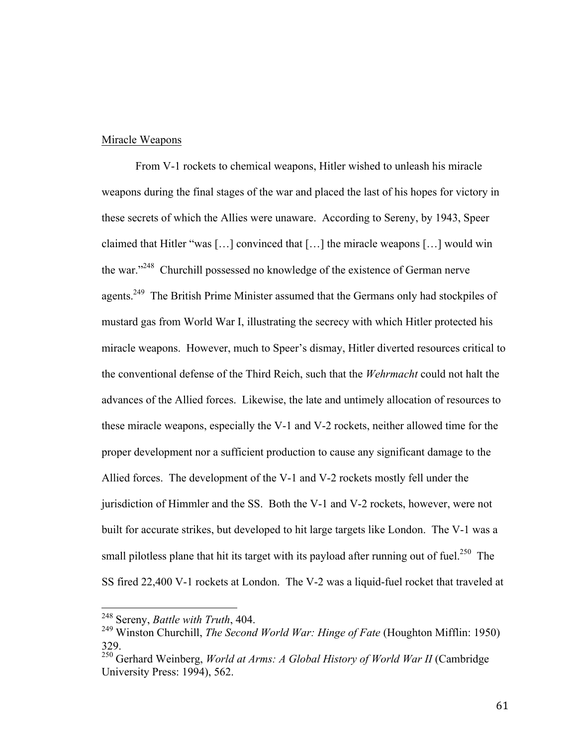### Miracle Weapons

From V-1 rockets to chemical weapons, Hitler wished to unleash his miracle weapons during the final stages of the war and placed the last of his hopes for victory in these secrets of which the Allies were unaware. According to Sereny, by 1943, Speer claimed that Hitler "was […] convinced that […] the miracle weapons […] would win the war."248 Churchill possessed no knowledge of the existence of German nerve agents.<sup>249</sup> The British Prime Minister assumed that the Germans only had stockpiles of mustard gas from World War I, illustrating the secrecy with which Hitler protected his miracle weapons. However, much to Speer's dismay, Hitler diverted resources critical to the conventional defense of the Third Reich, such that the *Wehrmacht* could not halt the advances of the Allied forces. Likewise, the late and untimely allocation of resources to these miracle weapons, especially the V-1 and V-2 rockets, neither allowed time for the proper development nor a sufficient production to cause any significant damage to the Allied forces. The development of the V-1 and V-2 rockets mostly fell under the jurisdiction of Himmler and the SS. Both the V-1 and V-2 rockets, however, were not built for accurate strikes, but developed to hit large targets like London. The V-1 was a small pilotless plane that hit its target with its payload after running out of fuel.<sup>250</sup> The SS fired 22,400 V-1 rockets at London. The V-2 was a liquid-fuel rocket that traveled at

 <sup>248</sup> Sereny, *Battle with Truth*, 404.

<sup>249</sup> Winston Churchill, *The Second World War: Hinge of Fate* (Houghton Mifflin: 1950) 329.

<sup>&</sup>lt;sup>250</sup> Gerhard Weinberg, *World at Arms: A Global History of World War II* (Cambridge University Press: 1994), 562.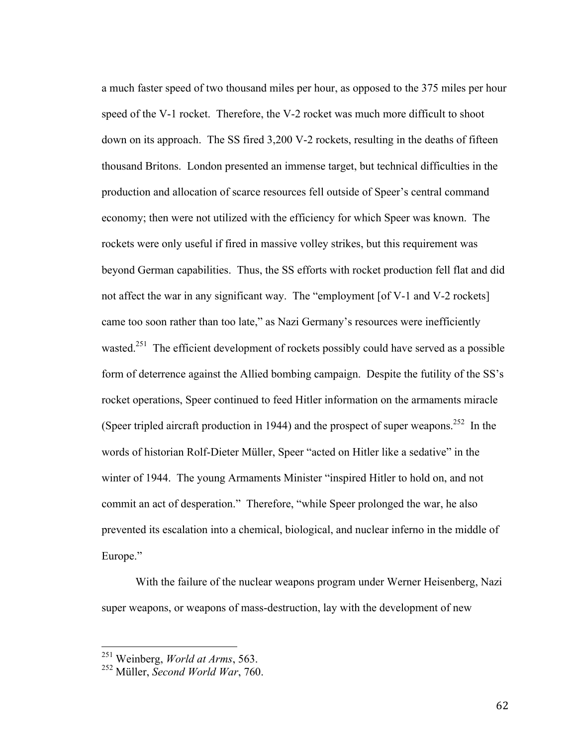a much faster speed of two thousand miles per hour, as opposed to the 375 miles per hour speed of the V-1 rocket. Therefore, the V-2 rocket was much more difficult to shoot down on its approach. The SS fired 3,200 V-2 rockets, resulting in the deaths of fifteen thousand Britons. London presented an immense target, but technical difficulties in the production and allocation of scarce resources fell outside of Speer's central command economy; then were not utilized with the efficiency for which Speer was known. The rockets were only useful if fired in massive volley strikes, but this requirement was beyond German capabilities. Thus, the SS efforts with rocket production fell flat and did not affect the war in any significant way. The "employment [of V-1 and V-2 rockets] came too soon rather than too late," as Nazi Germany's resources were inefficiently wasted.<sup>251</sup> The efficient development of rockets possibly could have served as a possible form of deterrence against the Allied bombing campaign. Despite the futility of the SS's rocket operations, Speer continued to feed Hitler information on the armaments miracle (Speer tripled aircraft production in 1944) and the prospect of super weapons.<sup>252</sup> In the words of historian Rolf-Dieter Müller, Speer "acted on Hitler like a sedative" in the winter of 1944. The young Armaments Minister "inspired Hitler to hold on, and not commit an act of desperation." Therefore, "while Speer prolonged the war, he also prevented its escalation into a chemical, biological, and nuclear inferno in the middle of Europe."

With the failure of the nuclear weapons program under Werner Heisenberg, Nazi super weapons, or weapons of mass-destruction, lay with the development of new

 <sup>251</sup> Weinberg, *World at Arms*, 563.

<sup>252</sup> Müller, *Second World War*, 760.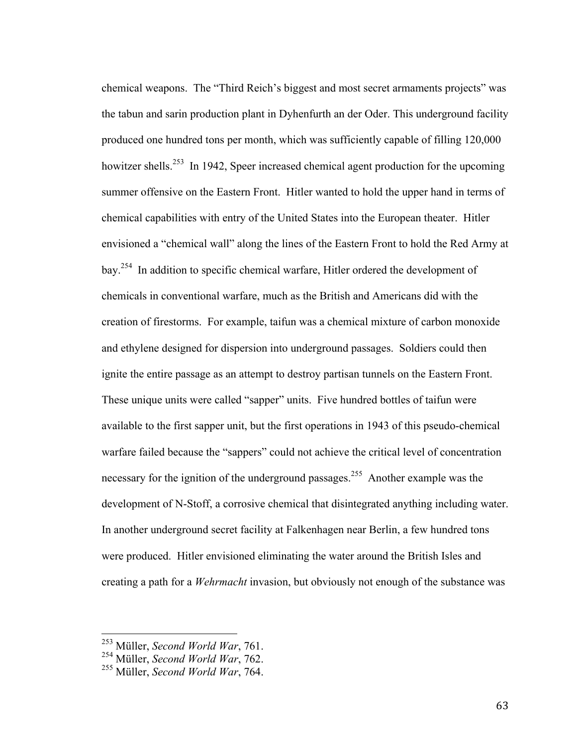chemical weapons. The "Third Reich's biggest and most secret armaments projects" was the tabun and sarin production plant in Dyhenfurth an der Oder. This underground facility produced one hundred tons per month, which was sufficiently capable of filling 120,000 howitzer shells.<sup>253</sup> In 1942, Speer increased chemical agent production for the upcoming summer offensive on the Eastern Front. Hitler wanted to hold the upper hand in terms of chemical capabilities with entry of the United States into the European theater. Hitler envisioned a "chemical wall" along the lines of the Eastern Front to hold the Red Army at bay.254 In addition to specific chemical warfare, Hitler ordered the development of chemicals in conventional warfare, much as the British and Americans did with the creation of firestorms. For example, taifun was a chemical mixture of carbon monoxide and ethylene designed for dispersion into underground passages. Soldiers could then ignite the entire passage as an attempt to destroy partisan tunnels on the Eastern Front. These unique units were called "sapper" units. Five hundred bottles of taifun were available to the first sapper unit, but the first operations in 1943 of this pseudo-chemical warfare failed because the "sappers" could not achieve the critical level of concentration necessary for the ignition of the underground passages.<sup>255</sup> Another example was the development of N-Stoff, a corrosive chemical that disintegrated anything including water. In another underground secret facility at Falkenhagen near Berlin, a few hundred tons were produced. Hitler envisioned eliminating the water around the British Isles and creating a path for a *Wehrmacht* invasion, but obviously not enough of the substance was

 <sup>253</sup> Müller, *Second World War*, 761.

<sup>254</sup> Müller, *Second World War*, 762.

<sup>255</sup> Müller, *Second World War*, 764.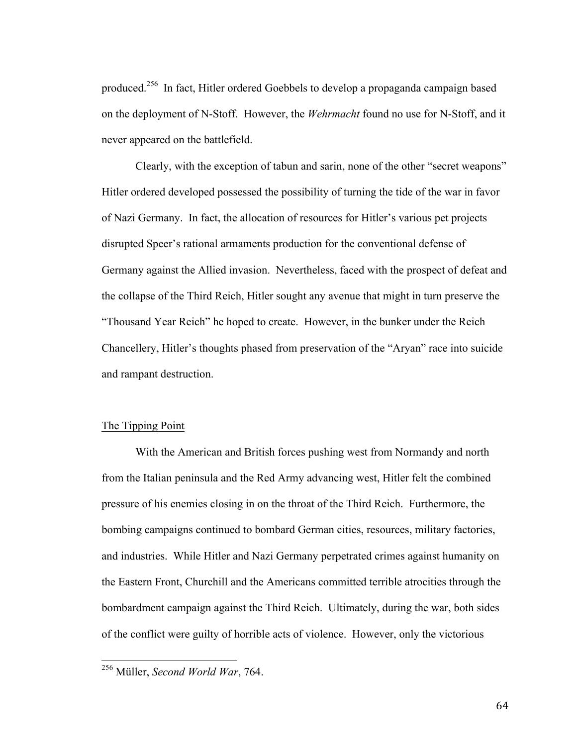produced.256 In fact, Hitler ordered Goebbels to develop a propaganda campaign based on the deployment of N-Stoff. However, the *Wehrmacht* found no use for N-Stoff, and it never appeared on the battlefield.

Clearly, with the exception of tabun and sarin, none of the other "secret weapons" Hitler ordered developed possessed the possibility of turning the tide of the war in favor of Nazi Germany. In fact, the allocation of resources for Hitler's various pet projects disrupted Speer's rational armaments production for the conventional defense of Germany against the Allied invasion. Nevertheless, faced with the prospect of defeat and the collapse of the Third Reich, Hitler sought any avenue that might in turn preserve the "Thousand Year Reich" he hoped to create. However, in the bunker under the Reich Chancellery, Hitler's thoughts phased from preservation of the "Aryan" race into suicide and rampant destruction.

#### The Tipping Point

With the American and British forces pushing west from Normandy and north from the Italian peninsula and the Red Army advancing west, Hitler felt the combined pressure of his enemies closing in on the throat of the Third Reich. Furthermore, the bombing campaigns continued to bombard German cities, resources, military factories, and industries. While Hitler and Nazi Germany perpetrated crimes against humanity on the Eastern Front, Churchill and the Americans committed terrible atrocities through the bombardment campaign against the Third Reich. Ultimately, during the war, both sides of the conflict were guilty of horrible acts of violence. However, only the victorious

 <sup>256</sup> Müller, *Second World War*, 764.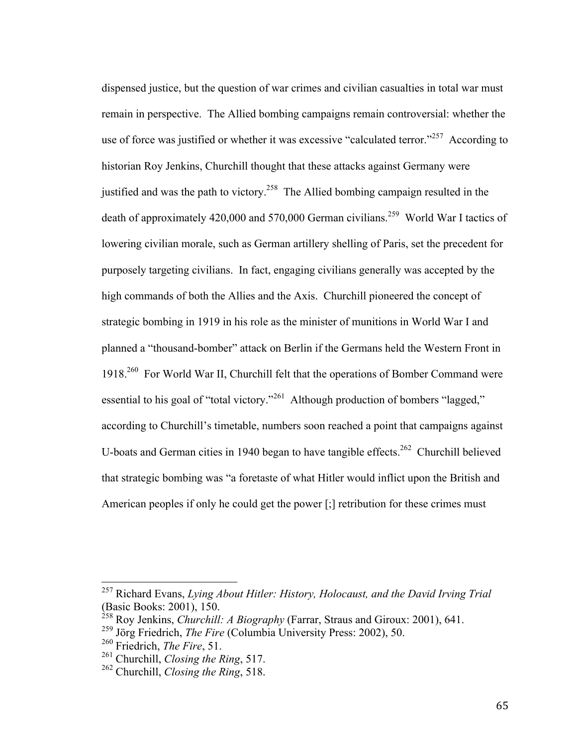dispensed justice, but the question of war crimes and civilian casualties in total war must remain in perspective. The Allied bombing campaigns remain controversial: whether the use of force was justified or whether it was excessive "calculated terror."<sup>257</sup> According to historian Roy Jenkins, Churchill thought that these attacks against Germany were justified and was the path to victory.<sup>258</sup> The Allied bombing campaign resulted in the death of approximately 420,000 and 570,000 German civilians.<sup>259</sup> World War I tactics of lowering civilian morale, such as German artillery shelling of Paris, set the precedent for purposely targeting civilians. In fact, engaging civilians generally was accepted by the high commands of both the Allies and the Axis. Churchill pioneered the concept of strategic bombing in 1919 in his role as the minister of munitions in World War I and planned a "thousand-bomber" attack on Berlin if the Germans held the Western Front in 1918.260 For World War II, Churchill felt that the operations of Bomber Command were essential to his goal of "total victory."<sup>261</sup> Although production of bombers "lagged," according to Churchill's timetable, numbers soon reached a point that campaigns against U-boats and German cities in 1940 began to have tangible effects.<sup>262</sup> Churchill believed that strategic bombing was "a foretaste of what Hitler would inflict upon the British and American peoples if only he could get the power [;] retribution for these crimes must

 <sup>257</sup> Richard Evans, *Lying About Hitler: History, Holocaust, and the David Irving Trial*  (Basic Books: 2001), 150.

<sup>258</sup> Roy Jenkins, *Churchill: A Biography* (Farrar, Straus and Giroux: 2001), 641.

<sup>259</sup> Jörg Friedrich, *The Fire* (Columbia University Press: 2002), 50.

<sup>260</sup> Friedrich, *The Fire*, 51.

<sup>261</sup> Churchill, *Closing the Ring*, 517.

<sup>262</sup> Churchill, *Closing the Ring*, 518.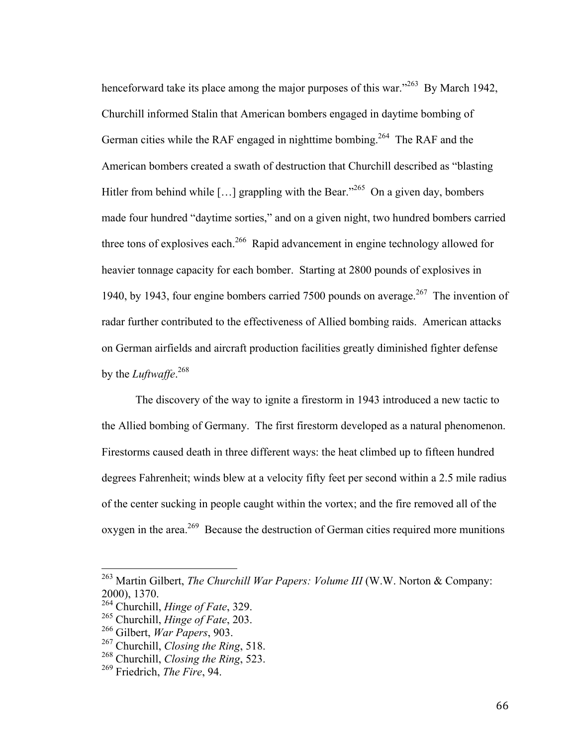henceforward take its place among the major purposes of this war."<sup>263</sup> By March 1942, Churchill informed Stalin that American bombers engaged in daytime bombing of German cities while the RAF engaged in nighttime bombing.<sup>264</sup> The RAF and the American bombers created a swath of destruction that Churchill described as "blasting Hitler from behind while [...] grappling with the Bear."<sup>265</sup> On a given day, bombers made four hundred "daytime sorties," and on a given night, two hundred bombers carried three tons of explosives each.<sup>266</sup> Rapid advancement in engine technology allowed for heavier tonnage capacity for each bomber. Starting at 2800 pounds of explosives in 1940, by 1943, four engine bombers carried 7500 pounds on average.<sup>267</sup> The invention of radar further contributed to the effectiveness of Allied bombing raids. American attacks on German airfields and aircraft production facilities greatly diminished fighter defense by the *Luftwaffe*. 268

The discovery of the way to ignite a firestorm in 1943 introduced a new tactic to the Allied bombing of Germany. The first firestorm developed as a natural phenomenon. Firestorms caused death in three different ways: the heat climbed up to fifteen hundred degrees Fahrenheit; winds blew at a velocity fifty feet per second within a 2.5 mile radius of the center sucking in people caught within the vortex; and the fire removed all of the oxygen in the area.<sup>269</sup> Because the destruction of German cities required more munitions

 <sup>263</sup> Martin Gilbert, *The Churchill War Papers: Volume III* (W.W. Norton & Company: 2000), 1370.

<sup>264</sup> Churchill, *Hinge of Fate*, 329.

<sup>265</sup> Churchill, *Hinge of Fate*, 203.

<sup>266</sup> Gilbert, *War Papers*, 903.

<sup>267</sup> Churchill, *Closing the Ring*, 518.

<sup>268</sup> Churchill, *Closing the Ring*, 523.

<sup>269</sup> Friedrich, *The Fire*, 94.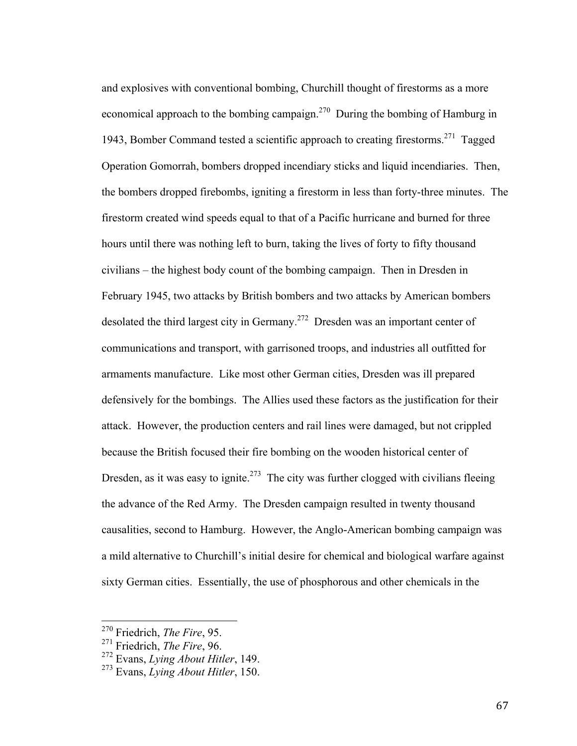and explosives with conventional bombing, Churchill thought of firestorms as a more economical approach to the bombing campaign.<sup>270</sup> During the bombing of Hamburg in 1943, Bomber Command tested a scientific approach to creating firestorms.271 Tagged Operation Gomorrah, bombers dropped incendiary sticks and liquid incendiaries. Then, the bombers dropped firebombs, igniting a firestorm in less than forty-three minutes. The firestorm created wind speeds equal to that of a Pacific hurricane and burned for three hours until there was nothing left to burn, taking the lives of forty to fifty thousand civilians – the highest body count of the bombing campaign. Then in Dresden in February 1945, two attacks by British bombers and two attacks by American bombers desolated the third largest city in Germany.<sup>272</sup> Dresden was an important center of communications and transport, with garrisoned troops, and industries all outfitted for armaments manufacture. Like most other German cities, Dresden was ill prepared defensively for the bombings. The Allies used these factors as the justification for their attack. However, the production centers and rail lines were damaged, but not crippled because the British focused their fire bombing on the wooden historical center of Dresden, as it was easy to ignite.<sup>273</sup> The city was further clogged with civilians fleeing the advance of the Red Army. The Dresden campaign resulted in twenty thousand causalities, second to Hamburg. However, the Anglo-American bombing campaign was a mild alternative to Churchill's initial desire for chemical and biological warfare against sixty German cities. Essentially, the use of phosphorous and other chemicals in the

67

 <sup>270</sup> Friedrich, *The Fire*, 95.

<sup>271</sup> Friedrich, *The Fire*, 96.

<sup>272</sup> Evans, *Lying About Hitler*, 149.

<sup>273</sup> Evans, *Lying About Hitler*, 150.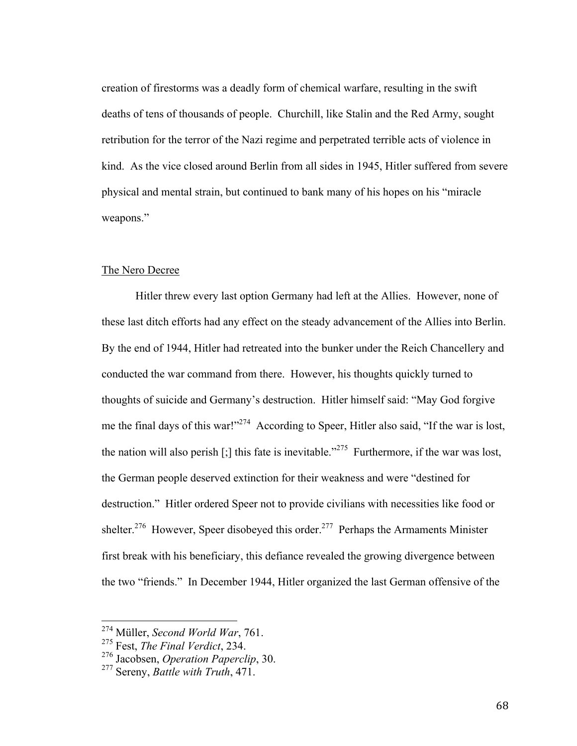creation of firestorms was a deadly form of chemical warfare, resulting in the swift deaths of tens of thousands of people. Churchill, like Stalin and the Red Army, sought retribution for the terror of the Nazi regime and perpetrated terrible acts of violence in kind. As the vice closed around Berlin from all sides in 1945, Hitler suffered from severe physical and mental strain, but continued to bank many of his hopes on his "miracle weapons."

#### The Nero Decree

Hitler threw every last option Germany had left at the Allies. However, none of these last ditch efforts had any effect on the steady advancement of the Allies into Berlin. By the end of 1944, Hitler had retreated into the bunker under the Reich Chancellery and conducted the war command from there. However, his thoughts quickly turned to thoughts of suicide and Germany's destruction. Hitler himself said: "May God forgive me the final days of this war!"<sup>274</sup> According to Speer, Hitler also said, "If the war is lost, the nation will also perish  $\lbrack \cdot \rbrack$  this fate is inevitable."<sup>275</sup> Furthermore, if the war was lost, the German people deserved extinction for their weakness and were "destined for destruction." Hitler ordered Speer not to provide civilians with necessities like food or shelter.<sup>276</sup> However, Speer disobeyed this order.<sup>277</sup> Perhaps the Armaments Minister first break with his beneficiary, this defiance revealed the growing divergence between the two "friends." In December 1944, Hitler organized the last German offensive of the

 <sup>274</sup> Müller, *Second World War*, 761.

<sup>275</sup> Fest, *The Final Verdict*, 234.

<sup>276</sup> Jacobsen, *Operation Paperclip*, 30.

<sup>277</sup> Sereny, *Battle with Truth*, 471.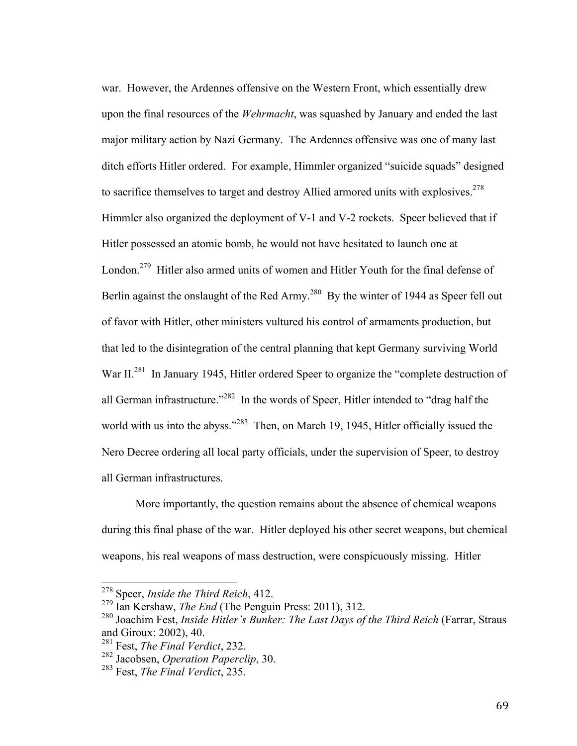war. However, the Ardennes offensive on the Western Front, which essentially drew upon the final resources of the *Wehrmacht*, was squashed by January and ended the last major military action by Nazi Germany. The Ardennes offensive was one of many last ditch efforts Hitler ordered. For example, Himmler organized "suicide squads" designed to sacrifice themselves to target and destroy Allied armored units with explosives. $278$ Himmler also organized the deployment of V-1 and V-2 rockets. Speer believed that if Hitler possessed an atomic bomb, he would not have hesitated to launch one at London.<sup>279</sup> Hitler also armed units of women and Hitler Youth for the final defense of Berlin against the onslaught of the Red Army.<sup>280</sup> By the winter of 1944 as Speer fell out of favor with Hitler, other ministers vultured his control of armaments production, but that led to the disintegration of the central planning that kept Germany surviving World War II.<sup>281</sup> In January 1945, Hitler ordered Speer to organize the "complete destruction of all German infrastructure."<sup>282</sup> In the words of Speer, Hitler intended to "drag half the world with us into the abyss."<sup>283</sup> Then, on March 19, 1945, Hitler officially issued the Nero Decree ordering all local party officials, under the supervision of Speer, to destroy all German infrastructures.

More importantly, the question remains about the absence of chemical weapons during this final phase of the war. Hitler deployed his other secret weapons, but chemical weapons, his real weapons of mass destruction, were conspicuously missing. Hitler

 <sup>278</sup> Speer, *Inside the Third Reich*, 412.

<sup>279</sup> Ian Kershaw, *The End* (The Penguin Press: 2011), 312.

<sup>&</sup>lt;sup>280</sup> Joachim Fest, *Inside Hitler's Bunker: The Last Days of the Third Reich* (Farrar, Straus and Giroux: 2002), 40.

<sup>281</sup> Fest, *The Final Verdict*, 232.

<sup>282</sup> Jacobsen, *Operation Paperclip*, 30.

<sup>283</sup> Fest, *The Final Verdict*, 235.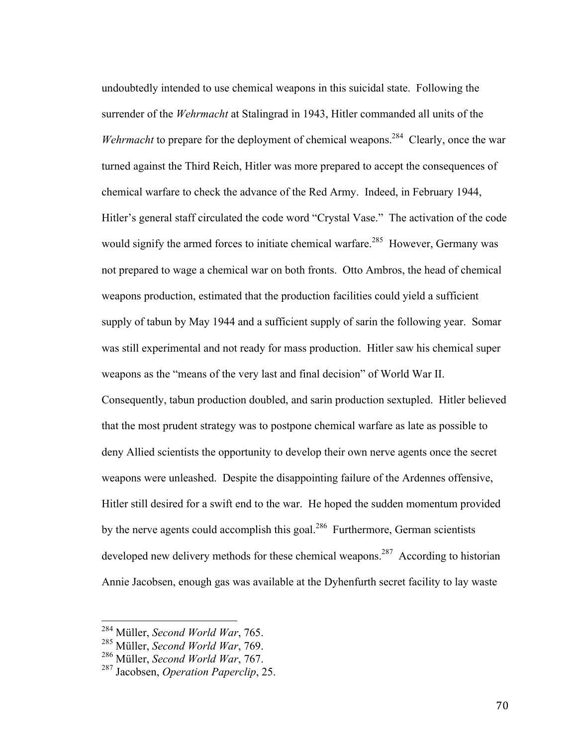undoubtedly intended to use chemical weapons in this suicidal state. Following the surrender of the *Wehrmacht* at Stalingrad in 1943, Hitler commanded all units of the *Wehrmacht* to prepare for the deployment of chemical weapons.<sup>284</sup> Clearly, once the war turned against the Third Reich, Hitler was more prepared to accept the consequences of chemical warfare to check the advance of the Red Army. Indeed, in February 1944, Hitler's general staff circulated the code word "Crystal Vase." The activation of the code would signify the armed forces to initiate chemical warfare.<sup>285</sup> However, Germany was not prepared to wage a chemical war on both fronts. Otto Ambros, the head of chemical weapons production, estimated that the production facilities could yield a sufficient supply of tabun by May 1944 and a sufficient supply of sarin the following year. Somar was still experimental and not ready for mass production. Hitler saw his chemical super weapons as the "means of the very last and final decision" of World War II. Consequently, tabun production doubled, and sarin production sextupled. Hitler believed that the most prudent strategy was to postpone chemical warfare as late as possible to deny Allied scientists the opportunity to develop their own nerve agents once the secret weapons were unleashed. Despite the disappointing failure of the Ardennes offensive, Hitler still desired for a swift end to the war. He hoped the sudden momentum provided by the nerve agents could accomplish this goal.<sup>286</sup> Furthermore, German scientists developed new delivery methods for these chemical weapons.<sup>287</sup> According to historian Annie Jacobsen, enough gas was available at the Dyhenfurth secret facility to lay waste

 <sup>284</sup> Müller, *Second World War*, 765.

<sup>285</sup> Müller, *Second World War*, 769.

<sup>286</sup> Müller, *Second World War*, 767.

<sup>287</sup> Jacobsen, *Operation Paperclip*, 25.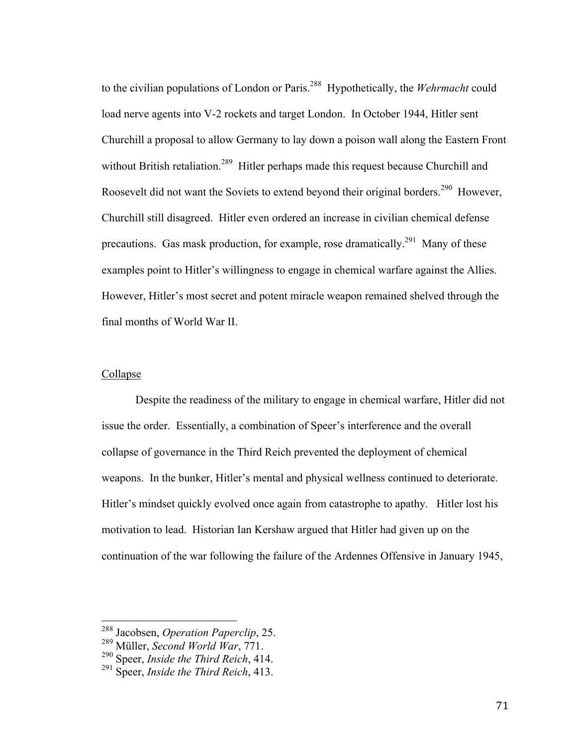to the civilian populations of London or Paris.288 Hypothetically, the *Wehrmacht* could load nerve agents into V-2 rockets and target London. In October 1944, Hitler sent Churchill a proposal to allow Germany to lay down a poison wall along the Eastern Front without British retaliation.<sup>289</sup> Hitler perhaps made this request because Churchill and Roosevelt did not want the Soviets to extend beyond their original borders.<sup>290</sup> However, Churchill still disagreed. Hitler even ordered an increase in civilian chemical defense precautions. Gas mask production, for example, rose dramatically.<sup>291</sup> Many of these examples point to Hitler's willingness to engage in chemical warfare against the Allies. However, Hitler's most secret and potent miracle weapon remained shelved through the final months of World War II.

## Collapse

Despite the readiness of the military to engage in chemical warfare, Hitler did not issue the order. Essentially, a combination of Speer's interference and the overall collapse of governance in the Third Reich prevented the deployment of chemical weapons. In the bunker, Hitler's mental and physical wellness continued to deteriorate. Hitler's mindset quickly evolved once again from catastrophe to apathy. Hitler lost his motivation to lead. Historian Ian Kershaw argued that Hitler had given up on the continuation of the war following the failure of the Ardennes Offensive in January 1945,

 <sup>288</sup> Jacobsen, *Operation Paperclip*, 25.

<sup>289</sup> Müller, *Second World War*, 771.

<sup>290</sup> Speer, *Inside the Third Reich*, 414.

<sup>291</sup> Speer, *Inside the Third Reich*, 413.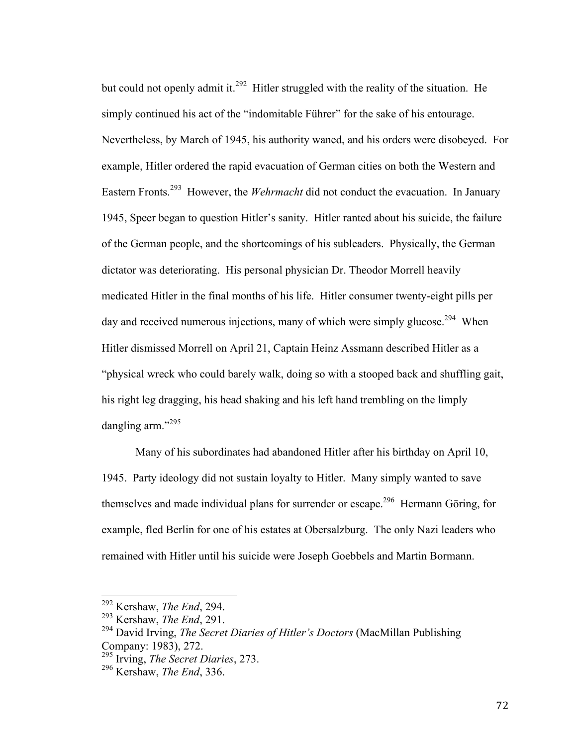but could not openly admit it.<sup>292</sup> Hitler struggled with the reality of the situation. He simply continued his act of the "indomitable Führer" for the sake of his entourage. Nevertheless, by March of 1945, his authority waned, and his orders were disobeyed. For example, Hitler ordered the rapid evacuation of German cities on both the Western and Eastern Fronts.293 However, the *Wehrmacht* did not conduct the evacuation. In January 1945, Speer began to question Hitler's sanity. Hitler ranted about his suicide, the failure of the German people, and the shortcomings of his subleaders. Physically, the German dictator was deteriorating. His personal physician Dr. Theodor Morrell heavily medicated Hitler in the final months of his life. Hitler consumer twenty-eight pills per day and received numerous injections, many of which were simply glucose.<sup>294</sup> When Hitler dismissed Morrell on April 21, Captain Heinz Assmann described Hitler as a "physical wreck who could barely walk, doing so with a stooped back and shuffling gait, his right leg dragging, his head shaking and his left hand trembling on the limply dangling arm."<sup>295</sup>

Many of his subordinates had abandoned Hitler after his birthday on April 10, 1945. Party ideology did not sustain loyalty to Hitler. Many simply wanted to save themselves and made individual plans for surrender or escape.<sup>296</sup> Hermann Göring, for example, fled Berlin for one of his estates at Obersalzburg. The only Nazi leaders who remained with Hitler until his suicide were Joseph Goebbels and Martin Bormann.

 <sup>292</sup> Kershaw, *The End*, 294.

<sup>293</sup> Kershaw, *The End*, 291.

<sup>294</sup> David Irving, *The Secret Diaries of Hitler's Doctors* (MacMillan Publishing Company: 1983), 272.

<sup>295</sup> Irving, *The Secret Diaries*, 273.

<sup>296</sup> Kershaw, *The End*, 336.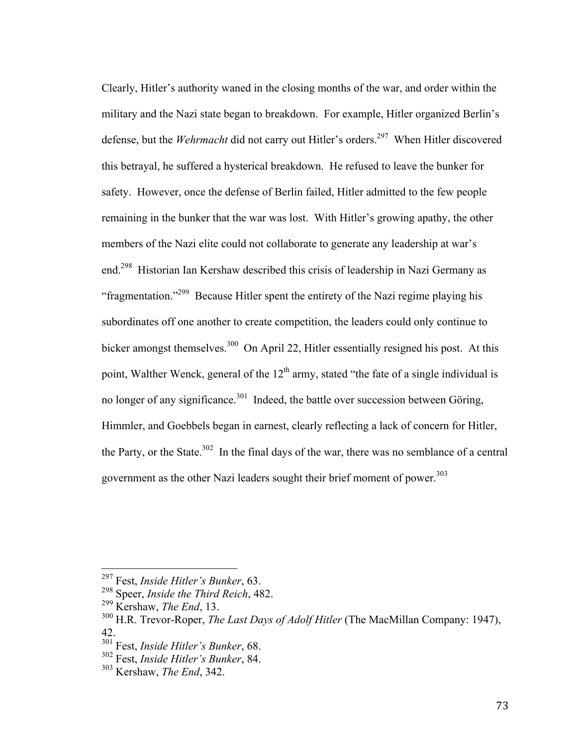Clearly, Hitler's authority waned in the closing months of the war, and order within the military and the Nazi state began to breakdown. For example, Hitler organized Berlin's defense, but the *Wehrmacht* did not carry out Hitler's orders.<sup>297</sup> When Hitler discovered this betrayal, he suffered a hysterical breakdown. He refused to leave the bunker for safety. However, once the defense of Berlin failed, Hitler admitted to the few people remaining in the bunker that the war was lost. With Hitler's growing apathy, the other members of the Nazi elite could not collaborate to generate any leadership at war's end.298 Historian Ian Kershaw described this crisis of leadership in Nazi Germany as "fragmentation."299 Because Hitler spent the entirety of the Nazi regime playing his subordinates off one another to create competition, the leaders could only continue to bicker amongst themselves.<sup>300</sup> On April 22, Hitler essentially resigned his post. At this point, Walther Wenck, general of the  $12<sup>th</sup>$  army, stated "the fate of a single individual is no longer of any significance.<sup>301</sup> Indeed, the battle over succession between Göring, Himmler, and Goebbels began in earnest, clearly reflecting a lack of concern for Hitler, the Party, or the State.<sup>302</sup> In the final days of the war, there was no semblance of a central government as the other Nazi leaders sought their brief moment of power.<sup>303</sup>

 <sup>297</sup> Fest, *Inside Hitler's Bunker*, 63.

<sup>298</sup> Speer, *Inside the Third Reich*, 482.

<sup>299</sup> Kershaw, *The End*, 13.

<sup>300</sup> H.R. Trevor-Roper, *The Last Days of Adolf Hitler* (The MacMillan Company: 1947), 42.

<sup>301</sup> Fest, *Inside Hitler's Bunker*, 68.

<sup>302</sup> Fest, *Inside Hitler's Bunker*, 84.

<sup>303</sup> Kershaw, *The End*, 342.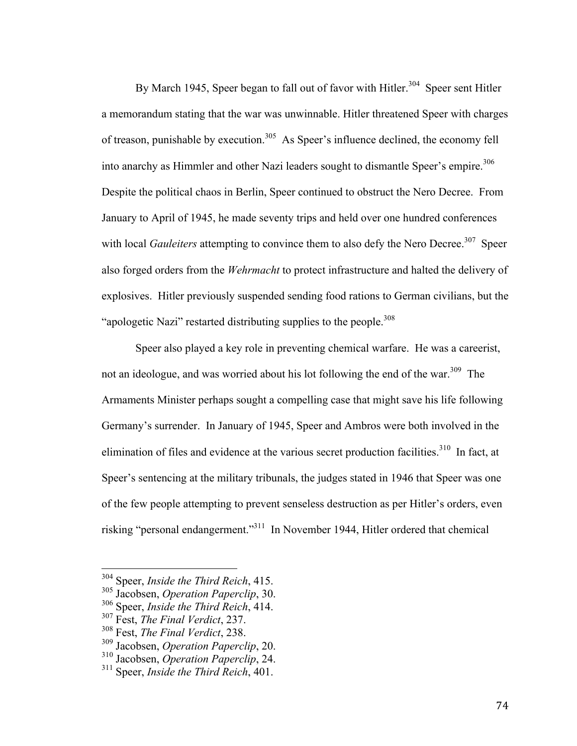By March 1945, Speer began to fall out of favor with Hitler.<sup>304</sup> Speer sent Hitler a memorandum stating that the war was unwinnable. Hitler threatened Speer with charges of treason, punishable by execution.<sup>305</sup> As Speer's influence declined, the economy fell into anarchy as Himmler and other Nazi leaders sought to dismantle Speer's empire.<sup>306</sup> Despite the political chaos in Berlin, Speer continued to obstruct the Nero Decree. From January to April of 1945, he made seventy trips and held over one hundred conferences with local *Gauleiters* attempting to convince them to also defy the Nero Decree.<sup>307</sup> Speer also forged orders from the *Wehrmacht* to protect infrastructure and halted the delivery of explosives. Hitler previously suspended sending food rations to German civilians, but the "apologetic Nazi" restarted distributing supplies to the people.<sup>308</sup>

Speer also played a key role in preventing chemical warfare. He was a careerist, not an ideologue, and was worried about his lot following the end of the war.<sup>309</sup> The Armaments Minister perhaps sought a compelling case that might save his life following Germany's surrender. In January of 1945, Speer and Ambros were both involved in the elimination of files and evidence at the various secret production facilities.<sup>310</sup> In fact, at Speer's sentencing at the military tribunals, the judges stated in 1946 that Speer was one of the few people attempting to prevent senseless destruction as per Hitler's orders, even risking "personal endangerment."311 In November 1944, Hitler ordered that chemical

 <sup>304</sup> Speer, *Inside the Third Reich*, 415.

<sup>305</sup> Jacobsen, *Operation Paperclip*, 30.

<sup>306</sup> Speer, *Inside the Third Reich*, 414.

<sup>307</sup> Fest, *The Final Verdict*, 237.

<sup>308</sup> Fest, *The Final Verdict*, 238.

<sup>309</sup> Jacobsen, *Operation Paperclip*, 20.

<sup>310</sup> Jacobsen, *Operation Paperclip*, 24.

<sup>311</sup> Speer, *Inside the Third Reich*, 401.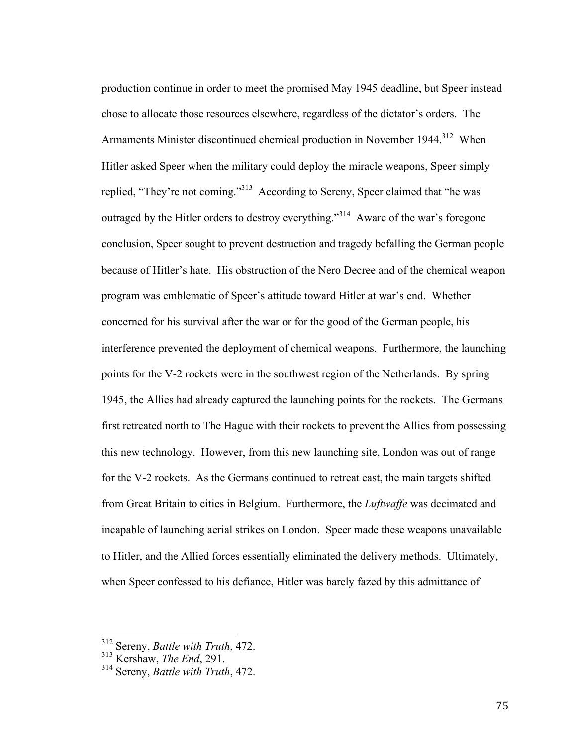production continue in order to meet the promised May 1945 deadline, but Speer instead chose to allocate those resources elsewhere, regardless of the dictator's orders. The Armaments Minister discontinued chemical production in November 1944.<sup>312</sup> When Hitler asked Speer when the military could deploy the miracle weapons, Speer simply replied, "They're not coming."<sup>313</sup> According to Sereny, Speer claimed that "he was outraged by the Hitler orders to destroy everything."<sup>314</sup> Aware of the war's foregone conclusion, Speer sought to prevent destruction and tragedy befalling the German people because of Hitler's hate. His obstruction of the Nero Decree and of the chemical weapon program was emblematic of Speer's attitude toward Hitler at war's end. Whether concerned for his survival after the war or for the good of the German people, his interference prevented the deployment of chemical weapons. Furthermore, the launching points for the V-2 rockets were in the southwest region of the Netherlands. By spring 1945, the Allies had already captured the launching points for the rockets. The Germans first retreated north to The Hague with their rockets to prevent the Allies from possessing this new technology. However, from this new launching site, London was out of range for the V-2 rockets. As the Germans continued to retreat east, the main targets shifted from Great Britain to cities in Belgium. Furthermore, the *Luftwaffe* was decimated and incapable of launching aerial strikes on London. Speer made these weapons unavailable to Hitler, and the Allied forces essentially eliminated the delivery methods. Ultimately, when Speer confessed to his defiance, Hitler was barely fazed by this admittance of

 <sup>312</sup> Sereny, *Battle with Truth*, 472.

<sup>313</sup> Kershaw, *The End*, 291.

<sup>314</sup> Sereny, *Battle with Truth*, 472.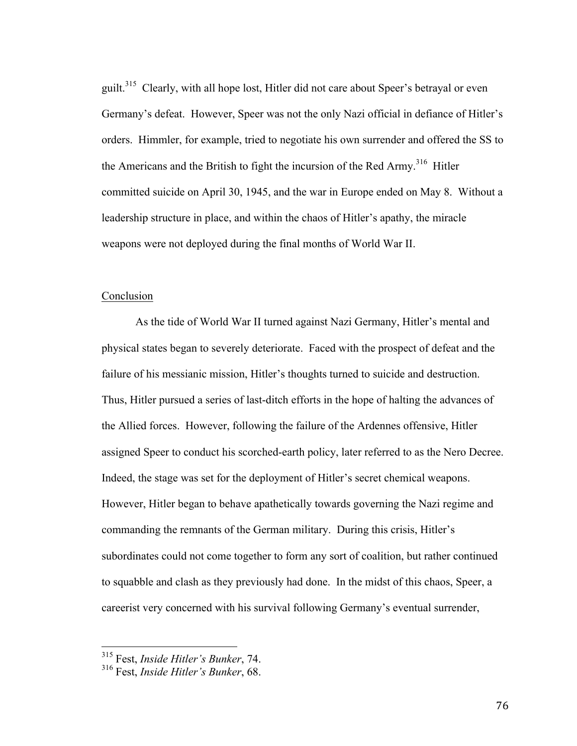guilt.<sup>315</sup> Clearly, with all hope lost, Hitler did not care about Speer's betrayal or even Germany's defeat. However, Speer was not the only Nazi official in defiance of Hitler's orders. Himmler, for example, tried to negotiate his own surrender and offered the SS to the Americans and the British to fight the incursion of the Red Army.<sup>316</sup> Hitler committed suicide on April 30, 1945, and the war in Europe ended on May 8. Without a leadership structure in place, and within the chaos of Hitler's apathy, the miracle weapons were not deployed during the final months of World War II.

## Conclusion

As the tide of World War II turned against Nazi Germany, Hitler's mental and physical states began to severely deteriorate. Faced with the prospect of defeat and the failure of his messianic mission, Hitler's thoughts turned to suicide and destruction. Thus, Hitler pursued a series of last-ditch efforts in the hope of halting the advances of the Allied forces. However, following the failure of the Ardennes offensive, Hitler assigned Speer to conduct his scorched-earth policy, later referred to as the Nero Decree. Indeed, the stage was set for the deployment of Hitler's secret chemical weapons. However, Hitler began to behave apathetically towards governing the Nazi regime and commanding the remnants of the German military. During this crisis, Hitler's subordinates could not come together to form any sort of coalition, but rather continued to squabble and clash as they previously had done. In the midst of this chaos, Speer, a careerist very concerned with his survival following Germany's eventual surrender,

 <sup>315</sup> Fest, *Inside Hitler's Bunker*, 74.

<sup>316</sup> Fest, *Inside Hitler's Bunker*, 68.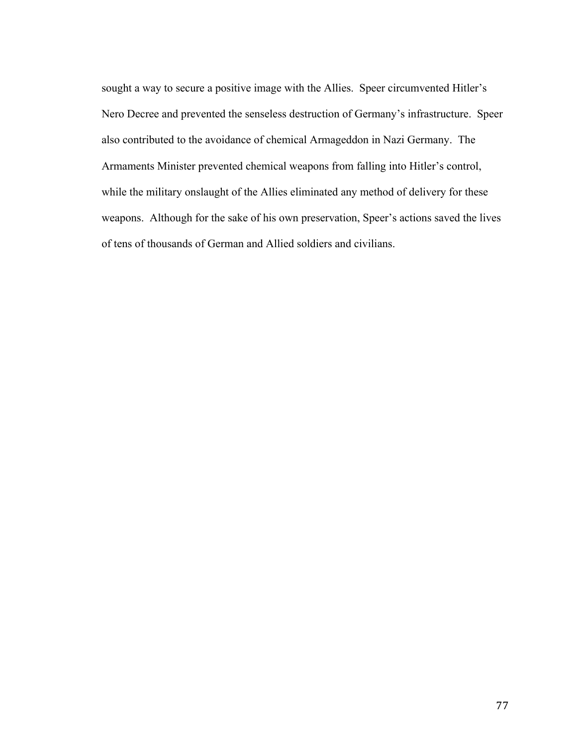sought a way to secure a positive image with the Allies. Speer circumvented Hitler's Nero Decree and prevented the senseless destruction of Germany's infrastructure. Speer also contributed to the avoidance of chemical Armageddon in Nazi Germany. The Armaments Minister prevented chemical weapons from falling into Hitler's control, while the military onslaught of the Allies eliminated any method of delivery for these weapons. Although for the sake of his own preservation, Speer's actions saved the lives of tens of thousands of German and Allied soldiers and civilians.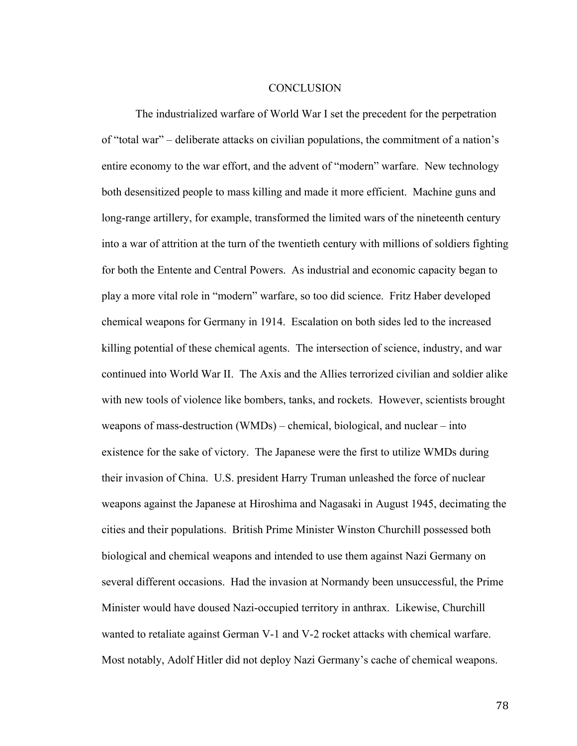## **CONCLUSION**

The industrialized warfare of World War I set the precedent for the perpetration of "total war" – deliberate attacks on civilian populations, the commitment of a nation's entire economy to the war effort, and the advent of "modern" warfare. New technology both desensitized people to mass killing and made it more efficient. Machine guns and long-range artillery, for example, transformed the limited wars of the nineteenth century into a war of attrition at the turn of the twentieth century with millions of soldiers fighting for both the Entente and Central Powers. As industrial and economic capacity began to play a more vital role in "modern" warfare, so too did science. Fritz Haber developed chemical weapons for Germany in 1914. Escalation on both sides led to the increased killing potential of these chemical agents. The intersection of science, industry, and war continued into World War II. The Axis and the Allies terrorized civilian and soldier alike with new tools of violence like bombers, tanks, and rockets. However, scientists brought weapons of mass-destruction (WMDs) – chemical, biological, and nuclear – into existence for the sake of victory. The Japanese were the first to utilize WMDs during their invasion of China. U.S. president Harry Truman unleashed the force of nuclear weapons against the Japanese at Hiroshima and Nagasaki in August 1945, decimating the cities and their populations. British Prime Minister Winston Churchill possessed both biological and chemical weapons and intended to use them against Nazi Germany on several different occasions. Had the invasion at Normandy been unsuccessful, the Prime Minister would have doused Nazi-occupied territory in anthrax. Likewise, Churchill wanted to retaliate against German V-1 and V-2 rocket attacks with chemical warfare. Most notably, Adolf Hitler did not deploy Nazi Germany's cache of chemical weapons.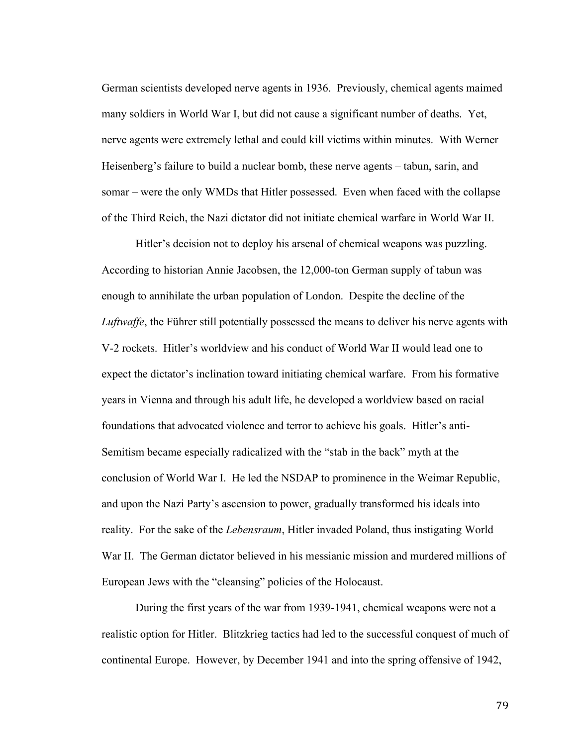German scientists developed nerve agents in 1936. Previously, chemical agents maimed many soldiers in World War I, but did not cause a significant number of deaths. Yet, nerve agents were extremely lethal and could kill victims within minutes. With Werner Heisenberg's failure to build a nuclear bomb, these nerve agents – tabun, sarin, and somar – were the only WMDs that Hitler possessed. Even when faced with the collapse of the Third Reich, the Nazi dictator did not initiate chemical warfare in World War II.

Hitler's decision not to deploy his arsenal of chemical weapons was puzzling. According to historian Annie Jacobsen, the 12,000-ton German supply of tabun was enough to annihilate the urban population of London. Despite the decline of the *Luftwaffe*, the Führer still potentially possessed the means to deliver his nerve agents with V-2 rockets. Hitler's worldview and his conduct of World War II would lead one to expect the dictator's inclination toward initiating chemical warfare. From his formative years in Vienna and through his adult life, he developed a worldview based on racial foundations that advocated violence and terror to achieve his goals. Hitler's anti-Semitism became especially radicalized with the "stab in the back" myth at the conclusion of World War I. He led the NSDAP to prominence in the Weimar Republic, and upon the Nazi Party's ascension to power, gradually transformed his ideals into reality. For the sake of the *Lebensraum*, Hitler invaded Poland, thus instigating World War II. The German dictator believed in his messianic mission and murdered millions of European Jews with the "cleansing" policies of the Holocaust.

During the first years of the war from 1939-1941, chemical weapons were not a realistic option for Hitler. Blitzkrieg tactics had led to the successful conquest of much of continental Europe. However, by December 1941 and into the spring offensive of 1942,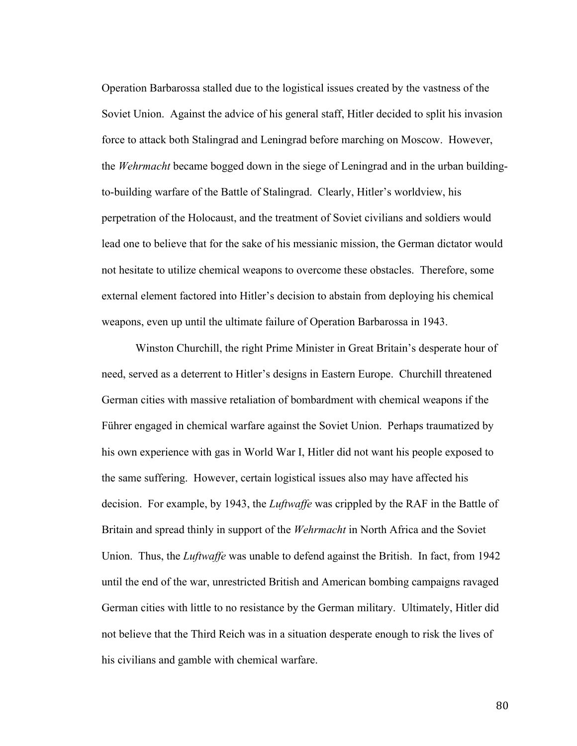Operation Barbarossa stalled due to the logistical issues created by the vastness of the Soviet Union. Against the advice of his general staff, Hitler decided to split his invasion force to attack both Stalingrad and Leningrad before marching on Moscow. However, the *Wehrmacht* became bogged down in the siege of Leningrad and in the urban buildingto-building warfare of the Battle of Stalingrad. Clearly, Hitler's worldview, his perpetration of the Holocaust, and the treatment of Soviet civilians and soldiers would lead one to believe that for the sake of his messianic mission, the German dictator would not hesitate to utilize chemical weapons to overcome these obstacles. Therefore, some external element factored into Hitler's decision to abstain from deploying his chemical weapons, even up until the ultimate failure of Operation Barbarossa in 1943.

Winston Churchill, the right Prime Minister in Great Britain's desperate hour of need, served as a deterrent to Hitler's designs in Eastern Europe. Churchill threatened German cities with massive retaliation of bombardment with chemical weapons if the Führer engaged in chemical warfare against the Soviet Union. Perhaps traumatized by his own experience with gas in World War I, Hitler did not want his people exposed to the same suffering. However, certain logistical issues also may have affected his decision. For example, by 1943, the *Luftwaffe* was crippled by the RAF in the Battle of Britain and spread thinly in support of the *Wehrmacht* in North Africa and the Soviet Union. Thus, the *Luftwaffe* was unable to defend against the British. In fact, from 1942 until the end of the war, unrestricted British and American bombing campaigns ravaged German cities with little to no resistance by the German military. Ultimately, Hitler did not believe that the Third Reich was in a situation desperate enough to risk the lives of his civilians and gamble with chemical warfare.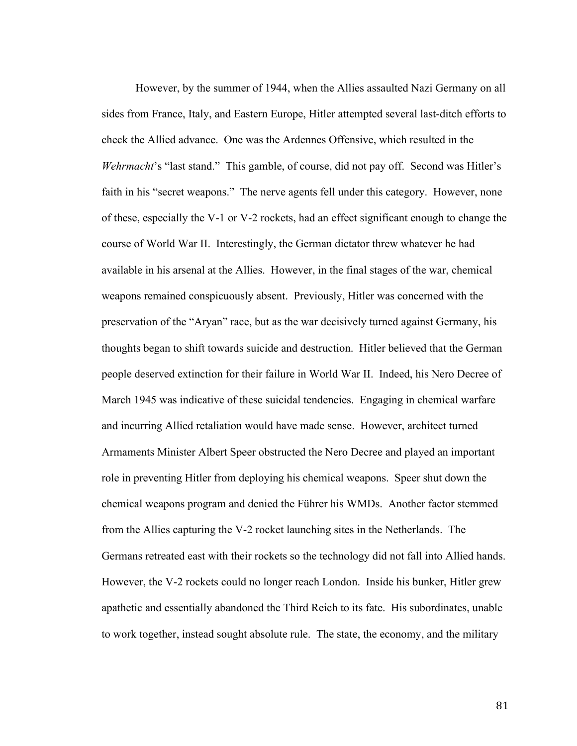However, by the summer of 1944, when the Allies assaulted Nazi Germany on all sides from France, Italy, and Eastern Europe, Hitler attempted several last-ditch efforts to check the Allied advance. One was the Ardennes Offensive, which resulted in the *Wehrmacht*'s "last stand." This gamble, of course, did not pay off. Second was Hitler's faith in his "secret weapons." The nerve agents fell under this category. However, none of these, especially the V-1 or V-2 rockets, had an effect significant enough to change the course of World War II. Interestingly, the German dictator threw whatever he had available in his arsenal at the Allies. However, in the final stages of the war, chemical weapons remained conspicuously absent. Previously, Hitler was concerned with the preservation of the "Aryan" race, but as the war decisively turned against Germany, his thoughts began to shift towards suicide and destruction. Hitler believed that the German people deserved extinction for their failure in World War II. Indeed, his Nero Decree of March 1945 was indicative of these suicidal tendencies. Engaging in chemical warfare and incurring Allied retaliation would have made sense. However, architect turned Armaments Minister Albert Speer obstructed the Nero Decree and played an important role in preventing Hitler from deploying his chemical weapons. Speer shut down the chemical weapons program and denied the Führer his WMDs. Another factor stemmed from the Allies capturing the V-2 rocket launching sites in the Netherlands. The Germans retreated east with their rockets so the technology did not fall into Allied hands. However, the V-2 rockets could no longer reach London. Inside his bunker, Hitler grew apathetic and essentially abandoned the Third Reich to its fate. His subordinates, unable to work together, instead sought absolute rule. The state, the economy, and the military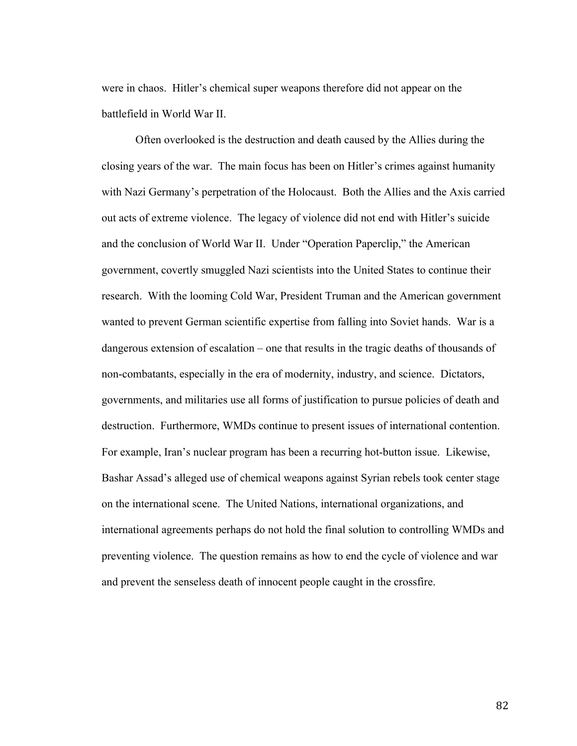were in chaos. Hitler's chemical super weapons therefore did not appear on the battlefield in World War II.

Often overlooked is the destruction and death caused by the Allies during the closing years of the war. The main focus has been on Hitler's crimes against humanity with Nazi Germany's perpetration of the Holocaust. Both the Allies and the Axis carried out acts of extreme violence. The legacy of violence did not end with Hitler's suicide and the conclusion of World War II. Under "Operation Paperclip," the American government, covertly smuggled Nazi scientists into the United States to continue their research. With the looming Cold War, President Truman and the American government wanted to prevent German scientific expertise from falling into Soviet hands. War is a dangerous extension of escalation – one that results in the tragic deaths of thousands of non-combatants, especially in the era of modernity, industry, and science. Dictators, governments, and militaries use all forms of justification to pursue policies of death and destruction. Furthermore, WMDs continue to present issues of international contention. For example, Iran's nuclear program has been a recurring hot-button issue. Likewise, Bashar Assad's alleged use of chemical weapons against Syrian rebels took center stage on the international scene. The United Nations, international organizations, and international agreements perhaps do not hold the final solution to controlling WMDs and preventing violence. The question remains as how to end the cycle of violence and war and prevent the senseless death of innocent people caught in the crossfire.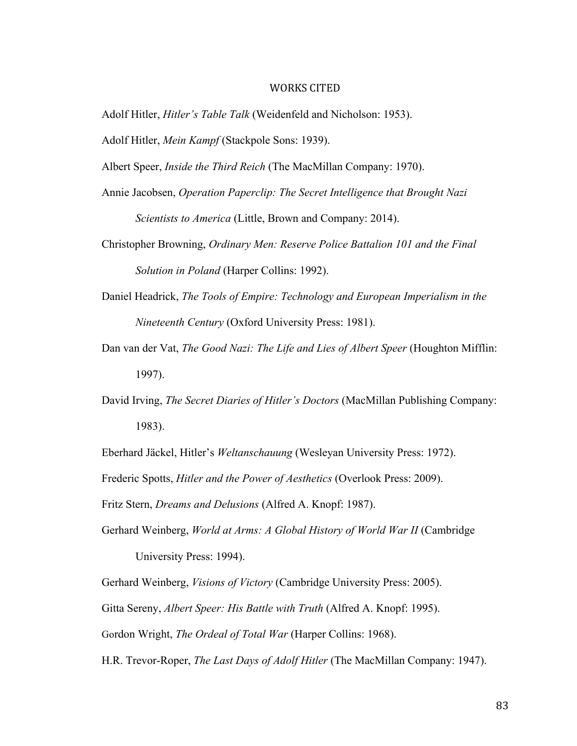## WORKS CITED

- Adolf Hitler, *Hitler's Table Talk* (Weidenfeld and Nicholson: 1953).
- Adolf Hitler, *Mein Kampf* (Stackpole Sons: 1939).
- Albert Speer, *Inside the Third Reich* (The MacMillan Company: 1970).
- Annie Jacobsen, *Operation Paperclip: The Secret Intelligence that Brought Nazi Scientists to America* (Little, Brown and Company: 2014).
- Christopher Browning, *Ordinary Men: Reserve Police Battalion 101 and the Final Solution in Poland* (Harper Collins: 1992).
- Daniel Headrick, *The Tools of Empire: Technology and European Imperialism in the Nineteenth Century* (Oxford University Press: 1981).
- Dan van der Vat, *The Good Nazi: The Life and Lies of Albert Speer* (Houghton Mifflin: 1997).
- David Irving, *The Secret Diaries of Hitler's Doctors* (MacMillan Publishing Company: 1983).

Eberhard Jäckel, Hitler's *Weltanschauung* (Wesleyan University Press: 1972).

Frederic Spotts, *Hitler and the Power of Aesthetics* (Overlook Press: 2009).

Fritz Stern, *Dreams and Delusions* (Alfred A. Knopf: 1987).

Gerhard Weinberg, *World at Arms: A Global History of World War II* (Cambridge

University Press: 1994).

Gerhard Weinberg, *Visions of Victory* (Cambridge University Press: 2005).

Gitta Sereny, *Albert Speer: His Battle with Truth* (Alfred A. Knopf: 1995).

Gordon Wright, *The Ordeal of Total War* (Harper Collins: 1968).

H.R. Trevor-Roper, *The Last Days of Adolf Hitler* (The MacMillan Company: 1947).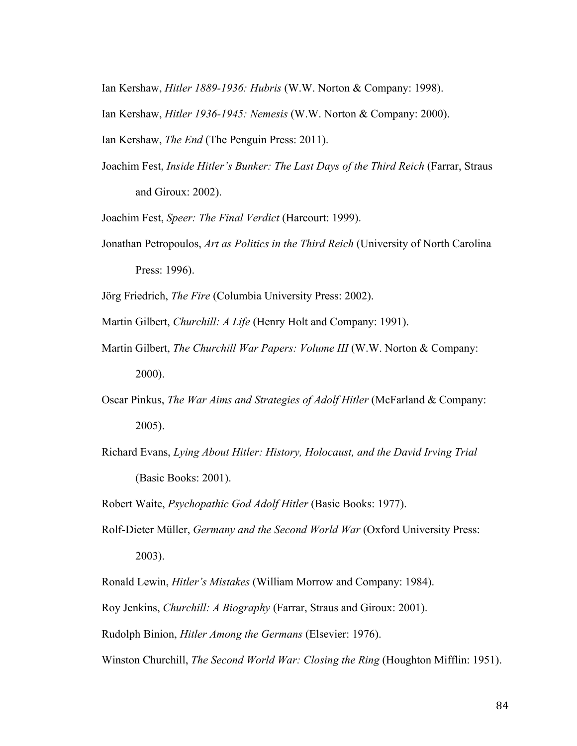Ian Kershaw, *Hitler 1889-1936: Hubris* (W.W. Norton & Company: 1998).

Ian Kershaw, *Hitler 1936-1945: Nemesis* (W.W. Norton & Company: 2000).

Ian Kershaw, *The End* (The Penguin Press: 2011).

Joachim Fest, *Inside Hitler's Bunker: The Last Days of the Third Reich* (Farrar, Straus and Giroux: 2002).

Joachim Fest, *Speer: The Final Verdict* (Harcourt: 1999).

Jonathan Petropoulos, *Art as Politics in the Third Reich* (University of North Carolina Press: 1996).

Jörg Friedrich, *The Fire* (Columbia University Press: 2002).

Martin Gilbert, *Churchill: A Life* (Henry Holt and Company: 1991).

- Martin Gilbert, *The Churchill War Papers: Volume III* (W.W. Norton & Company: 2000).
- Oscar Pinkus, *The War Aims and Strategies of Adolf Hitler* (McFarland & Company: 2005).
- Richard Evans, *Lying About Hitler: History, Holocaust, and the David Irving Trial*  (Basic Books: 2001).

Robert Waite, *Psychopathic God Adolf Hitler* (Basic Books: 1977).

Rolf-Dieter Müller, *Germany and the Second World War* (Oxford University Press: 2003).

Ronald Lewin, *Hitler's Mistakes* (William Morrow and Company: 1984).

Roy Jenkins, *Churchill: A Biography* (Farrar, Straus and Giroux: 2001).

Rudolph Binion, *Hitler Among the Germans* (Elsevier: 1976).

Winston Churchill, *The Second World War: Closing the Ring* (Houghton Mifflin: 1951).